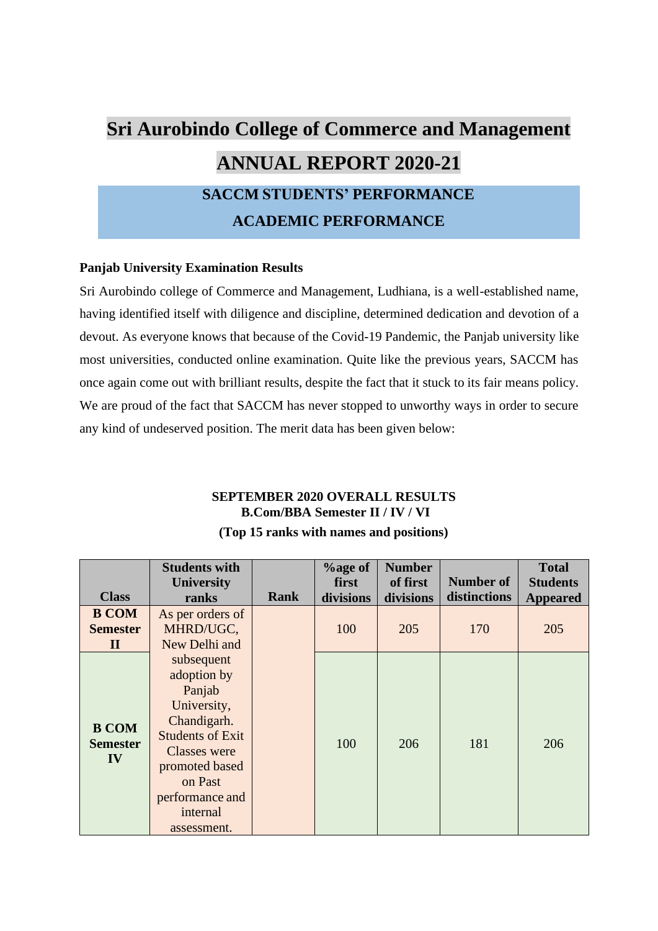# **Sri Aurobindo College of Commerce and Management ANNUAL REPORT 2020-21 SACCM STUDENTS' PERFORMANCE ACADEMIC PERFORMANCE**

### **Panjab University Examination Results**

Sri Aurobindo college of Commerce and Management, Ludhiana, is a well-established name, having identified itself with diligence and discipline, determined dedication and devotion of a devout. As everyone knows that because of the Covid-19 Pandemic, the Panjab university like most universities, conducted online examination. Quite like the previous years, SACCM has once again come out with brilliant results, despite the fact that it stuck to its fair means policy. We are proud of the fact that SACCM has never stopped to unworthy ways in order to secure any kind of undeserved position. The merit data has been given below:

## **SEPTEMBER 2020 OVERALL RESULTS B.Com/BBA Semester II / IV / VI**

| <b>Class</b>                                    | <b>Students with</b><br><b>University</b><br>ranks                                                                                                                                             | <b>Rank</b> | <b>%age of</b><br>first<br>divisions | <b>Number</b><br>of first<br>divisions | <b>Number of</b><br>distinctions | <b>Total</b><br><b>Students</b><br><b>Appeared</b> |
|-------------------------------------------------|------------------------------------------------------------------------------------------------------------------------------------------------------------------------------------------------|-------------|--------------------------------------|----------------------------------------|----------------------------------|----------------------------------------------------|
| <b>B COM</b><br><b>Semester</b><br>$\mathbf{I}$ | As per orders of<br>MHRD/UGC,<br>New Delhi and                                                                                                                                                 |             | 100                                  | 205                                    | 170                              | 205                                                |
| <b>B COM</b><br><b>Semester</b><br>IV           | subsequent<br>adoption by<br>Panjab<br>University,<br>Chandigarh.<br><b>Students of Exit</b><br><b>Classes</b> were<br>promoted based<br>on Past<br>performance and<br>internal<br>assessment. |             | 100                                  | 206                                    | 181                              | 206                                                |

### **(Top 15 ranks with names and positions)**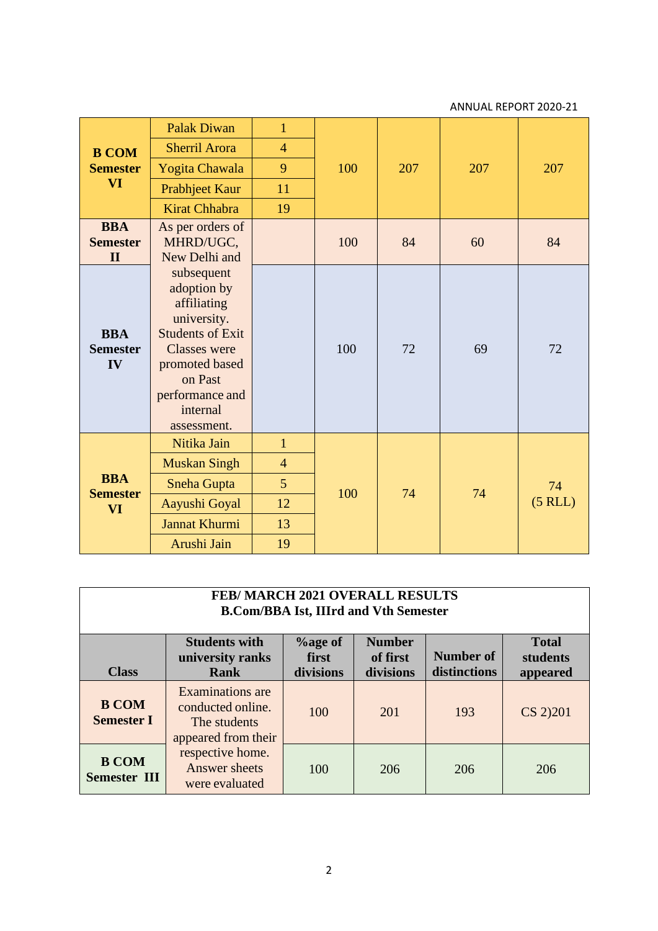|                                               | <b>Palak Diwan</b>                                                                                                                                                                   | $\mathbf{1}$                                                        |     | 207 |     |                    |
|-----------------------------------------------|--------------------------------------------------------------------------------------------------------------------------------------------------------------------------------------|---------------------------------------------------------------------|-----|-----|-----|--------------------|
| <b>B COM</b>                                  | <b>Sherril Arora</b>                                                                                                                                                                 | $\overline{4}$                                                      |     |     |     |                    |
| <b>Semester</b>                               | Yogita Chawala                                                                                                                                                                       | 9                                                                   | 100 |     | 207 | 207                |
| <b>VI</b>                                     | Prabhjeet Kaur                                                                                                                                                                       | 11                                                                  |     |     |     |                    |
|                                               | <b>Kirat Chhabra</b>                                                                                                                                                                 | 19                                                                  |     |     |     |                    |
| <b>BBA</b><br><b>Semester</b><br>$\mathbf{I}$ | As per orders of<br>MHRD/UGC,<br>New Delhi and                                                                                                                                       |                                                                     | 100 | 84  | 60  | 84                 |
| <b>BBA</b><br><b>Semester</b><br>IV           | subsequent<br>adoption by<br>affiliating<br>university.<br><b>Students of Exit</b><br><b>Classes</b> were<br>promoted based<br>on Past<br>performance and<br>internal<br>assessment. |                                                                     | 100 | 72  | 69  | 72                 |
| <b>BBA</b><br><b>Semester</b><br><b>VI</b>    | Nitika Jain<br><b>Muskan Singh</b><br><b>Sneha Gupta</b><br>Aayushi Goyal<br>Jannat Khurmi<br>Arushi Jain                                                                            | $\mathbf{1}$<br>$\overline{4}$<br>$5\overline{)}$<br>12<br>13<br>19 | 100 | 74  | 74  | 74<br>$(5$ RLL $)$ |

| FEB/MARCH 2021 OVERALL RESULTS<br><b>B.Com/BBA Ist, IIIrd and Vth Semester</b> |                                                                                     |                                  |                                        |                           |                                      |
|--------------------------------------------------------------------------------|-------------------------------------------------------------------------------------|----------------------------------|----------------------------------------|---------------------------|--------------------------------------|
| <b>Class</b>                                                                   | <b>Students with</b><br>university ranks<br>Rank                                    | $%$ age of<br>first<br>divisions | <b>Number</b><br>of first<br>divisions | Number of<br>distinctions | <b>Total</b><br>students<br>appeared |
| <b>B COM</b><br><b>Semester I</b>                                              | <b>Examinations</b> are<br>conducted online.<br>The students<br>appeared from their | 100                              | 201                                    | 193                       | CS 2)201                             |
| <b>B COM</b><br><b>Semester III</b>                                            | respective home.<br>Answer sheets<br>were evaluated                                 | 100                              | 206                                    | 206                       | 206                                  |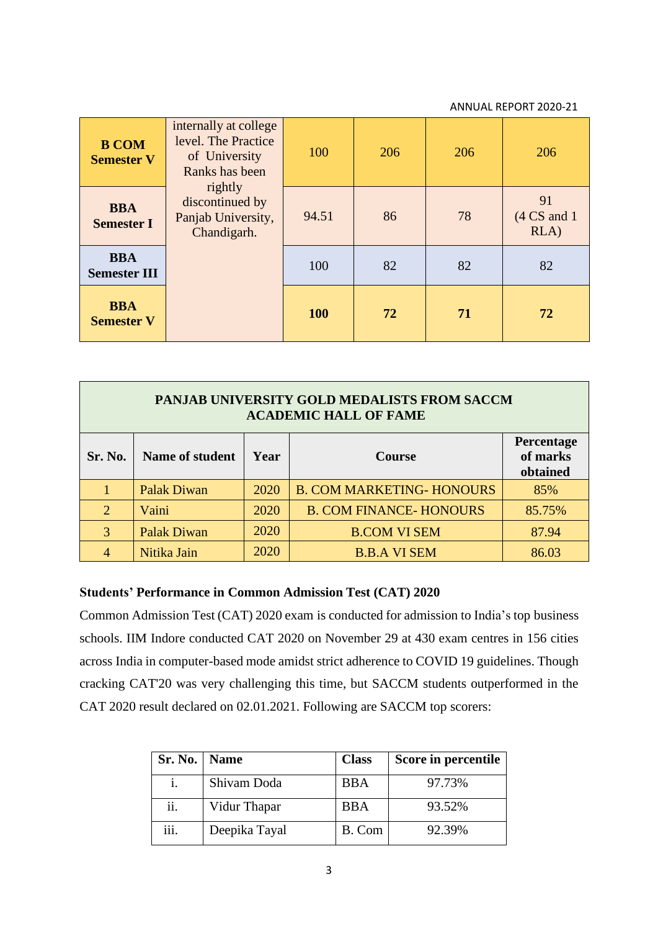| <b>B COM</b><br><b>Semester V</b> | internally at college<br>level. The Practice<br>of University<br>Ranks has been | 100        | 206 | 206 | 206                                 |
|-----------------------------------|---------------------------------------------------------------------------------|------------|-----|-----|-------------------------------------|
| <b>BBA</b><br><b>Semester I</b>   | rightly<br>discontinued by<br>Panjab University,<br>Chandigarh.                 | 94.51      | 86  | 78  | 91<br>$(4 \text{ CS}$ and 1<br>RLA) |
| <b>BBA</b><br><b>Semester III</b> |                                                                                 | 100        | 82  | 82  | 82                                  |
| <b>BBA</b><br><b>Semester V</b>   |                                                                                 | <b>100</b> | 72  | 71  | 72                                  |

| PANJAB UNIVERSITY GOLD MEDALISTS FROM SACCM<br><b>ACADEMIC HALL OF FAME</b>               |                    |      |                                  |        |
|-------------------------------------------------------------------------------------------|--------------------|------|----------------------------------|--------|
| Percentage<br>of marks<br>Sr. No.<br>Name of student<br>Year<br><b>Course</b><br>obtained |                    |      |                                  |        |
|                                                                                           | <b>Palak Diwan</b> | 2020 | <b>B. COM MARKETING- HONOURS</b> | 85%    |
| 2                                                                                         | Vaini              | 2020 | <b>B. COM FINANCE-HONOURS</b>    | 85.75% |
| $\mathcal{R}$                                                                             | <b>Palak Diwan</b> | 2020 | <b>B.COM VI SEM</b>              | 87.94  |
|                                                                                           | Nitika Jain        | 2020 | <b>B.B.A VI SEM</b>              | 86.03  |

### **Students' Performance in Common Admission Test (CAT) 2020**

Common Admission Test (CAT) 2020 exam is conducted for admission to India's top business schools. IIM Indore conducted CAT 2020 on November 29 at 430 exam centres in 156 cities across India in computer-based mode amidst strict adherence to COVID 19 guidelines. Though cracking CAT'20 was very challenging this time, but SACCM students outperformed in the CAT 2020 result declared on 02.01.2021. Following are SACCM top scorers:

| Sr. No. | <b>Name</b>   | <b>Class</b> | Score in percentile |
|---------|---------------|--------------|---------------------|
|         | Shivam Doda   | BBA          | 97.73%              |
| ii.     | Vidur Thapar  | BBA          | 93.52%              |
| iii.    | Deepika Tayal | B. Com       | 92.39%              |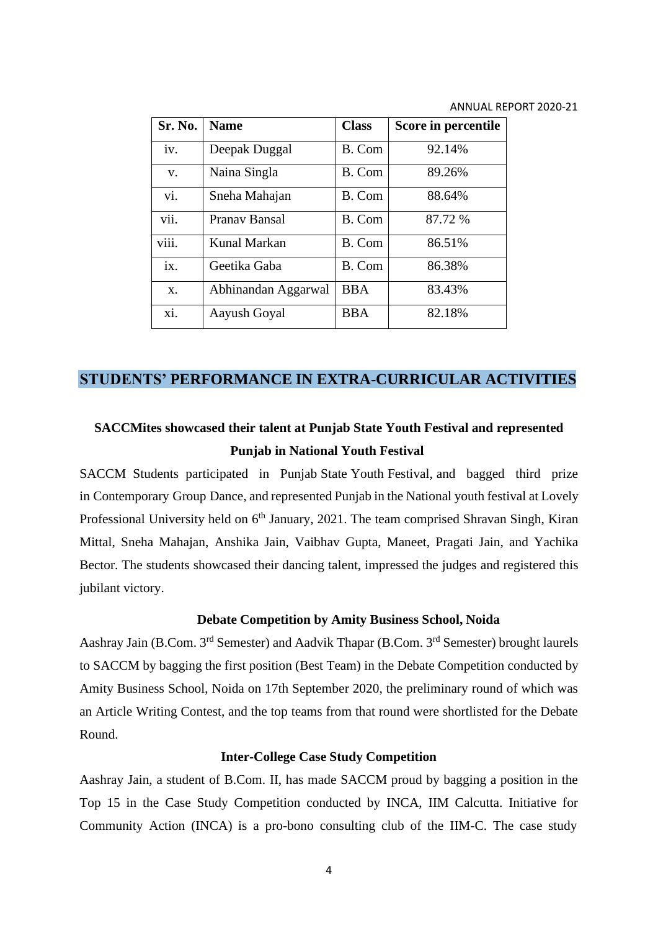| Sr. No. | <b>Name</b>         | <b>Class</b> | Score in percentile |
|---------|---------------------|--------------|---------------------|
| iv.     | Deepak Duggal       | B. Com       | 92.14%              |
| V.      | Naina Singla        | B. Com       | 89.26%              |
| vi.     | Sneha Mahajan       | B. Com       | 88.64%              |
| vii.    | Pranav Bansal       | B. Com       | 87.72 %             |
| viii.   | Kunal Markan        | B. Com       | 86.51%              |
| ix.     | Geetika Gaba        | B. Com       | 86.38%              |
| $X$ .   | Abhinandan Aggarwal | <b>BBA</b>   | 83.43%              |
| xi.     | Aayush Goyal        | <b>BBA</b>   | 82.18%              |

## **STUDENTS' PERFORMANCE IN EXTRA-CURRICULAR ACTIVITIES**

## **SACCMites showcased their talent at Punjab State Youth Festival and represented Punjab in National Youth Festival**

SACCM Students participated in Punjab State Youth Festival, and bagged third prize in Contemporary Group Dance, and represented Punjab in the National youth festival at Lovely Professional University held on  $6<sup>th</sup>$  January, 2021. The team comprised Shravan Singh, Kiran Mittal, Sneha Mahajan, Anshika Jain, Vaibhav Gupta, Maneet, Pragati Jain, and Yachika Bector. The students showcased their dancing talent, impressed the judges and registered this jubilant victory.

### **Debate Competition by Amity Business School, Noida**

Aashray Jain (B.Com. 3<sup>rd</sup> Semester) and Aadvik Thapar (B.Com. 3<sup>rd</sup> Semester) brought laurels to SACCM by bagging the first position (Best Team) in the Debate Competition conducted by Amity Business School, Noida on 17th September 2020, the preliminary round of which was an Article Writing Contest, and the top teams from that round were shortlisted for the Debate Round.

### **Inter-College Case Study Competition**

Aashray Jain, a student of B.Com. II, has made SACCM proud by bagging a position in the Top 15 in the Case Study Competition conducted by INCA, IIM Calcutta. Initiative for Community Action (INCA) is a pro-bono consulting club of the IIM-C. The case study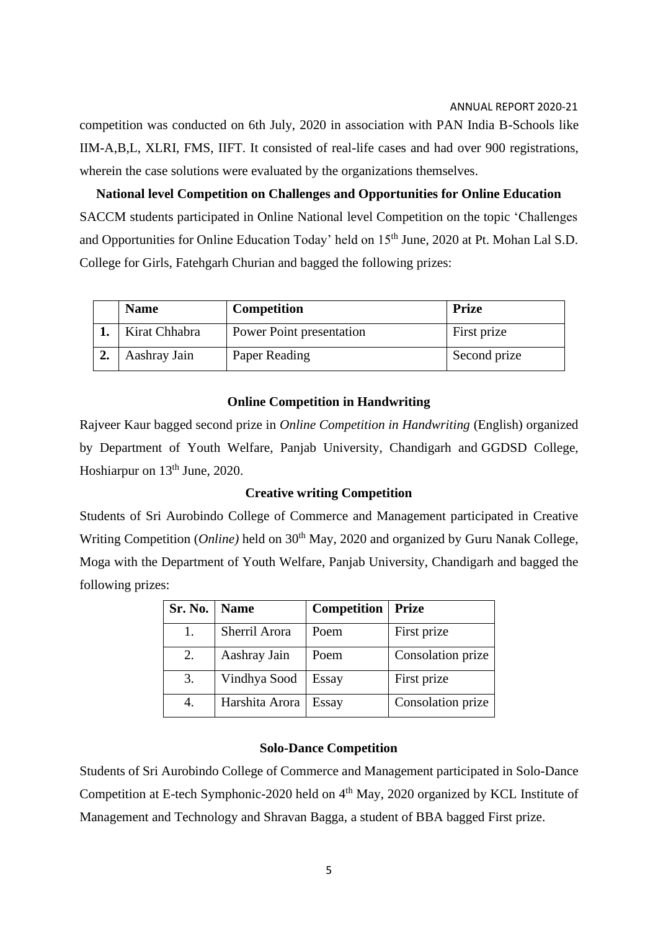competition was conducted on 6th July, 2020 in association with PAN India B-Schools like IIM-A,B,L, XLRI, FMS, IIFT. It consisted of real-life cases and had over 900 registrations, wherein the case solutions were evaluated by the organizations themselves.

**National level Competition on Challenges and Opportunities for Online Education** SACCM students participated in Online National level Competition on the topic 'Challenges and Opportunities for Online Education Today' held on 15<sup>th</sup> June, 2020 at Pt. Mohan Lal S.D. College for Girls, Fatehgarh Churian and bagged the following prizes:

| <b>Name</b>   | <b>Competition</b>       | Prize        |
|---------------|--------------------------|--------------|
| Kirat Chhabra | Power Point presentation | First prize  |
| Aashray Jain  | Paper Reading            | Second prize |

### **Online Competition in Handwriting**

Rajveer Kaur bagged second prize in *Online Competition in Handwriting* (English) organized by Department of Youth Welfare, Panjab University, Chandigarh and GGDSD College, Hoshiarpur on 13<sup>th</sup> June, 2020.

### **Creative writing Competition**

Students of Sri Aurobindo College of Commerce and Management participated in Creative Writing Competition (*Online*) held on 30<sup>th</sup> May, 2020 and organized by Guru Nanak College, Moga with the Department of Youth Welfare, Panjab University, Chandigarh and bagged the following prizes:

| <b>Sr. No.</b> | <b>Name</b>    | <b>Competition</b> | <b>Prize</b>      |
|----------------|----------------|--------------------|-------------------|
|                | Sherril Arora  | Poem               | First prize       |
| 2.             | Aashray Jain   | Poem               | Consolation prize |
| 3.             | Vindhya Sood   | Essay              | First prize       |
| 4.             | Harshita Arora | Essay              | Consolation prize |

### **Solo-Dance Competition**

Students of Sri Aurobindo College of Commerce and Management participated in Solo-Dance Competition at E-tech Symphonic-2020 held on 4<sup>th</sup> May, 2020 organized by KCL Institute of Management and Technology and Shravan Bagga, a student of BBA bagged First prize.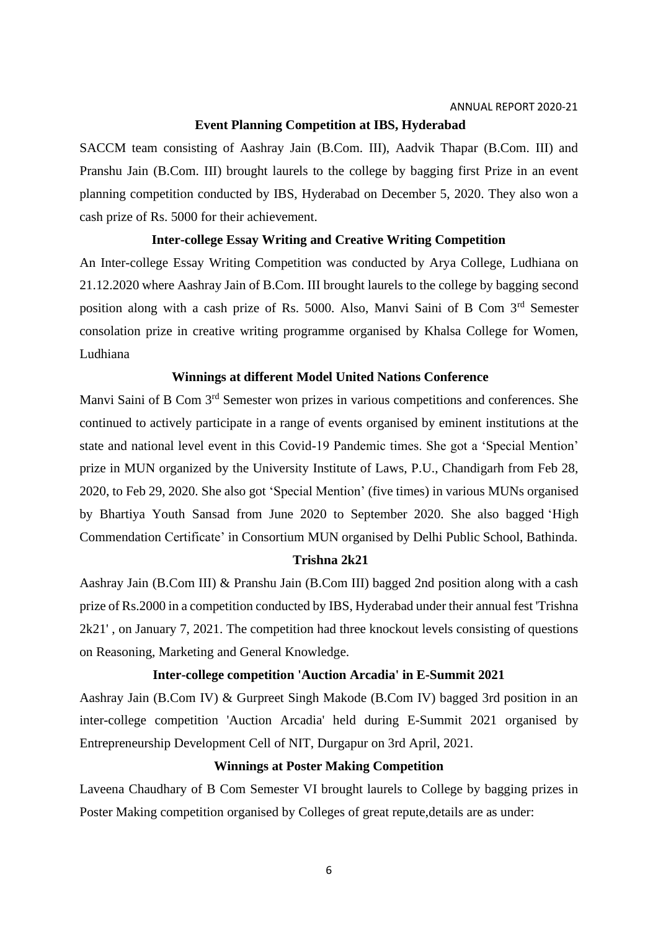### **Event Planning Competition at IBS, Hyderabad**

SACCM team consisting of Aashray Jain (B.Com. III), Aadvik Thapar (B.Com. III) and Pranshu Jain (B.Com. III) brought laurels to the college by bagging first Prize in an event planning competition conducted by IBS, Hyderabad on December 5, 2020. They also won a cash prize of Rs. 5000 for their achievement.

### **Inter-college Essay Writing and Creative Writing Competition**

An Inter-college Essay Writing Competition was conducted by Arya College, Ludhiana on 21.12.2020 where Aashray Jain of B.Com. III brought laurels to the college by bagging second position along with a cash prize of Rs. 5000. Also, Manvi Saini of B Com 3rd Semester consolation prize in creative writing programme organised by Khalsa College for Women, Ludhiana

### **Winnings at different Model United Nations Conference**

Manvi Saini of B Com 3<sup>rd</sup> Semester won prizes in various competitions and conferences. She continued to actively participate in a range of events organised by eminent institutions at the state and national level event in this Covid-19 Pandemic times. She got a 'Special Mention' prize in MUN organized by the University Institute of Laws, P.U., Chandigarh from Feb 28, 2020, to Feb 29, 2020. She also got 'Special Mention' (five times) in various MUNs organised by Bhartiya Youth Sansad from June 2020 to September 2020. She also bagged 'High Commendation Certificate' in Consortium MUN organised by Delhi Public School, Bathinda.

### **Trishna 2k21**

Aashray Jain (B.Com III) & Pranshu Jain (B.Com III) bagged 2nd position along with a cash prize of Rs.2000 in a competition conducted by IBS, Hyderabad under their annual fest 'Trishna 2k21' , on January 7, 2021. The competition had three knockout levels consisting of questions on Reasoning, Marketing and General Knowledge.

### **Inter-college competition 'Auction Arcadia' in E-Summit 2021**

Aashray Jain (B.Com IV) & Gurpreet Singh Makode (B.Com IV) bagged 3rd position in an inter-college competition 'Auction Arcadia' held during E-Summit 2021 organised by Entrepreneurship Development Cell of NIT, Durgapur on 3rd April, 2021.

### **Winnings at Poster Making Competition**

Laveena Chaudhary of B Com Semester VI brought laurels to College by bagging prizes in Poster Making competition organised by Colleges of great repute,details are as under: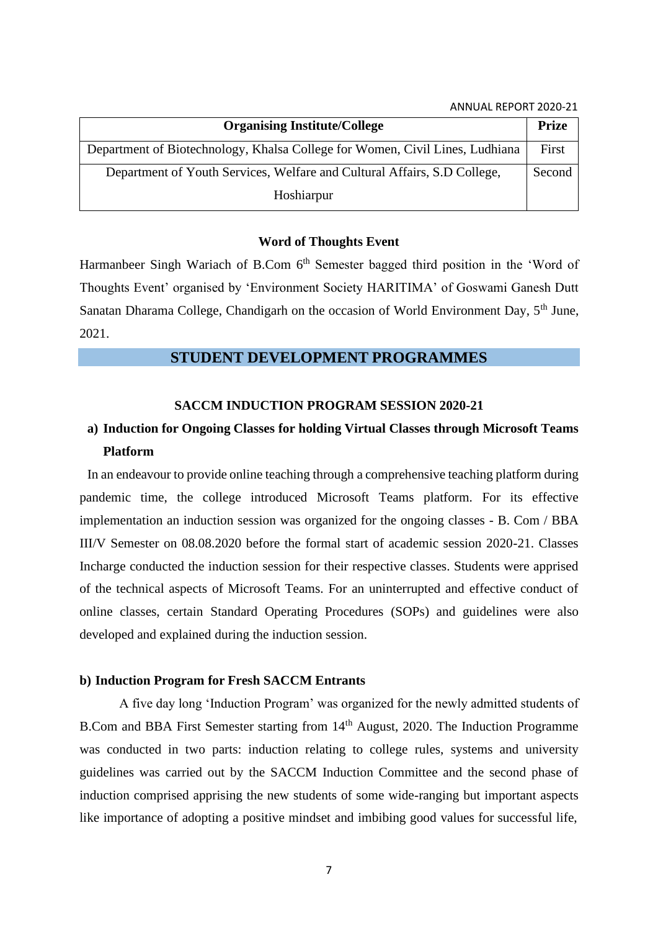| <b>Organising Institute/College</b>                                          | <b>Prize</b> |
|------------------------------------------------------------------------------|--------------|
| Department of Biotechnology, Khalsa College for Women, Civil Lines, Ludhiana | First        |
| Department of Youth Services, Welfare and Cultural Affairs, S.D College,     | Second       |
| Hoshiarpur                                                                   |              |

#### **Word of Thoughts Event**

Harmanbeer Singh Wariach of B.Com  $6<sup>th</sup>$  Semester bagged third position in the 'Word of Thoughts Event' organised by 'Environment Society HARITIMA' of Goswami Ganesh Dutt Sanatan Dharama College, Chandigarh on the occasion of World Environment Day, 5<sup>th</sup> June, 2021.

### **STUDENT DEVELOPMENT PROGRAMMES**

### **SACCM INDUCTION PROGRAM SESSION 2020-21**

## **a) Induction for Ongoing Classes for holding Virtual Classes through Microsoft Teams Platform**

In an endeavour to provide online teaching through a comprehensive teaching platform during pandemic time, the college introduced Microsoft Teams platform. For its effective implementation an induction session was organized for the ongoing classes - B. Com / BBA III/V Semester on 08.08.2020 before the formal start of academic session 2020-21. Classes Incharge conducted the induction session for their respective classes. Students were apprised of the technical aspects of Microsoft Teams. For an uninterrupted and effective conduct of online classes, certain Standard Operating Procedures (SOPs) and guidelines were also developed and explained during the induction session.

### **b) Induction Program for Fresh SACCM Entrants**

A five day long 'Induction Program' was organized for the newly admitted students of B.Com and BBA First Semester starting from 14th August, 2020. The Induction Programme was conducted in two parts: induction relating to college rules, systems and university guidelines was carried out by the SACCM Induction Committee and the second phase of induction comprised apprising the new students of some wide-ranging but important aspects like importance of adopting a positive mindset and imbibing good values for successful life,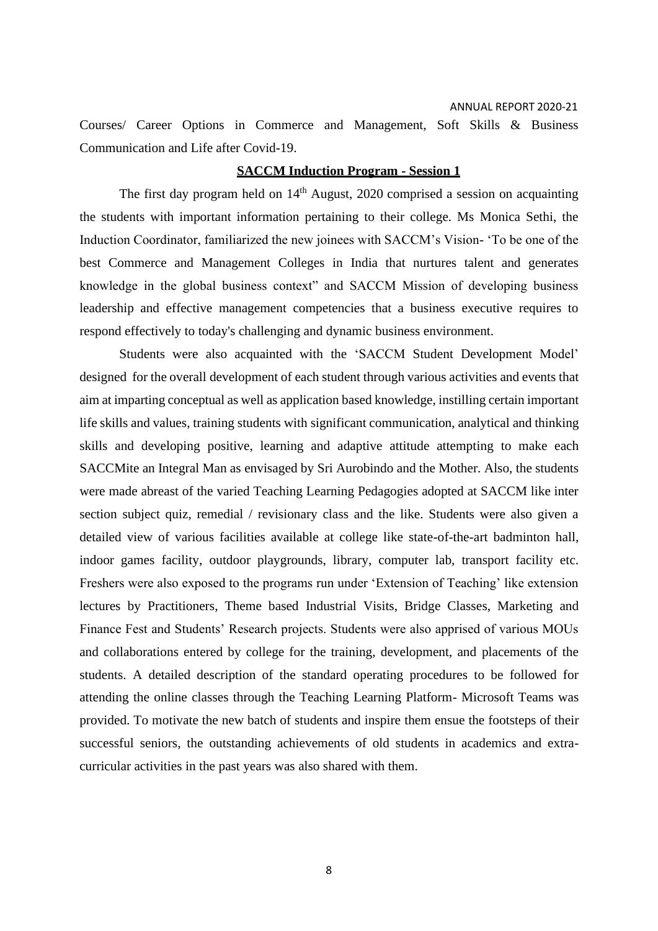Courses/ Career Options in Commerce and Management, Soft Skills & Business Communication and Life after Covid-19.

### **SACCM Induction Program - Session 1**

The first day program held on  $14<sup>th</sup>$  August, 2020 comprised a session on acquainting the students with important information pertaining to their college. Ms Monica Sethi, the Induction Coordinator, familiarized the new joinees with SACCM's Vision- 'To be one of the best Commerce and Management Colleges in India that nurtures talent and generates knowledge in the global business context" and SACCM Mission of developing business leadership and effective management competencies that a business executive requires to respond effectively to today's challenging and dynamic business environment.

Students were also acquainted with the 'SACCM Student Development Model' designed for the overall development of each student through various activities and events that aim at imparting conceptual as well as application based knowledge, instilling certain important life skills and values, training students with significant communication, analytical and thinking skills and developing positive, learning and adaptive attitude attempting to make each SACCMite an Integral Man as envisaged by Sri Aurobindo and the Mother. Also, the students were made abreast of the varied Teaching Learning Pedagogies adopted at SACCM like inter section subject quiz, remedial / revisionary class and the like. Students were also given a detailed view of various facilities available at college like state-of-the-art badminton hall, indoor games facility, outdoor playgrounds, library, computer lab, transport facility etc. Freshers were also exposed to the programs run under 'Extension of Teaching' like extension lectures by Practitioners, Theme based Industrial Visits, Bridge Classes, Marketing and Finance Fest and Students' Research projects. Students were also apprised of various MOUs and collaborations entered by college for the training, development, and placements of the students. A detailed description of the standard operating procedures to be followed for attending the online classes through the Teaching Learning Platform- Microsoft Teams was provided. To motivate the new batch of students and inspire them ensue the footsteps of their successful seniors, the outstanding achievements of old students in academics and extracurricular activities in the past years was also shared with them.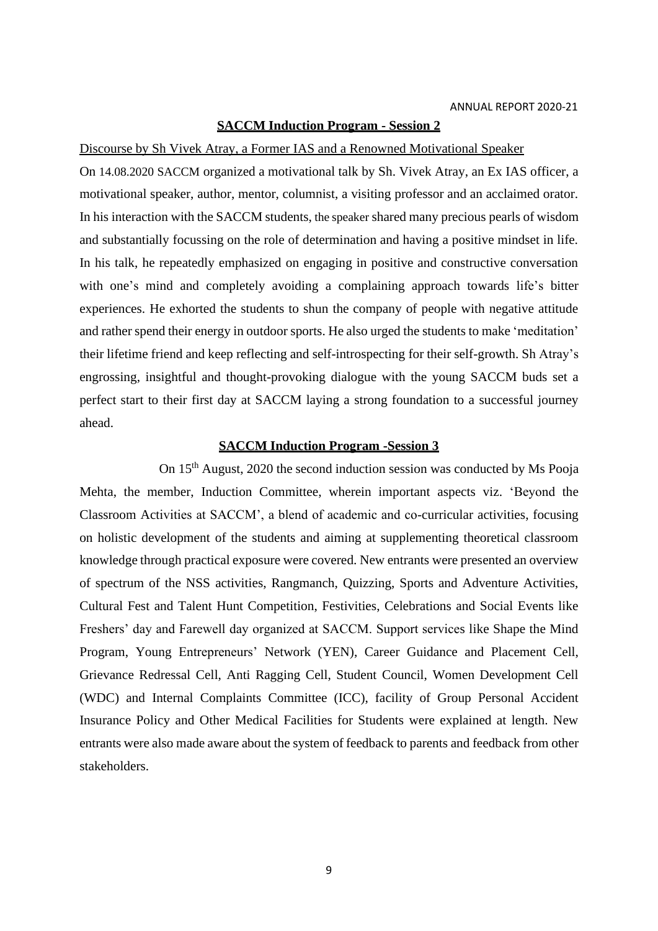### **SACCM Induction Program - Session 2**

Discourse by Sh Vivek Atray, a Former IAS and a Renowned Motivational Speaker

On 14.08.2020 SACCM organized a motivational talk by Sh. Vivek Atray, an Ex IAS officer, a motivational speaker, author, mentor, columnist, a visiting professor and an acclaimed orator. In his interaction with the SACCM students, the speaker shared many precious pearls of wisdom and substantially focussing on the role of determination and having a positive mindset in life. In his talk, he repeatedly emphasized on engaging in positive and constructive conversation with one's mind and completely avoiding a complaining approach towards life's bitter experiences. He exhorted the students to shun the company of people with negative attitude and rather spend their energy in outdoor sports. He also urged the students to make 'meditation' their lifetime friend and keep reflecting and self-introspecting for their self-growth. Sh Atray's engrossing, insightful and thought-provoking dialogue with the young SACCM buds set a perfect start to their first day at SACCM laying a strong foundation to a successful journey ahead.

### **SACCM Induction Program -Session 3**

On 15th August, 2020 the second induction session was conducted by Ms Pooja Mehta, the member, Induction Committee, wherein important aspects viz. 'Beyond the Classroom Activities at SACCM', a blend of academic and co-curricular activities, focusing on holistic development of the students and aiming at supplementing theoretical classroom knowledge through practical exposure were covered. New entrants were presented an overview of spectrum of the NSS activities, Rangmanch, Quizzing, Sports and Adventure Activities, Cultural Fest and Talent Hunt Competition, Festivities, Celebrations and Social Events like Freshers' day and Farewell day organized at SACCM. Support services like Shape the Mind Program, Young Entrepreneurs' Network (YEN), Career Guidance and Placement Cell, Grievance Redressal Cell, Anti Ragging Cell, Student Council, Women Development Cell (WDC) and Internal Complaints Committee (ICC), facility of Group Personal Accident Insurance Policy and Other Medical Facilities for Students were explained at length. New entrants were also made aware about the system of feedback to parents and feedback from other stakeholders.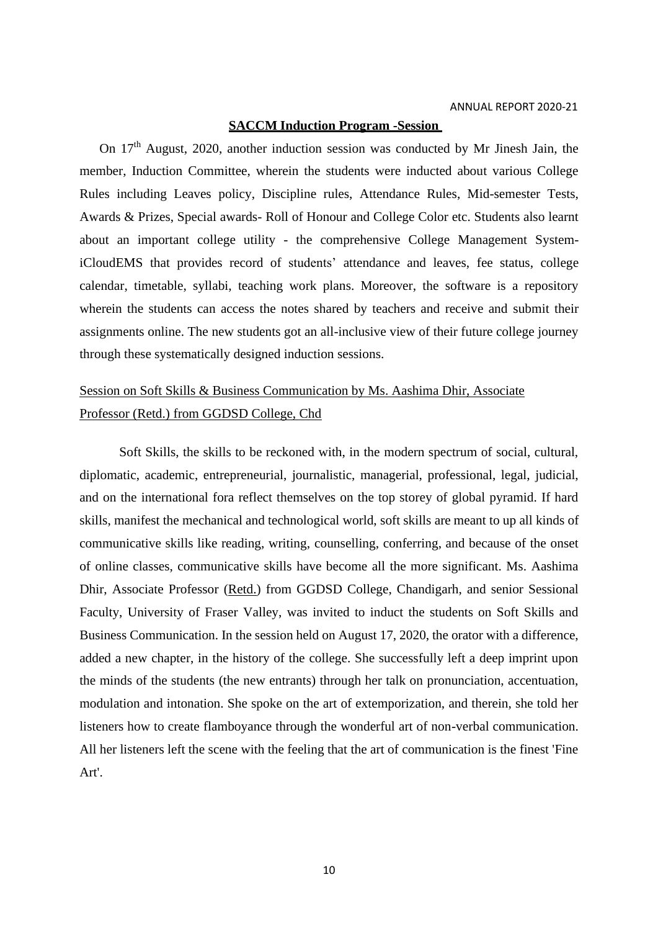### **SACCM Induction Program -Session**

On 17<sup>th</sup> August, 2020, another induction session was conducted by Mr Jinesh Jain, the member, Induction Committee, wherein the students were inducted about various College Rules including Leaves policy, Discipline rules, Attendance Rules, Mid-semester Tests, Awards & Prizes, Special awards- Roll of Honour and College Color etc. Students also learnt about an important college utility - the comprehensive College Management SystemiCloudEMS that provides record of students' attendance and leaves, fee status, college calendar, timetable, syllabi, teaching work plans. Moreover, the software is a repository wherein the students can access the notes shared by teachers and receive and submit their assignments online. The new students got an all-inclusive view of their future college journey through these systematically designed induction sessions.

## Session on Soft Skills & Business Communication by Ms. Aashima Dhir, Associate Professor (Retd.) from GGDSD College, Chd

Soft Skills, the skills to be reckoned with, in the modern spectrum of social, cultural, diplomatic, academic, entrepreneurial, journalistic, managerial, professional, legal, judicial, and on the international fora reflect themselves on the top storey of global pyramid. If hard skills, manifest the mechanical and technological world, soft skills are meant to up all kinds of communicative skills like reading, writing, counselling, conferring, and because of the onset of online classes, communicative skills have become all the more significant. Ms. Aashima Dhir, Associate Professor (Retd.) from GGDSD College, Chandigarh, and senior Sessional Faculty, University of Fraser Valley, was invited to induct the students on Soft Skills and Business Communication. In the session held on August 17, 2020, the orator with a difference, added a new chapter, in the history of the college. She successfully left a deep imprint upon the minds of the students (the new entrants) through her talk on pronunciation, accentuation, modulation and intonation. She spoke on the art of extemporization, and therein, she told her listeners how to create flamboyance through the wonderful art of non-verbal communication. All her listeners left the scene with the feeling that the art of communication is the finest 'Fine Art'.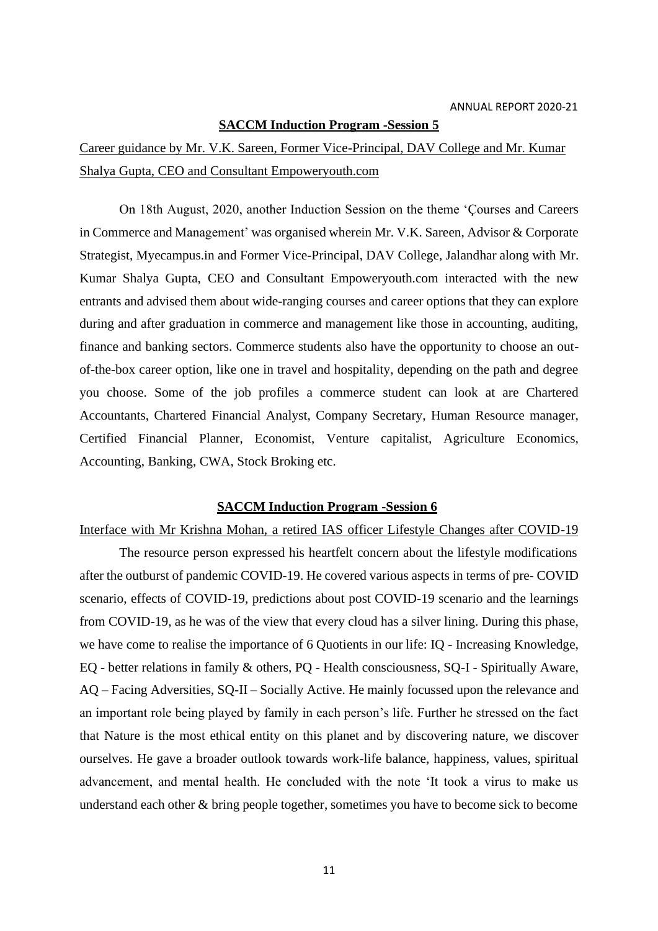#### **SACCM Induction Program -Session 5**

Career guidance by Mr. V.K. Sareen, Former Vice-Principal, DAV College and Mr. Kumar Shalya Gupta, CEO and Consultant Empoweryouth.com

On 18th August, 2020, another Induction Session on the theme 'Çourses and Careers in Commerce and Management' was organised wherein Mr. V.K. Sareen, Advisor & Corporate Strategist, Myecampus.in and Former Vice-Principal, DAV College, Jalandhar along with Mr. Kumar Shalya Gupta, CEO and Consultant Empoweryouth.com interacted with the new entrants and advised them about wide-ranging courses and career options that they can explore during and after graduation in commerce and management like those in accounting, auditing, finance and banking sectors. Commerce students also have the opportunity to choose an outof-the-box career option, like one in travel and hospitality, depending on the path and degree you choose. Some of the job profiles a commerce student can look at are [Chartered](https://www.indiaeducation.net/CareerCenter/Commerce/Chartered-Accountants/index.aspx) [Accountants,](https://www.indiaeducation.net/CareerCenter/Commerce/Chartered-Accountants/index.aspx) Chartered Financial Analyst, [Company Secretary,](https://www.indiaeducation.net/CareerCenter/Commerce/Company-Secretary/index.aspx) Human Resource manager, Certified Financial Planner, Economist, Venture capitalist, Agriculture [Economics,](https://www.indiaeducation.net/CareerCenter/Commerce/Agriculture-Economics/index.aspx) [Accounting,](https://www.indiaeducation.net/CareerCenter/Commerce/Accounting/index.aspx) [Banking,](https://www.indiaeducation.net/CareerCenter/Commerce/Banking/index.aspx) [CWA,](https://www.indiaeducation.net/CareerCenter/Commerce/CWA/index.aspx) [Stock Broking e](https://www.indiaeducation.net/CareerCenter/Commerce/Stock-Broking/index.aspx)tc.

### **SACCM Induction Program -Session 6**

### Interface with Mr Krishna Mohan, a retired IAS officer Lifestyle Changes after COVID-19

The resource person expressed his heartfelt concern about the lifestyle modifications after the outburst of pandemic COVID-19. He covered various aspects in terms of pre- COVID scenario, effects of COVID-19, predictions about post COVID-19 scenario and the learnings from COVID-19, as he was of the view that every cloud has a silver lining. During this phase, we have come to realise the importance of 6 Quotients in our life: IQ - Increasing Knowledge, EQ - better relations in family & others, PQ - Health consciousness, SQ-I - Spiritually Aware, AQ – Facing Adversities, SQ-II – Socially Active. He mainly focussed upon the relevance and an important role being played by family in each person's life. Further he stressed on the fact that Nature is the most ethical entity on this planet and by discovering nature, we discover ourselves. He gave a broader outlook towards work-life balance, happiness, values, spiritual advancement, and mental health. He concluded with the note 'It took a virus to make us understand each other & bring people together, sometimes you have to become sick to become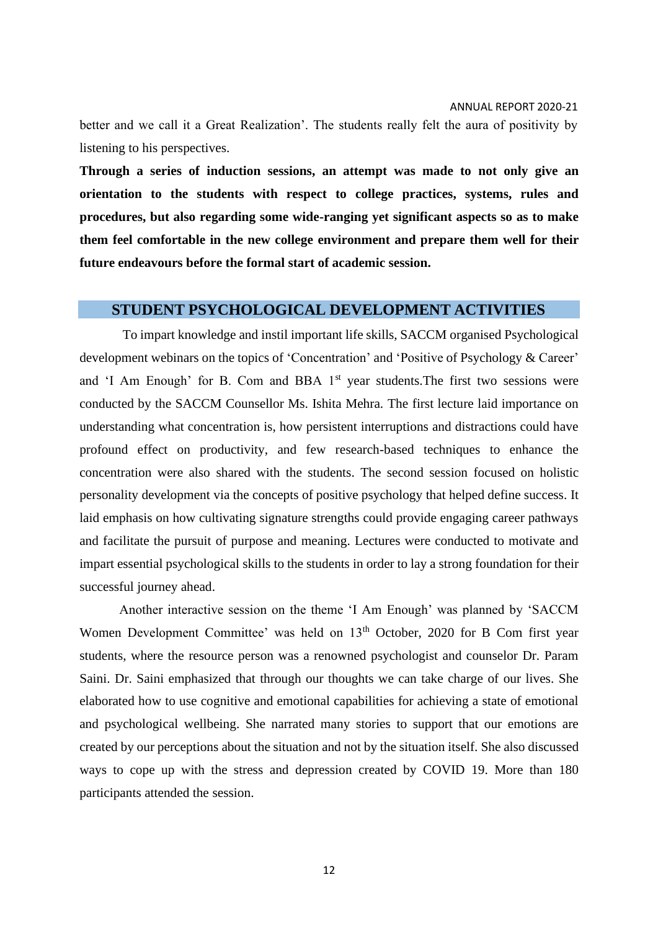better and we call it a Great Realization'. The students really felt the aura of positivity by listening to his perspectives.

**Through a series of induction sessions, an attempt was made to not only give an orientation to the students with respect to college practices, systems, rules and procedures, but also regarding some wide-ranging yet significant aspects so as to make them feel comfortable in the new college environment and prepare them well for their future endeavours before the formal start of academic session.**

### **STUDENT PSYCHOLOGICAL DEVELOPMENT ACTIVITIES**

To impart knowledge and instil important life skills, SACCM organised Psychological development webinars on the topics of 'Concentration' and 'Positive of Psychology & Career' and 'I Am Enough' for B. Com and BBA  $1<sup>st</sup>$  year students. The first two sessions were conducted by the SACCM Counsellor Ms. Ishita Mehra. The first lecture laid importance on understanding what concentration is, how persistent interruptions and distractions could have profound effect on productivity, and few research-based techniques to enhance the concentration were also shared with the students. The second session focused on holistic personality development via the concepts of positive psychology that helped define success. It laid emphasis on how cultivating signature strengths could provide engaging career pathways and facilitate the pursuit of purpose and meaning. Lectures were conducted to motivate and impart essential psychological skills to the students in order to lay a strong foundation for their successful journey ahead.

Another interactive session on the theme 'I Am Enough' was planned by 'SACCM Women Development Committee' was held on 13<sup>th</sup> October, 2020 for B Com first year students, where the resource person was a renowned psychologist and counselor Dr. Param Saini. Dr. Saini emphasized that through our thoughts we can take charge of our lives. She elaborated how to use cognitive and emotional capabilities for achieving a state of emotional and psychological wellbeing. She narrated many stories to support that our emotions are created by our perceptions about the situation and not by the situation itself. She also discussed ways to cope up with the stress and depression created by COVID 19. More than 180 participants attended the session.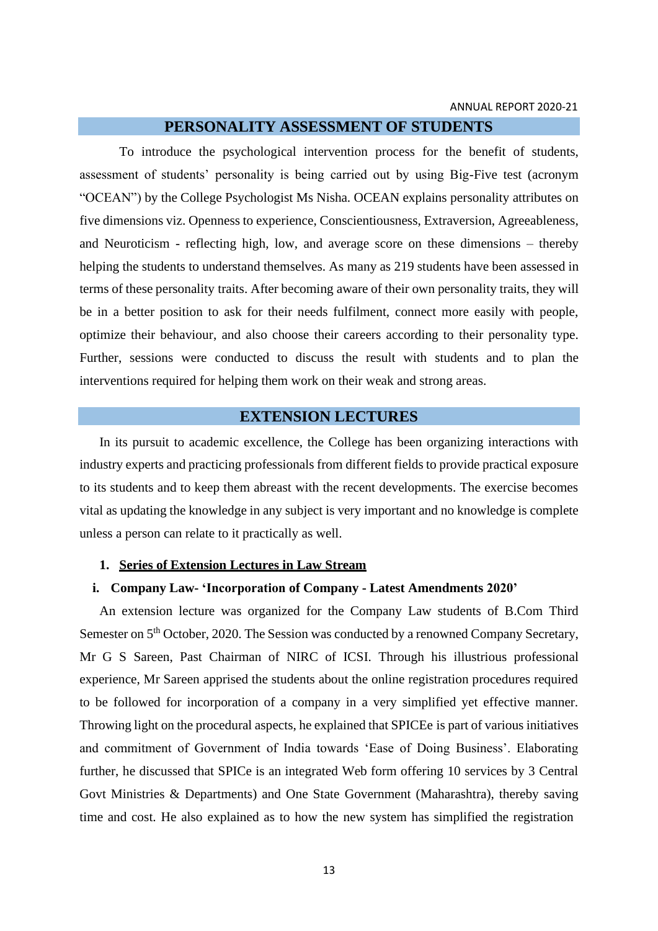### **PERSONALITY ASSESSMENT OF STUDENTS**

To introduce the psychological intervention process for the benefit of students, assessment of students' personality is being carried out by using Big-Five test (acronym "OCEAN") by the College Psychologist Ms Nisha. OCEAN explains personality attributes on five dimensions viz. Openness to experience, Conscientiousness, Extraversion, Agreeableness, and Neuroticism - reflecting high, low, and average score on these dimensions – thereby helping the students to understand themselves. As many as 219 students have been assessed in terms of these personality traits. After becoming aware of their own personality traits, they will be in a better position to ask for their needs fulfilment, connect more easily with people, optimize their behaviour, and also choose their careers according to their personality type. Further, sessions were conducted to discuss the result with students and to plan the interventions required for helping them work on their weak and strong areas.

### **EXTENSION LECTURES**

In its pursuit to academic excellence, the College has been organizing interactions with industry experts and practicing professionals from different fields to provide practical exposure to its students and to keep them abreast with the recent developments. The exercise becomes vital as updating the knowledge in any subject is very important and no knowledge is complete unless a person can relate to it practically as well.

#### **1. Series of Extension Lectures in Law Stream**

### **i. Company Law- 'Incorporation of Company - Latest Amendments 2020'**

An extension lecture was organized for the Company Law students of B.Com Third Semester on 5<sup>th</sup> October, 2020. The Session was conducted by a renowned Company Secretary, Mr G S Sareen, Past Chairman of NIRC of ICSI. Through his illustrious professional experience, Mr Sareen apprised the students about the online registration procedures required to be followed for incorporation of a company in a very simplified yet effective manner. Throwing light on the procedural aspects, he explained that SPICEe is part of various initiatives and commitment of Government of India towards 'Ease of Doing Business'. Elaborating further, he discussed that SPICe is an integrated Web form offering 10 services by 3 Central Govt Ministries & Departments) and One State Government (Maharashtra), thereby saving time and cost. He also explained as to how the new system has simplified the registration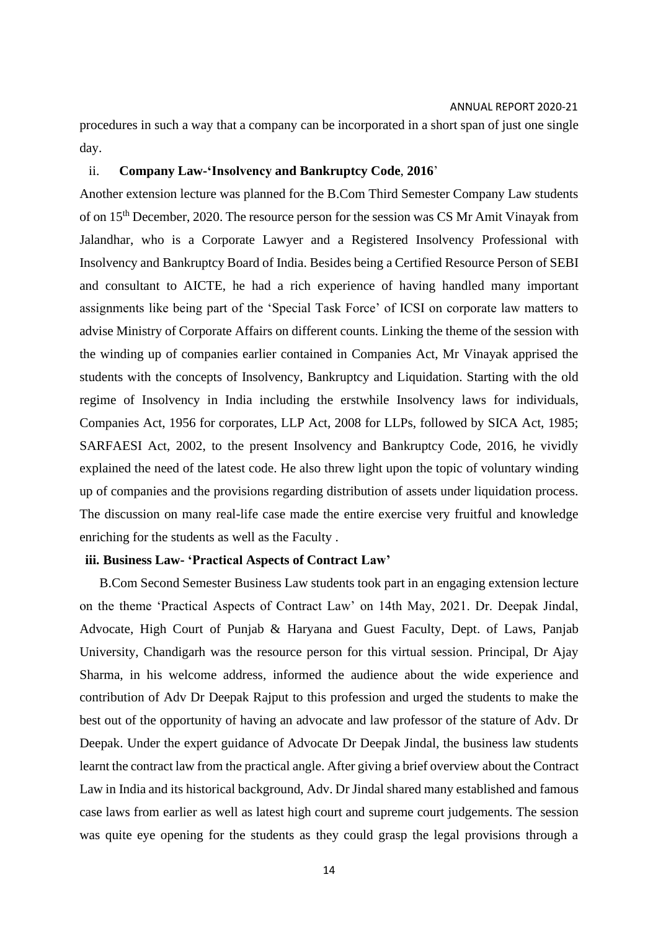procedures in such a way that a company can be incorporated in a short span of just one single day.

#### ii. **Company Law-'Insolvency and Bankruptcy Code**, **2016**'

Another extension lecture was planned for the B.Com Third Semester Company Law students of on 15th December, 2020. The resource person for the session was CS Mr Amit Vinayak from Jalandhar, who is a Corporate Lawyer and a Registered Insolvency Professional with Insolvency and Bankruptcy Board of India. Besides being a Certified Resource Person of SEBI and consultant to AICTE, he had a rich experience of having handled many important assignments like being part of the 'Special Task Force' of ICSI on corporate law matters to advise Ministry of Corporate Affairs on different counts. Linking the theme of the session with the winding up of companies earlier contained in Companies Act, Mr Vinayak apprised the students with the concepts of Insolvency, Bankruptcy and Liquidation. Starting with the old regime of Insolvency in India including the erstwhile Insolvency laws for individuals, Companies Act, 1956 for corporates, LLP Act, 2008 for LLPs, followed by SICA Act, 1985; SARFAESI Act, 2002, to the present Insolvency and Bankruptcy Code, 2016, he vividly explained the need of the latest code. He also threw light upon the topic of voluntary winding up of companies and the provisions regarding distribution of assets under liquidation process. The discussion on many real-life case made the entire exercise very fruitful and knowledge enriching for the students as well as the Faculty .

### **iii. Business Law- 'Practical Aspects of Contract Law'**

B.Com Second Semester Business Law students took part in an engaging extension lecture on the theme 'Practical Aspects of Contract Law' on 14th May, 2021. Dr. Deepak Jindal, Advocate, High Court of Punjab & Haryana and Guest Faculty, Dept. of Laws, Panjab University, Chandigarh was the resource person for this virtual session. Principal, Dr Ajay Sharma, in his welcome address, informed the audience about the wide experience and contribution of Adv Dr Deepak Rajput to this profession and urged the students to make the best out of the opportunity of having an advocate and law professor of the stature of Adv. Dr Deepak. Under the expert guidance of Advocate Dr Deepak Jindal, the business law students learnt the contract law from the practical angle. After giving a brief overview about the Contract Law in India and its historical background, Adv. Dr Jindal shared many established and famous case laws from earlier as well as latest high court and supreme court judgements. The session was quite eye opening for the students as they could grasp the legal provisions through a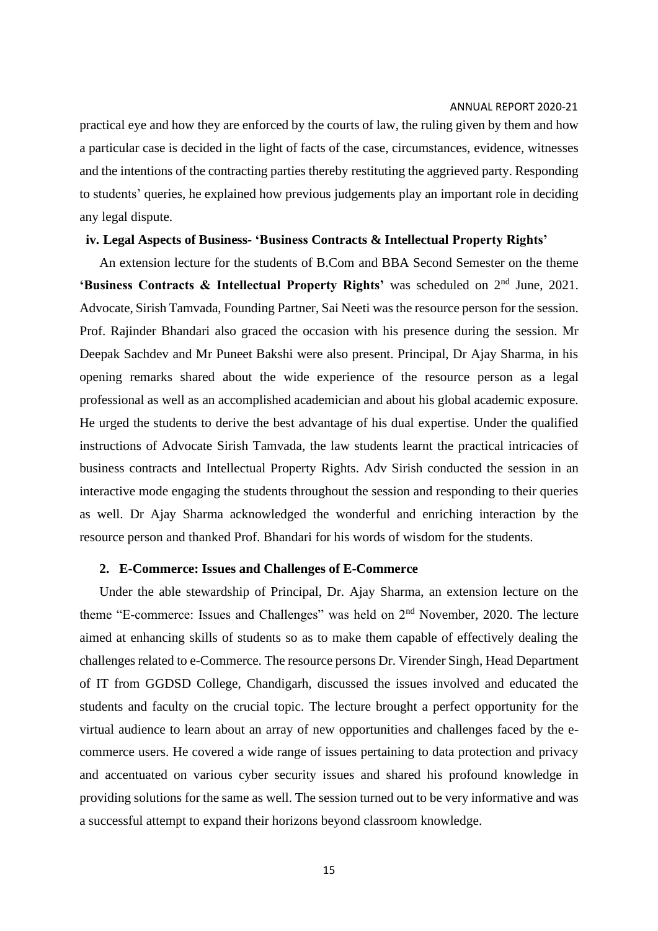practical eye and how they are enforced by the courts of law, the ruling given by them and how a particular case is decided in the light of facts of the case, circumstances, evidence, witnesses and the intentions of the contracting parties thereby restituting the aggrieved party. Responding to students' queries, he explained how previous judgements play an important role in deciding any legal dispute.

### **iv. Legal Aspects of Business- 'Business Contracts & Intellectual Property Rights'**

An extension lecture for the students of B.Com and BBA Second Semester on the theme 'Business Contracts & Intellectual Property Rights' was scheduled on 2<sup>nd</sup> June, 2021. Advocate, Sirish Tamvada, Founding Partner, Sai Neeti was the resource person for the session. Prof. Rajinder Bhandari also graced the occasion with his presence during the session. Mr Deepak Sachdev and Mr Puneet Bakshi were also present. Principal, Dr Ajay Sharma, in his opening remarks shared about the wide experience of the resource person as a legal professional as well as an accomplished academician and about his global academic exposure. He urged the students to derive the best advantage of his dual expertise. Under the qualified instructions of Advocate Sirish Tamvada, the law students learnt the practical intricacies of business contracts and Intellectual Property Rights. Adv Sirish conducted the session in an interactive mode engaging the students throughout the session and responding to their queries as well. Dr Ajay Sharma acknowledged the wonderful and enriching interaction by the resource person and thanked Prof. Bhandari for his words of wisdom for the students.

#### **2. E-Commerce: Issues and Challenges of E-Commerce**

Under the able stewardship of Principal, Dr. Ajay Sharma, an extension lecture on the theme "E-commerce: Issues and Challenges" was held on 2nd November, 2020. The lecture aimed at enhancing skills of students so as to make them capable of effectively dealing the challenges related to e-Commerce. The resource persons Dr. Virender Singh, Head Department of IT from GGDSD College, Chandigarh, discussed the issues involved and educated the students and faculty on the crucial topic. The lecture brought a perfect opportunity for the virtual audience to learn about an array of new opportunities and challenges faced by the ecommerce users. He covered a wide range of issues pertaining to data protection and privacy and accentuated on various cyber security issues and shared his profound knowledge in providing solutions for the same as well. The session turned out to be very informative and was a successful attempt to expand their horizons beyond classroom knowledge.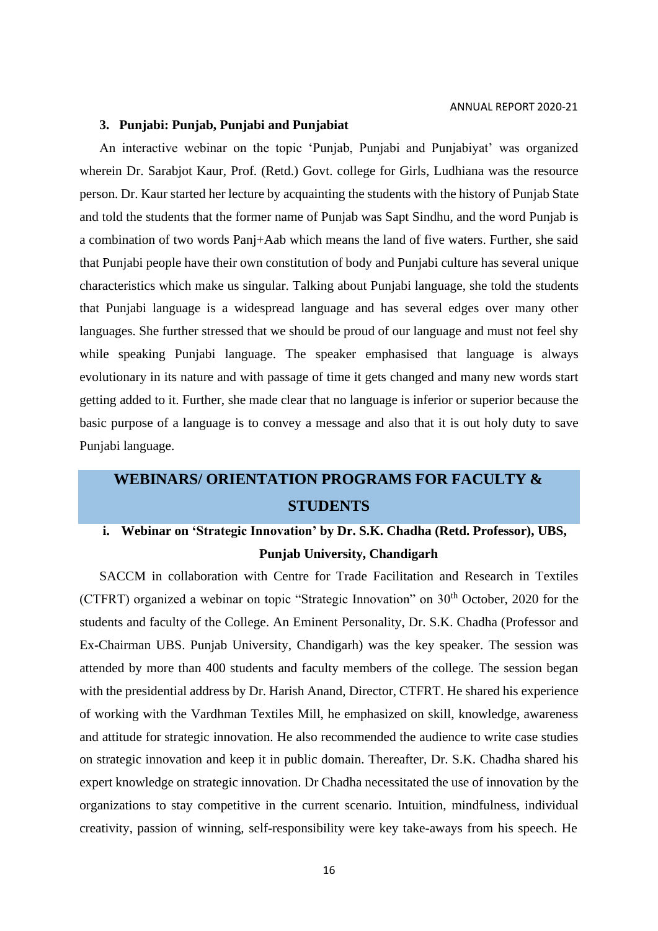### **3. Punjabi: Punjab, Punjabi and Punjabiat**

An interactive webinar on the topic 'Punjab, Punjabi and Punjabiyat' was organized wherein Dr. Sarabjot Kaur, Prof. (Retd.) Govt. college for Girls, Ludhiana was the resource person. Dr. Kaur started her lecture by acquainting the students with the history of Punjab State and told the students that the former name of Punjab was Sapt Sindhu, and the word Punjab is a combination of two words Panj+Aab which means the land of five waters. Further, she said that Punjabi people have their own constitution of body and Punjabi culture has several unique characteristics which make us singular. Talking about Punjabi language, she told the students that Punjabi language is a widespread language and has several edges over many other languages. She further stressed that we should be proud of our language and must not feel shy while speaking Punjabi language. The speaker emphasised that language is always evolutionary in its nature and with passage of time it gets changed and many new words start getting added to it. Further, she made clear that no language is inferior or superior because the basic purpose of a language is to convey a message and also that it is out holy duty to save Punjabi language.

## **WEBINARS/ ORIENTATION PROGRAMS FOR FACULTY & STUDENTS**

## **i. Webinar on 'Strategic Innovation' by Dr. S.K. Chadha (Retd. Professor), UBS, Punjab University, Chandigarh**

SACCM in collaboration with Centre for Trade Facilitation and Research in Textiles (CTFRT) organized a webinar on topic "Strategic Innovation" on  $30<sup>th</sup>$  October, 2020 for the students and faculty of the College. An Eminent Personality, Dr. S.K. Chadha (Professor and Ex-Chairman UBS. Punjab University, Chandigarh) was the key speaker. The session was attended by more than 400 students and faculty members of the college. The session began with the presidential address by Dr. Harish Anand, Director, CTFRT. He shared his experience of working with the Vardhman Textiles Mill, he emphasized on skill, knowledge, awareness and attitude for strategic innovation. He also recommended the audience to write case studies on strategic innovation and keep it in public domain. Thereafter, Dr. S.K. Chadha shared his expert knowledge on strategic innovation. Dr Chadha necessitated the use of innovation by the organizations to stay competitive in the current scenario. Intuition, mindfulness, individual creativity, passion of winning, self-responsibility were key take-aways from his speech. He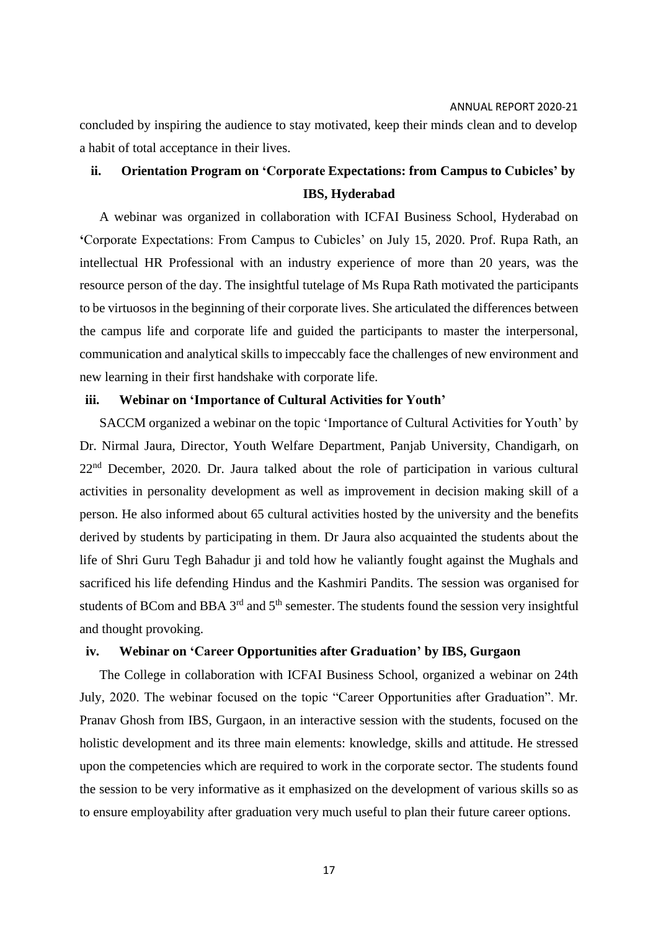concluded by inspiring the audience to stay motivated, keep their minds clean and to develop a habit of total acceptance in their lives.

## **ii. Orientation Program on 'Corporate Expectations: from Campus to Cubicles' by IBS, Hyderabad**

A webinar was organized in collaboration with ICFAI Business School, Hyderabad on **'**Corporate Expectations: From Campus to Cubicles' on July 15, 2020. Prof. Rupa Rath, an intellectual HR Professional with an industry experience of more than 20 years, was the resource person of the day. The insightful tutelage of Ms Rupa Rath motivated the participants to be virtuosos in the beginning of their corporate lives. She articulated the differences between the campus life and corporate life and guided the participants to master the interpersonal, communication and analytical skills to impeccably face the challenges of new environment and new learning in their first handshake with corporate life.

### **iii. Webinar on 'Importance of Cultural Activities for Youth'**

SACCM organized a webinar on the topic 'Importance of Cultural Activities for Youth' by Dr. Nirmal Jaura, Director, Youth Welfare Department, Panjab University, Chandigarh, on 22<sup>nd</sup> December, 2020. Dr. Jaura talked about the role of participation in various cultural activities in personality development as well as improvement in decision making skill of a person. He also informed about 65 cultural activities hosted by the university and the benefits derived by students by participating in them. Dr Jaura also acquainted the students about the life of Shri Guru Tegh Bahadur ji and told how he valiantly fought against the Mughals and sacrificed his life defending Hindus and the [Kashmiri Pandits.](https://en.wikipedia.org/wiki/Kashmiri_Pandit) The session was organised for students of BCom and BBA  $3<sup>rd</sup>$  and  $5<sup>th</sup>$  semester. The students found the session very insightful and thought provoking.

### **iv. Webinar on 'Career Opportunities after Graduation' by IBS, Gurgaon**

The College in collaboration with ICFAI Business School, organized a webinar on 24th July, 2020. The webinar focused on the topic "Career Opportunities after Graduation". Mr. Pranav Ghosh from IBS, Gurgaon, in an interactive session with the students, focused on the holistic development and its three main elements: knowledge, skills and attitude. He stressed upon the competencies which are required to work in the corporate sector. The students found the session to be very informative as it emphasized on the development of various skills so as to ensure employability after graduation very much useful to plan their future career options.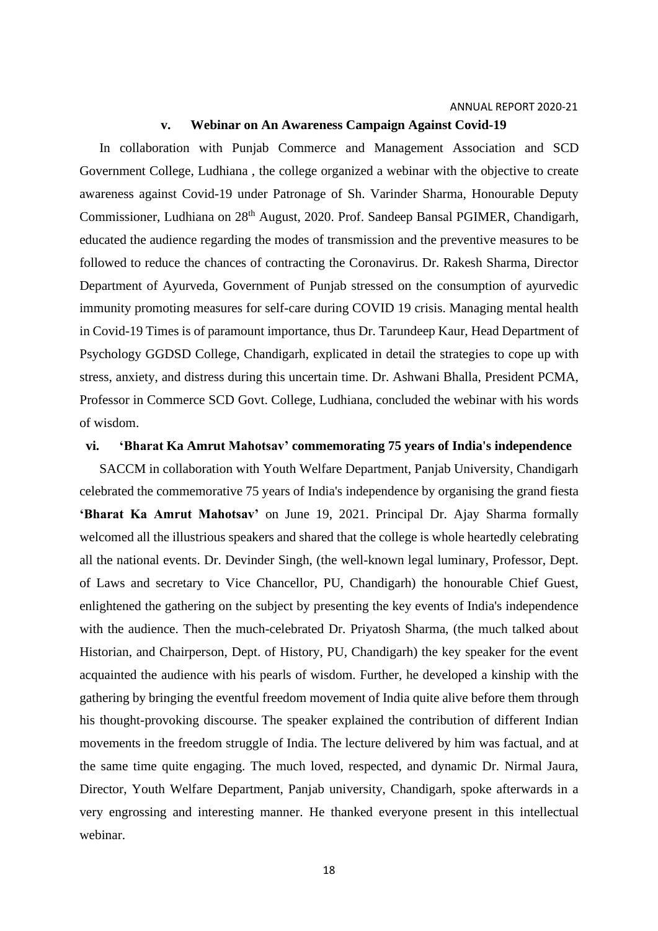#### **v. Webinar on An Awareness Campaign Against Covid-19**

In collaboration with Punjab Commerce and Management Association and SCD Government College, Ludhiana , the college organized a webinar with the objective to create awareness against Covid-19 under Patronage of Sh. Varinder Sharma, Honourable Deputy Commissioner, Ludhiana on 28<sup>th</sup> August, 2020. Prof. Sandeep Bansal PGIMER, Chandigarh, educated the audience regarding the modes of transmission and the preventive measures to be followed to reduce the chances of contracting the Coronavirus. Dr. Rakesh Sharma, Director Department of Ayurveda, Government of Punjab stressed on the consumption of ayurvedic immunity promoting measures for self-care during COVID 19 crisis. Managing mental health in Covid-19 Times is of paramount importance, thus Dr. Tarundeep Kaur, Head Department of Psychology GGDSD College, Chandigarh, explicated in detail the strategies to cope up with stress, anxiety, and distress during this uncertain time. Dr. Ashwani Bhalla, President PCMA, Professor in Commerce SCD Govt. College, Ludhiana, concluded the webinar with his words of wisdom.

### **vi. 'Bharat Ka Amrut Mahotsav' commemorating 75 years of India's independence**

SACCM in collaboration with Youth Welfare Department, Panjab University, Chandigarh celebrated the commemorative 75 years of India's independence by organising the grand fiesta **'Bharat Ka Amrut Mahotsav'** on June 19, 2021. Principal Dr. Ajay Sharma formally welcomed all the illustrious speakers and shared that the college is whole heartedly celebrating all the national events. Dr. Devinder Singh, (the well-known legal luminary, Professor, Dept. of Laws and secretary to Vice Chancellor, PU, Chandigarh) the honourable Chief Guest, enlightened the gathering on the subject by presenting the key events of India's independence with the audience. Then the much-celebrated Dr. Priyatosh Sharma, (the much talked about Historian, and Chairperson, Dept. of History, PU, Chandigarh) the key speaker for the event acquainted the audience with his pearls of wisdom. Further, he developed a kinship with the gathering by bringing the eventful freedom movement of India quite alive before them through his thought-provoking discourse. The speaker explained the contribution of different Indian movements in the freedom struggle of India. The lecture delivered by him was factual, and at the same time quite engaging. The much loved, respected, and dynamic Dr. Nirmal Jaura, Director, Youth Welfare Department, Panjab university, Chandigarh, spoke afterwards in a very engrossing and interesting manner. He thanked everyone present in this intellectual webinar.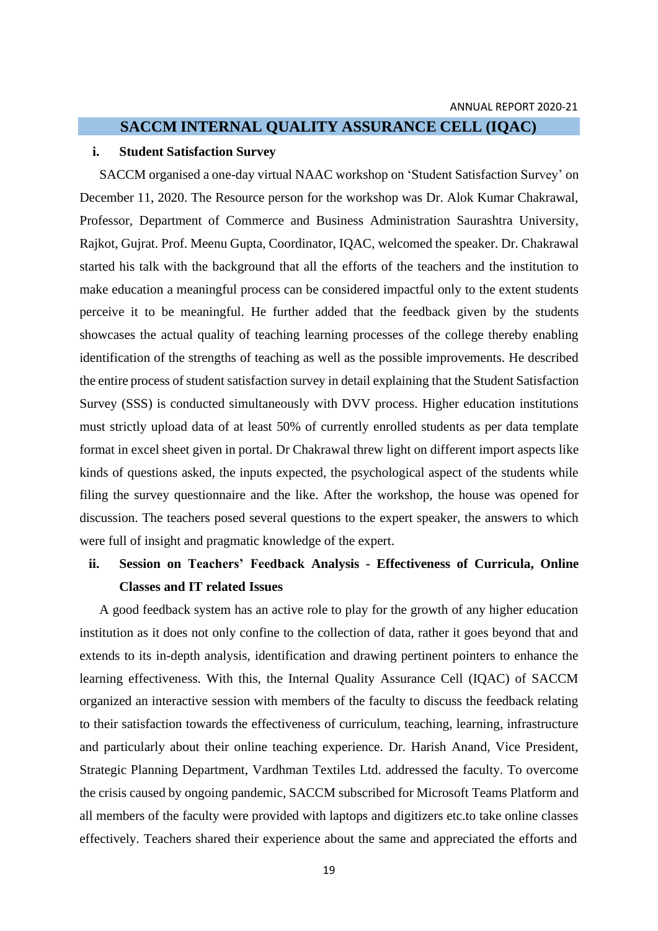### **SACCM INTERNAL QUALITY ASSURANCE CELL (IQAC)**

### **i. Student Satisfaction Survey**

SACCM organised a one-day virtual NAAC workshop on 'Student Satisfaction Survey' on December 11, 2020. The Resource person for the workshop was Dr. Alok Kumar Chakrawal, Professor, Department of Commerce and Business Administration Saurashtra University, Rajkot, Gujrat. Prof. Meenu Gupta, Coordinator, IQAC, welcomed the speaker. Dr. Chakrawal started his talk with the background that all the efforts of the teachers and the institution to make education a meaningful process can be considered impactful only to the extent students perceive it to be meaningful. He further added that the feedback given by the students showcases the actual quality of teaching learning processes of the college thereby enabling identification of the strengths of teaching as well as the possible improvements. He described the entire process of student satisfaction survey in detail explaining that the Student Satisfaction Survey (SSS) is conducted simultaneously with DVV process. Higher education institutions must strictly upload data of at least 50% of currently enrolled students as per data template format in excel sheet given in portal. Dr Chakrawal threw light on different import aspects like kinds of questions asked, the inputs expected, the psychological aspect of the students while filing the survey questionnaire and the like. After the workshop, the house was opened for discussion. The teachers posed several questions to the expert speaker, the answers to which were full of insight and pragmatic knowledge of the expert.

## **ii. Session on Teachers' Feedback Analysis - Effectiveness of Curricula, Online Classes and IT related Issues**

A good feedback system has an active role to play for the growth of any higher education institution as it does not only confine to the collection of data, rather it goes beyond that and extends to its in-depth analysis, identification and drawing pertinent pointers to enhance the learning effectiveness. With this, the Internal Quality Assurance Cell (IQAC) of SACCM organized an interactive session with members of the faculty to discuss the feedback relating to their satisfaction towards the effectiveness of curriculum, teaching, learning, infrastructure and particularly about their online teaching experience. Dr. Harish Anand, Vice President, Strategic Planning Department, Vardhman Textiles Ltd. addressed the faculty. To overcome the crisis caused by ongoing pandemic, SACCM subscribed for Microsoft Teams Platform and all members of the faculty were provided with laptops and digitizers etc.to take online classes effectively. Teachers shared their experience about the same and appreciated the efforts and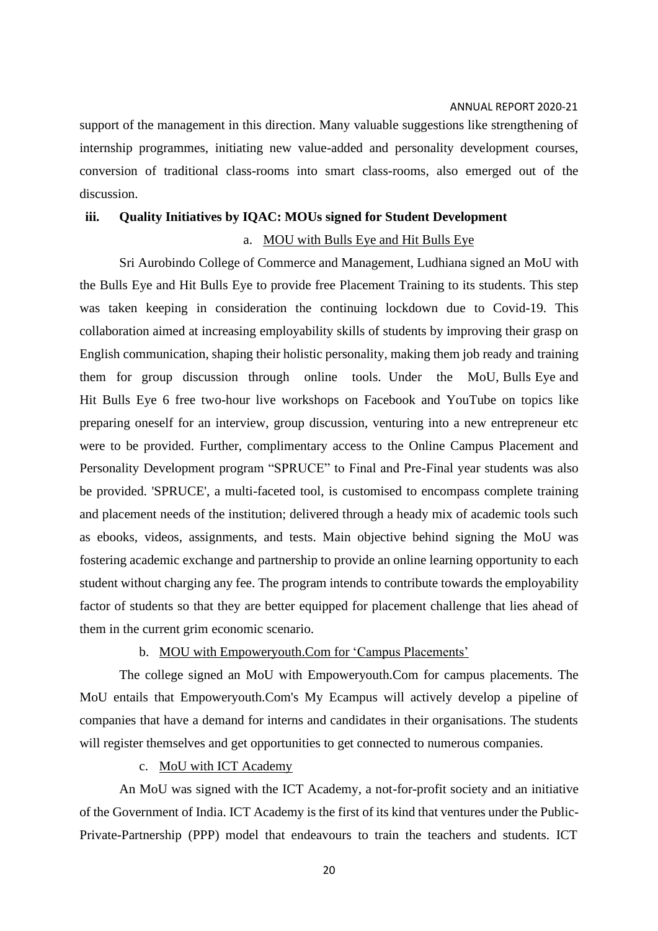support of the management in this direction. Many valuable suggestions like strengthening of internship programmes, initiating new value-added and personality development courses, conversion of traditional class-rooms into smart class-rooms, also emerged out of the discussion.

### **iii. Quality Initiatives by IQAC: MOUs signed for Student Development**

### a. MOU with Bulls Eye and Hit Bulls Eye

Sri Aurobindo College of Commerce and Management, Ludhiana signed an MoU with the Bulls Eye and Hit Bulls Eye to provide free Placement Training to its students. This step was taken keeping in consideration the continuing lockdown due to Covid-19. This collaboration aimed at increasing employability skills of students by improving their grasp on English communication, shaping their holistic personality, making them job ready and training them for group discussion through online tools. Under the MoU, Bulls Eye and Hit Bulls Eye 6 free two-hour live workshops on Facebook and YouTube on topics like preparing oneself for an interview, group discussion, venturing into a new entrepreneur etc were to be provided. Further, complimentary access to the Online Campus Placement and Personality Development program "SPRUCE" to Final and Pre-Final year students was also be provided. 'SPRUCE', a multi-faceted tool, is customised to encompass complete training and placement needs of the institution; delivered through a heady mix of academic tools such as ebooks, videos, assignments, and tests. Main objective behind signing the MoU was fostering academic exchange and partnership to provide an online learning opportunity to each student without charging any fee. The program intends to contribute towards the employability factor of students so that they are better equipped for placement challenge that lies ahead of them in the current grim economic scenario.

### b. MOU with Empoweryouth.Com for 'Campus Placements'

The college signed an MoU with Empoweryouth.Com for campus placements. The MoU entails that Empoweryouth.Com's My Ecampus will actively develop a pipeline of companies that have a demand for interns and candidates in their organisations. The students will register themselves and get opportunities to get connected to numerous companies.

c. MoU with ICT Academy

An MoU was signed with the ICT Academy, a not-for-profit society and an initiative of the Government of India. ICT Academy is the first of its kind that ventures under the Public-Private-Partnership (PPP) model that endeavours to train the teachers and students. ICT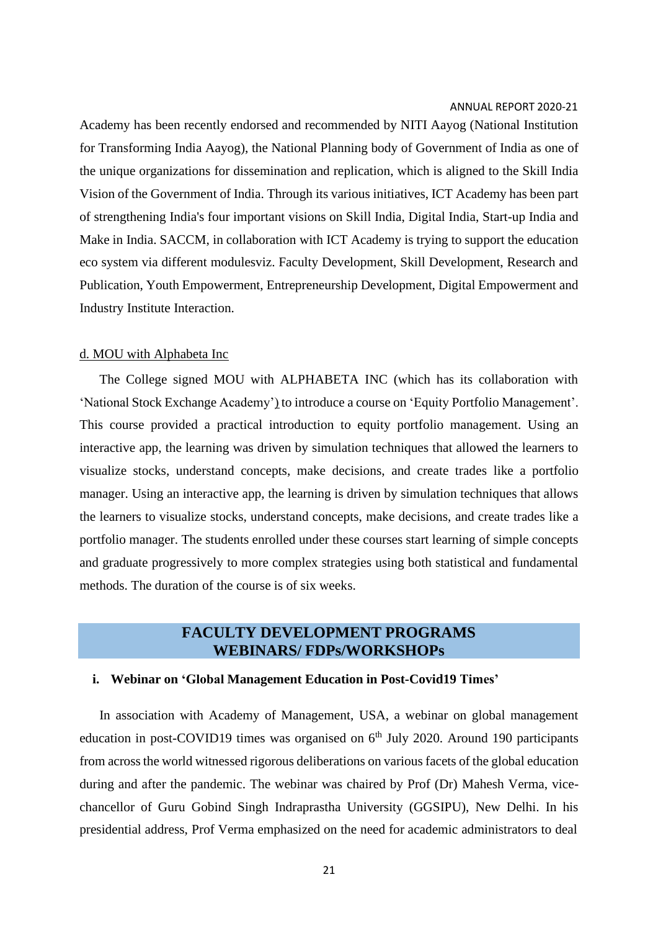Academy has been recently endorsed and recommended by NITI Aayog (National Institution for Transforming India Aayog), the National Planning body of Government of India as one of the unique organizations for dissemination and replication, which is aligned to the Skill India Vision of the Government of India. Through its various initiatives, ICT Academy has been part of strengthening India's four important visions on Skill India, Digital India, Start-up India and Make in India. SACCM, in collaboration with ICT Academy is trying to support the education eco system via different modulesviz. Faculty Development, Skill Development, Research and Publication, Youth Empowerment, Entrepreneurship Development, Digital Empowerment and Industry Institute Interaction.

#### d. MOU with Alphabeta Inc

The College signed MOU with ALPHABETA INC (which has its collaboration with 'National Stock Exchange Academy') to introduce a course on 'Equity Portfolio Management'. This course provided a practical introduction to equity portfolio management. Using an interactive app, the learning was driven by simulation techniques that allowed the learners to visualize stocks, understand concepts, make decisions, and create trades like a portfolio manager. Using an interactive app, the learning is driven by simulation techniques that allows the learners to visualize stocks, understand concepts, make decisions, and create trades like a portfolio manager. The students enrolled under these courses start learning of simple concepts and graduate progressively to more complex strategies using both statistical and fundamental methods. The duration of the course is of six weeks.

### **FACULTY DEVELOPMENT PROGRAMS WEBINARS/ FDPs/WORKSHOPs**

#### **i. Webinar on 'Global Management Education in Post-Covid19 Times'**

In association with Academy of Management, USA, a webinar on global management education in post-COVID19 times was organised on  $6<sup>th</sup>$  July 2020. Around 190 participants from acrossthe world witnessed rigorous deliberations on various facets of the global education during and after the pandemic. The webinar was chaired by Prof (Dr) Mahesh Verma, vicechancellor of Guru Gobind Singh Indraprastha University (GGSIPU), New Delhi. In his presidential address, Prof Verma emphasized on the need for academic administrators to deal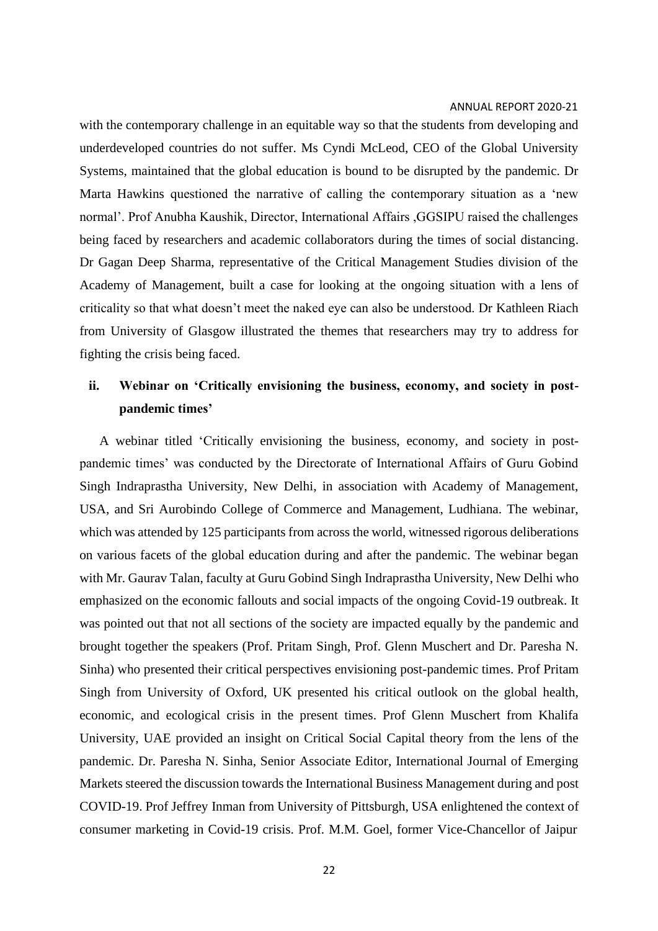with the contemporary challenge in an equitable way so that the students from developing and underdeveloped countries do not suffer. Ms Cyndi McLeod, CEO of the Global University Systems, maintained that the global education is bound to be disrupted by the pandemic. Dr Marta Hawkins questioned the narrative of calling the contemporary situation as a 'new normal'. Prof Anubha Kaushik, Director, International Affairs ,GGSIPU raised the challenges being faced by researchers and academic collaborators during the times of social distancing. Dr Gagan Deep Sharma, representative of the Critical Management Studies division of the Academy of Management, built a case for looking at the ongoing situation with a lens of criticality so that what doesn't meet the naked eye can also be understood. Dr Kathleen Riach from University of Glasgow illustrated the themes that researchers may try to address for fighting the crisis being faced.

## **ii. Webinar on 'Critically envisioning the business, economy, and society in postpandemic times'**

A webinar titled 'Critically envisioning the business, economy, and society in postpandemic times' was conducted by the Directorate of International Affairs of Guru Gobind Singh Indraprastha University, New Delhi, in association with Academy of Management, USA, and Sri Aurobindo College of Commerce and Management, Ludhiana. The webinar, which was attended by 125 participants from across the world, witnessed rigorous deliberations on various facets of the global education during and after the pandemic. The webinar began with Mr. Gaurav Talan, faculty at Guru Gobind Singh Indraprastha University, New Delhi who emphasized on the economic fallouts and social impacts of the ongoing Covid-19 outbreak. It was pointed out that not all sections of the society are impacted equally by the pandemic and brought together the speakers (Prof. Pritam Singh, Prof. Glenn Muschert and Dr. Paresha N. Sinha) who presented their critical perspectives envisioning post-pandemic times. Prof Pritam Singh from University of Oxford, UK presented his critical outlook on the global health, economic, and ecological crisis in the present times. Prof Glenn Muschert from Khalifa University, UAE provided an insight on Critical Social Capital theory from the lens of the pandemic. Dr. Paresha N. Sinha, Senior Associate Editor, International Journal of Emerging Markets steered the discussion towards the International Business Management during and post COVID-19. Prof Jeffrey Inman from University of Pittsburgh, USA enlightened the context of consumer marketing in Covid-19 crisis. Prof. M.M. Goel, former Vice-Chancellor of Jaipur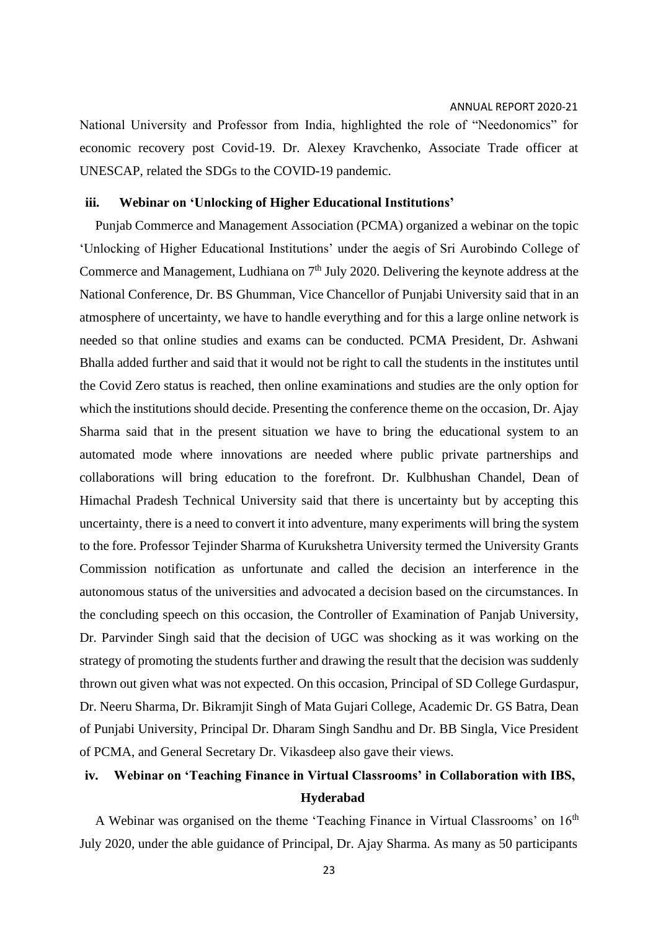National University and Professor from India, highlighted the role of "Needonomics" for economic recovery post Covid-19. Dr. Alexey Kravchenko, Associate Trade officer at UNESCAP, related the SDGs to the COVID-19 pandemic.

### **iii. Webinar on 'Unlocking of Higher Educational Institutions'**

Punjab Commerce and Management Association (PCMA) organized a webinar on the topic 'Unlocking of Higher Educational Institutions' under the aegis of Sri Aurobindo College of Commerce and Management, Ludhiana on  $7<sup>th</sup>$  July 2020. Delivering the keynote address at the National Conference, Dr. BS Ghumman, Vice Chancellor of Punjabi University said that in an atmosphere of uncertainty, we have to handle everything and for this a large online network is needed so that online studies and exams can be conducted. PCMA President, Dr. Ashwani Bhalla added further and said that it would not be right to call the students in the institutes until the Covid Zero status is reached, then online examinations and studies are the only option for which the institutions should decide. Presenting the conference theme on the occasion, Dr. Ajay Sharma said that in the present situation we have to bring the educational system to an automated mode where innovations are needed where public private partnerships and collaborations will bring education to the forefront. Dr. Kulbhushan Chandel, Dean of Himachal Pradesh Technical University said that there is uncertainty but by accepting this uncertainty, there is a need to convert it into adventure, many experiments will bring the system to the fore. Professor Tejinder Sharma of Kurukshetra University termed the University Grants Commission notification as unfortunate and called the decision an interference in the autonomous status of the universities and advocated a decision based on the circumstances. In the concluding speech on this occasion, the Controller of Examination of Panjab University, Dr. Parvinder Singh said that the decision of UGC was shocking as it was working on the strategy of promoting the students further and drawing the result that the decision was suddenly thrown out given what was not expected. On this occasion, Principal of SD College Gurdaspur, Dr. Neeru Sharma, Dr. Bikramjit Singh of Mata Gujari College, Academic Dr. GS Batra, Dean of Punjabi University, Principal Dr. Dharam Singh Sandhu and Dr. BB Singla, Vice President of PCMA, and General Secretary Dr. Vikasdeep also gave their views.

## **iv. Webinar on 'Teaching Finance in Virtual Classrooms' in Collaboration with IBS, Hyderabad**

A Webinar was organised on the theme 'Teaching Finance in Virtual Classrooms' on  $16<sup>th</sup>$ July 2020, under the able guidance of Principal, Dr. Ajay Sharma. As many as 50 participants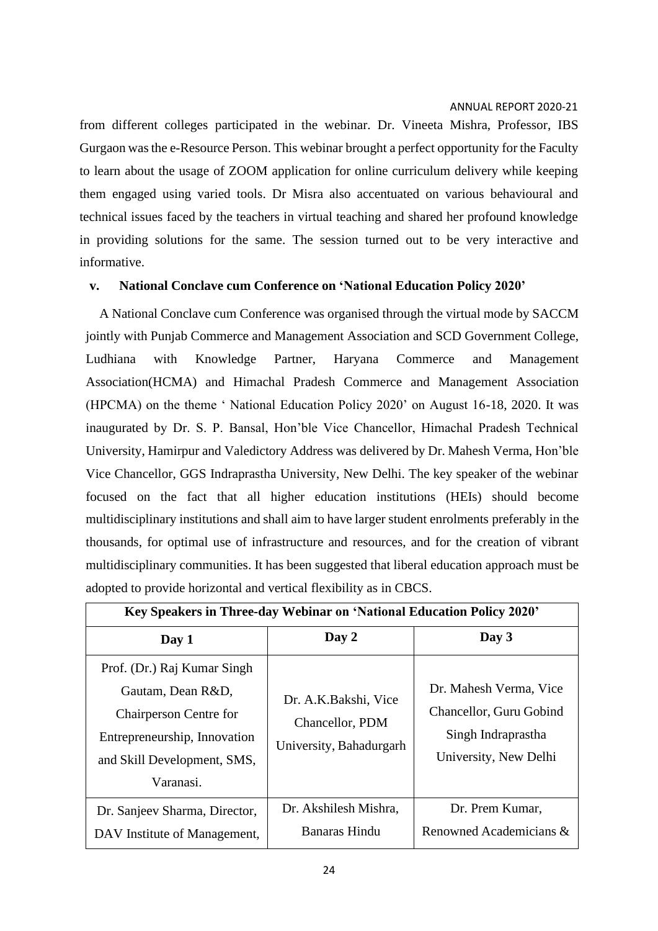from different colleges participated in the webinar. Dr. Vineeta Mishra, Professor, IBS Gurgaon wasthe e-Resource Person. This webinar brought a perfect opportunity for the Faculty to learn about the usage of ZOOM application for online curriculum delivery while keeping them engaged using varied tools. Dr Misra also accentuated on various behavioural and technical issues faced by the teachers in virtual teaching and shared her profound knowledge in providing solutions for the same. The session turned out to be very interactive and informative.

### **v. National Conclave cum Conference on 'National Education Policy 2020'**

A National Conclave cum Conference was organised through the virtual mode by SACCM jointly with Punjab Commerce and Management Association and SCD Government College, Ludhiana with Knowledge Partner, Haryana Commerce and Management Association(HCMA) and Himachal Pradesh Commerce and Management Association (HPCMA) on the theme ' National Education Policy 2020' on August 16-18, 2020. It was inaugurated by Dr. S. P. Bansal, Hon'ble Vice Chancellor, Himachal Pradesh Technical University, Hamirpur and Valedictory Address was delivered by Dr. Mahesh Verma, Hon'ble Vice Chancellor, GGS Indraprastha University, New Delhi. The key speaker of the webinar focused on the fact that all higher education institutions (HEIs) should become multidisciplinary institutions and shall aim to have larger student enrolments preferably in the thousands, for optimal use of infrastructure and resources, and for the creation of vibrant multidisciplinary communities. It has been suggested that liberal education approach must be adopted to provide horizontal and vertical flexibility as in CBCS.

| Key Speakers in Three-day Webinar on 'National Education Policy 2020'                                                                                         |                                                                    |                                                                                                  |  |  |
|---------------------------------------------------------------------------------------------------------------------------------------------------------------|--------------------------------------------------------------------|--------------------------------------------------------------------------------------------------|--|--|
| Day 1                                                                                                                                                         | Day 2                                                              | Day 3                                                                                            |  |  |
| Prof. (Dr.) Raj Kumar Singh<br>Gautam, Dean R&D,<br><b>Chairperson Centre for</b><br>Entrepreneurship, Innovation<br>and Skill Development, SMS,<br>Varanasi. | Dr. A.K.Bakshi, Vice<br>Chancellor, PDM<br>University, Bahadurgarh | Dr. Mahesh Verma, Vice<br>Chancellor, Guru Gobind<br>Singh Indraprastha<br>University, New Delhi |  |  |
| Dr. Sanjeev Sharma, Director,<br>DAV Institute of Management,                                                                                                 | Dr. Akshilesh Mishra,<br>Banaras Hindu                             | Dr. Prem Kumar,<br>Renowned Academicians &                                                       |  |  |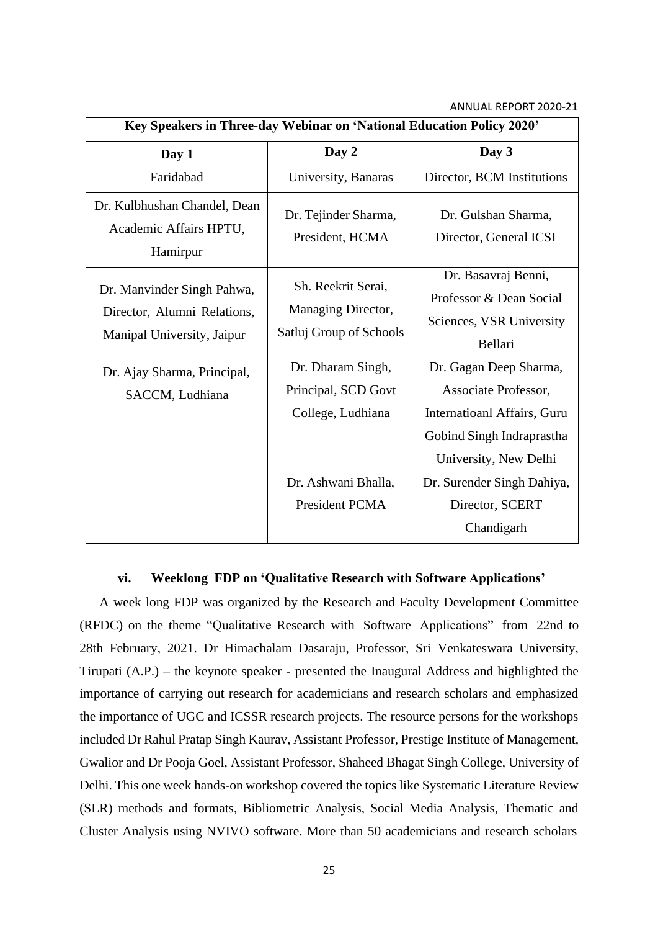| Key Speakers in Three-day Webinar on 'National Education Policy 2020'                   |                                                                     |                                                                                                                                     |  |  |
|-----------------------------------------------------------------------------------------|---------------------------------------------------------------------|-------------------------------------------------------------------------------------------------------------------------------------|--|--|
| Day 1                                                                                   | Day 2                                                               | Day 3                                                                                                                               |  |  |
| Faridabad                                                                               | University, Banaras                                                 | Director, BCM Institutions                                                                                                          |  |  |
| Dr. Kulbhushan Chandel, Dean<br>Academic Affairs HPTU,<br>Hamirpur                      | Dr. Tejinder Sharma,<br>President, HCMA                             | Dr. Gulshan Sharma,<br>Director, General ICSI                                                                                       |  |  |
| Dr. Manvinder Singh Pahwa,<br>Director, Alumni Relations,<br>Manipal University, Jaipur | Sh. Reekrit Serai,<br>Managing Director,<br>Satluj Group of Schools | Dr. Basavraj Benni,<br>Professor & Dean Social<br>Sciences, VSR University<br>Bellari                                               |  |  |
| Dr. Ajay Sharma, Principal,<br>SACCM, Ludhiana                                          | Dr. Dharam Singh,<br>Principal, SCD Govt<br>College, Ludhiana       | Dr. Gagan Deep Sharma,<br>Associate Professor,<br>Internatioanl Affairs, Guru<br>Gobind Singh Indraprastha<br>University, New Delhi |  |  |
|                                                                                         | Dr. Ashwani Bhalla,<br>President PCMA                               | Dr. Surender Singh Dahiya,<br>Director, SCERT<br>Chandigarh                                                                         |  |  |

### **vi. Weeklong FDP on 'Qualitative Research with Software Applications'**

A week long FDP was organized by the Research and Faculty Development Committee (RFDC) on the theme "Qualitative Research with Software Applications" from 22nd to 28th February, 2021. Dr Himachalam Dasaraju, Professor, Sri Venkateswara University, Tirupati (A.P.) – the keynote speaker - presented the Inaugural Address and highlighted the importance of carrying out research for academicians and research scholars and emphasized the importance of UGC and ICSSR research projects. The resource persons for the workshops included Dr Rahul Pratap Singh Kaurav, Assistant Professor, Prestige Institute of Management, Gwalior and Dr Pooja Goel, Assistant Professor, Shaheed Bhagat Singh College, University of Delhi. This one week hands-on workshop covered the topics like Systematic Literature Review (SLR) methods and formats, Bibliometric Analysis, Social Media Analysis, Thematic and Cluster Analysis using NVIVO software. More than 50 academicians and research scholars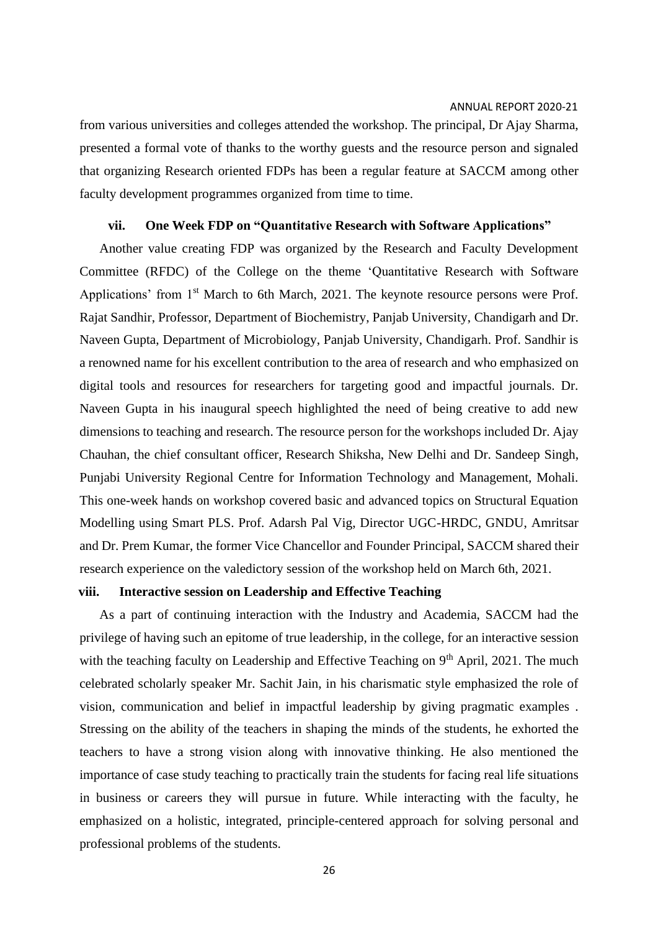from various universities and colleges attended the workshop. The principal, Dr Ajay Sharma, presented a formal vote of thanks to the worthy guests and the resource person and signaled that organizing Research oriented FDPs has been a regular feature at SACCM among other faculty development programmes organized from time to time.

### **vii. One Week FDP on "Quantitative Research with Software Applications"**

Another value creating FDP was organized by the Research and Faculty Development Committee (RFDC) of the College on the theme 'Quantitative Research with Software Applications' from 1<sup>st</sup> March to 6th March, 2021. The keynote resource persons were Prof. Rajat Sandhir, Professor, Department of Biochemistry, Panjab University, Chandigarh and Dr. Naveen Gupta, Department of Microbiology, Panjab University, Chandigarh. Prof. Sandhir is a renowned name for his excellent contribution to the area of research and who emphasized on digital tools and resources for researchers for targeting good and impactful journals. Dr. Naveen Gupta in his inaugural speech highlighted the need of being creative to add new dimensions to teaching and research. The resource person for the workshops included Dr. Ajay Chauhan, the chief consultant officer, Research Shiksha, New Delhi and Dr. Sandeep Singh, Punjabi University Regional Centre for Information Technology and Management, Mohali. This one-week hands on workshop covered basic and advanced topics on Structural Equation Modelling using Smart PLS. Prof. Adarsh Pal Vig, Director UGC-HRDC, GNDU, Amritsar and Dr. Prem Kumar, the former Vice Chancellor and Founder Principal, SACCM shared their research experience on the valedictory session of the workshop held on March 6th, 2021.

#### **viii. Interactive session on Leadership and Effective Teaching**

As a part of continuing interaction with the Industry and Academia, SACCM had the privilege of having such an epitome of true leadership, in the college, for an interactive session with the teaching faculty on Leadership and Effective Teaching on 9<sup>th</sup> April, 2021. The much celebrated scholarly speaker Mr. Sachit Jain, in his charismatic style emphasized the role of vision, communication and belief in impactful leadership by giving pragmatic examples . Stressing on the ability of the teachers in shaping the minds of the students, he exhorted the teachers to have a strong vision along with innovative thinking. He also mentioned the importance of case study teaching to practically train the students for facing real life situations in business or careers they will pursue in future. While interacting with the faculty, he emphasized on a holistic, integrated, principle-centered approach for solving personal and professional problems of the students.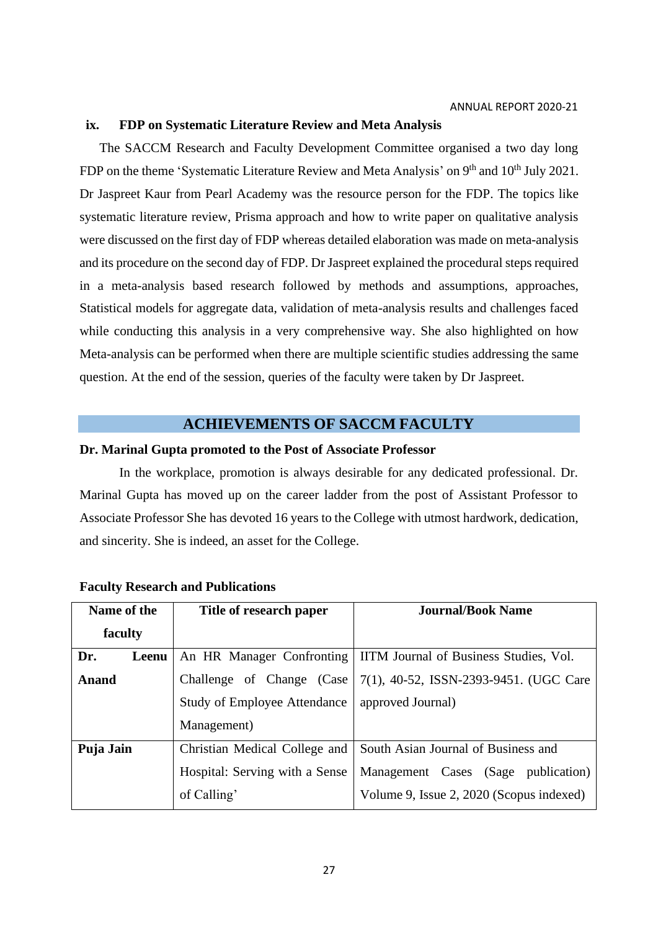### **ix. FDP on Systematic Literature Review and Meta Analysis**

The SACCM Research and Faculty Development Committee organised a two day long FDP on the theme 'Systematic Literature Review and Meta Analysis' on  $9<sup>th</sup>$  and  $10<sup>th</sup>$  July 2021. Dr Jaspreet Kaur from Pearl Academy was the resource person for the FDP. The topics like systematic literature review, Prisma approach and how to write paper on qualitative analysis were discussed on the first day of FDP whereas detailed elaboration was made on meta-analysis and its procedure on the second day of FDP. Dr Jaspreet explained the procedural steps required in a meta-analysis based research followed by methods and assumptions, approaches, Statistical models for aggregate data, validation of meta-analysis results and challenges faced while conducting this analysis in a very comprehensive way. She also highlighted on how Meta-analysis can be performed when there are multiple scientific studies addressing the same question. At the end of the session, queries of the faculty were taken by Dr Jaspreet.

### **ACHIEVEMENTS OF SACCM FACULTY**

### **Dr. Marinal Gupta promoted to the Post of Associate Professor**

In the workplace, promotion is always desirable for any dedicated professional. Dr. Marinal Gupta has moved up on the career ladder from the post of Assistant Professor to Associate Professor She has devoted 16 years to the College with utmost hardwork, dedication, and sincerity. She is indeed, an asset for the College.

| Name of the<br>Title of research paper |                                     | <b>Journal/Book Name</b>                 |  |  |  |
|----------------------------------------|-------------------------------------|------------------------------------------|--|--|--|
| faculty                                |                                     |                                          |  |  |  |
| Dr.<br>Leenu                           | An HR Manager Confronting           | IITM Journal of Business Studies, Vol.   |  |  |  |
| <b>Anand</b>                           | Challenge of Change (Case           | 7(1), 40-52, ISSN-2393-9451. (UGC Care   |  |  |  |
|                                        | <b>Study of Employee Attendance</b> | approved Journal)                        |  |  |  |
|                                        | Management)                         |                                          |  |  |  |
| Puja Jain                              | Christian Medical College and       | South Asian Journal of Business and      |  |  |  |
|                                        | Hospital: Serving with a Sense      | (Sage publication)<br>Management Cases   |  |  |  |
|                                        | of Calling'                         | Volume 9, Issue 2, 2020 (Scopus indexed) |  |  |  |

### **Faculty Research and Publications**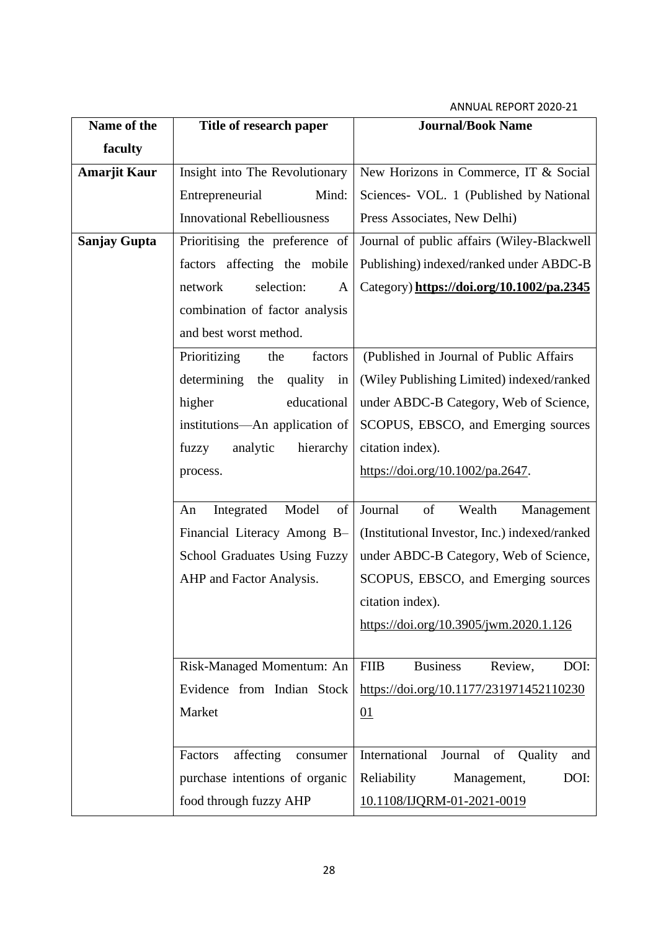| Name of the         | Title of research paper             | <b>Journal/Book Name</b>                          |  |  |  |
|---------------------|-------------------------------------|---------------------------------------------------|--|--|--|
| faculty             |                                     |                                                   |  |  |  |
| <b>Amarjit Kaur</b> | Insight into The Revolutionary      | New Horizons in Commerce, IT & Social             |  |  |  |
|                     | Entrepreneurial<br>Mind:            | Sciences- VOL. 1 (Published by National           |  |  |  |
|                     | <b>Innovational Rebelliousness</b>  | Press Associates, New Delhi)                      |  |  |  |
| <b>Sanjay Gupta</b> | Prioritising the preference of      | Journal of public affairs (Wiley-Blackwell        |  |  |  |
|                     | factors affecting the mobile        | Publishing) indexed/ranked under ABDC-B           |  |  |  |
|                     | selection:<br>network<br>A          | Category) https://doi.org/10.1002/pa.2345         |  |  |  |
|                     | combination of factor analysis      |                                                   |  |  |  |
|                     | and best worst method.              |                                                   |  |  |  |
|                     | Prioritizing<br>factors<br>the      | (Published in Journal of Public Affairs           |  |  |  |
|                     | determining<br>quality in<br>the    | (Wiley Publishing Limited) indexed/ranked         |  |  |  |
|                     | higher<br>educational               | under ABDC-B Category, Web of Science,            |  |  |  |
|                     | institutions-An application of      | SCOPUS, EBSCO, and Emerging sources               |  |  |  |
|                     | analytic<br>hierarchy<br>fuzzy      | citation index).                                  |  |  |  |
|                     | process.                            | https://doi.org/10.1002/pa.2647.                  |  |  |  |
|                     |                                     |                                                   |  |  |  |
|                     | Model<br>Integrated<br>of<br>An     | Wealth<br>Journal<br>of<br>Management             |  |  |  |
|                     | Financial Literacy Among B-         | (Institutional Investor, Inc.) indexed/ranked     |  |  |  |
|                     | <b>School Graduates Using Fuzzy</b> | under ABDC-B Category, Web of Science,            |  |  |  |
|                     | AHP and Factor Analysis.            | SCOPUS, EBSCO, and Emerging sources               |  |  |  |
|                     |                                     | citation index).                                  |  |  |  |
|                     |                                     | https://doi.org/10.3905/jwm.2020.1.126            |  |  |  |
|                     |                                     |                                                   |  |  |  |
|                     | Risk-Managed Momentum: An           | DOI:<br><b>FIIB</b><br><b>Business</b><br>Review, |  |  |  |
|                     | Evidence from Indian Stock          | https://doi.org/10.1177/231971452110230           |  |  |  |
|                     | Market                              | 01                                                |  |  |  |
|                     | affecting<br>Factors                | International<br>Journal of<br>Quality<br>and     |  |  |  |
|                     | consumer                            | DOI:                                              |  |  |  |
|                     | purchase intentions of organic      | Reliability<br>Management,                        |  |  |  |
|                     | food through fuzzy AHP              | 10.1108/IJQRM-01-2021-0019                        |  |  |  |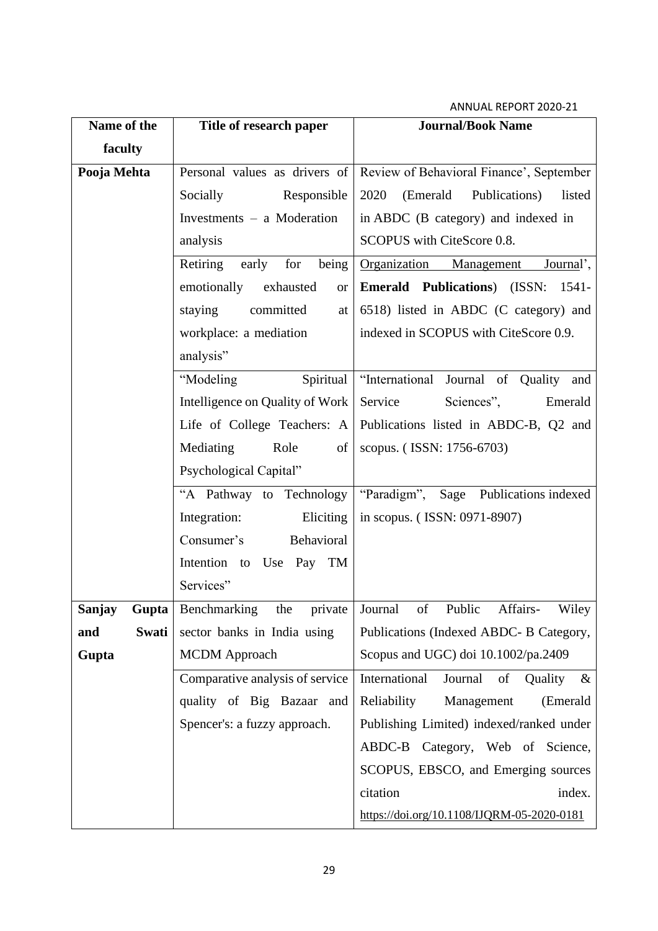| Name of the     | Title of research paper            | <b>Journal/Book Name</b>                                               |  |  |  |
|-----------------|------------------------------------|------------------------------------------------------------------------|--|--|--|
| faculty         |                                    |                                                                        |  |  |  |
| Pooja Mehta     |                                    | Personal values as drivers of Review of Behavioral Finance', September |  |  |  |
|                 | Responsible<br>Socially            | 2020<br>(Emerald<br>Publications)<br>listed                            |  |  |  |
|                 | Investments – a Moderation         | in ABDC (B category) and indexed in                                    |  |  |  |
|                 | analysis                           | SCOPUS with CiteScore 0.8.                                             |  |  |  |
|                 | Retiring<br>for<br>being<br>early  | Organization<br>Management<br>Journal',                                |  |  |  |
|                 | emotionally exhausted<br><b>or</b> | <b>Emerald Publications</b> ) (ISSN:<br>1541-                          |  |  |  |
|                 | staying<br>committed<br>at         | 6518) listed in ABDC (C category) and                                  |  |  |  |
|                 | workplace: a mediation             | indexed in SCOPUS with CiteScore 0.9.                                  |  |  |  |
|                 | analysis"                          |                                                                        |  |  |  |
|                 | "Modeling<br>Spiritual             | "International Journal of Quality and                                  |  |  |  |
|                 | Intelligence on Quality of Work    | Service<br>Sciences",<br>Emerald                                       |  |  |  |
|                 | Life of College Teachers: A        | Publications listed in ABDC-B, Q2 and                                  |  |  |  |
|                 | Mediating<br>Role<br>of            | scopus. (ISSN: 1756-6703)                                              |  |  |  |
|                 | Psychological Capital"             |                                                                        |  |  |  |
|                 | "A Pathway to Technology           | "Paradigm", Sage Publications indexed                                  |  |  |  |
|                 | Integration:<br>Eliciting          | in scopus. (ISSN: 0971-8907)                                           |  |  |  |
|                 | Behavioral<br>Consumer's           |                                                                        |  |  |  |
|                 | Intention to Use Pay TM            |                                                                        |  |  |  |
|                 | Services"                          |                                                                        |  |  |  |
| Sanjay<br>Gupta |                                    | Benchmarking the private Journal of Public Affairs- Wiley              |  |  |  |
| Swati<br>and    | sector banks in India using        | Publications (Indexed ABDC- B Category,                                |  |  |  |
| Gupta           | <b>MCDM</b> Approach               | Scopus and UGC) doi 10.1002/pa.2409                                    |  |  |  |
|                 | Comparative analysis of service    | International<br>Journal<br>of<br>Quality<br>$\&$                      |  |  |  |
|                 | quality of Big Bazaar and          | Management<br>Reliability<br>(Emerald                                  |  |  |  |
|                 | Spencer's: a fuzzy approach.       | Publishing Limited) indexed/ranked under                               |  |  |  |
|                 |                                    | ABDC-B Category, Web of Science,                                       |  |  |  |
|                 |                                    | SCOPUS, EBSCO, and Emerging sources                                    |  |  |  |
|                 |                                    | citation<br>index.                                                     |  |  |  |
|                 |                                    | https://doi.org/10.1108/IJQRM-05-2020-0181                             |  |  |  |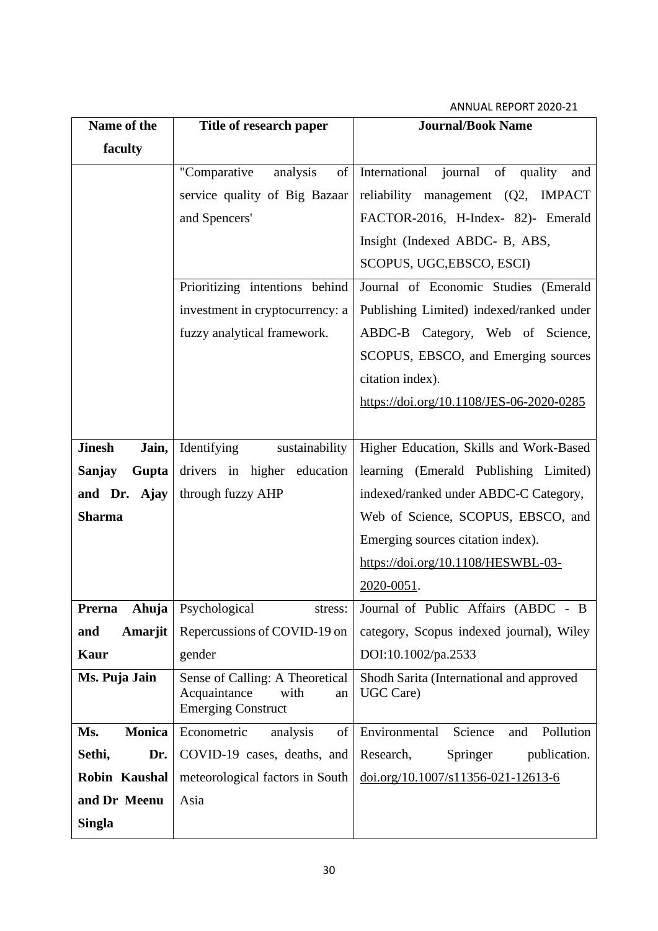| Name of the                         | Title of research paper                                                                    | <b>Journal/Book Name</b>                              |  |  |  |
|-------------------------------------|--------------------------------------------------------------------------------------------|-------------------------------------------------------|--|--|--|
| faculty                             |                                                                                            |                                                       |  |  |  |
|                                     | "Comparative<br>of<br>analysis                                                             | International journal of quality<br>and               |  |  |  |
|                                     | service quality of Big Bazaar                                                              | reliability management (Q2, IMPACT                    |  |  |  |
|                                     | and Spencers'                                                                              | FACTOR-2016, H-Index- 82)- Emerald                    |  |  |  |
|                                     |                                                                                            | Insight (Indexed ABDC- B, ABS,                        |  |  |  |
|                                     |                                                                                            | SCOPUS, UGC, EBSCO, ESCI)                             |  |  |  |
|                                     | Prioritizing intentions behind                                                             | Journal of Economic Studies (Emerald                  |  |  |  |
|                                     | investment in cryptocurrency: a                                                            | Publishing Limited) indexed/ranked under              |  |  |  |
|                                     | fuzzy analytical framework.                                                                | ABDC-B Category, Web of Science,                      |  |  |  |
|                                     |                                                                                            | SCOPUS, EBSCO, and Emerging sources                   |  |  |  |
|                                     |                                                                                            | citation index).                                      |  |  |  |
|                                     |                                                                                            | https://doi.org/10.1108/JES-06-2020-0285              |  |  |  |
|                                     |                                                                                            |                                                       |  |  |  |
| <b>Jinesh</b><br>Jain,              | Identifying<br>sustainability                                                              | Higher Education, Skills and Work-Based               |  |  |  |
| Sanjay<br>Gupta                     | drivers in higher education                                                                | learning (Emerald Publishing Limited)                 |  |  |  |
| and Dr. Ajay                        | through fuzzy AHP                                                                          | indexed/ranked under ABDC-C Category,                 |  |  |  |
| <b>Sharma</b>                       |                                                                                            | Web of Science, SCOPUS, EBSCO, and                    |  |  |  |
|                                     |                                                                                            | Emerging sources citation index).                     |  |  |  |
|                                     |                                                                                            | https://doi.org/10.1108/HESWBL-03-                    |  |  |  |
|                                     |                                                                                            | 2020-0051.                                            |  |  |  |
| <b>Prerna</b> Ahuja   Psychological | stress:                                                                                    | Journal of Public Affairs (ABDC<br>- $B$              |  |  |  |
| Amarjit<br>and                      | Repercussions of COVID-19 on                                                               | category, Scopus indexed journal), Wiley              |  |  |  |
| Kaur                                | gender                                                                                     | DOI:10.1002/pa.2533                                   |  |  |  |
| Ms. Puja Jain                       | Sense of Calling: A Theoretical<br>Acquaintance<br>with<br>an<br><b>Emerging Construct</b> | Shodh Sarita (International and approved<br>UGC Care) |  |  |  |
| <b>Monica</b><br>Ms.                | Econometric<br>analysis<br>of                                                              | Science<br>Pollution<br>Environmental<br>and          |  |  |  |
| Sethi,<br>Dr.                       | COVID-19 cases, deaths, and                                                                | Research,<br>Springer<br>publication.                 |  |  |  |
| Robin Kaushal                       | meteorological factors in South                                                            | $\underline{doi.org/10.1007/s11356-021-12613-6}$      |  |  |  |
| and Dr Meenu                        | Asia                                                                                       |                                                       |  |  |  |
| <b>Singla</b>                       |                                                                                            |                                                       |  |  |  |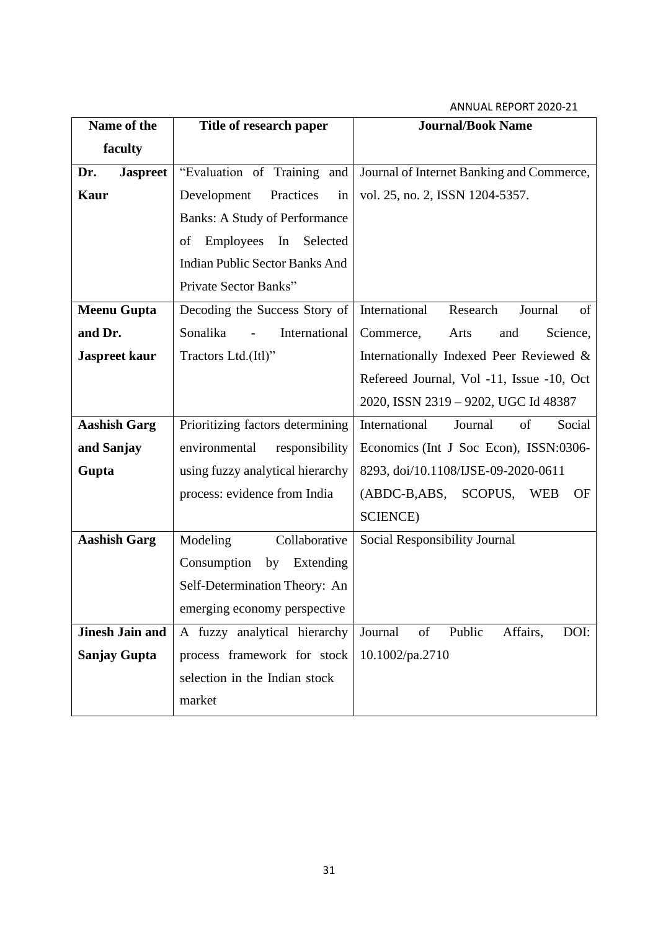| Name of the            | Title of research paper               | <b>Journal/Book Name</b>                    |  |  |
|------------------------|---------------------------------------|---------------------------------------------|--|--|
| faculty                |                                       |                                             |  |  |
| <b>Jaspreet</b><br>Dr. | "Evaluation of Training and           | Journal of Internet Banking and Commerce,   |  |  |
| <b>Kaur</b>            | Development<br>Practices<br>in        | vol. 25, no. 2, ISSN 1204-5357.             |  |  |
|                        | <b>Banks: A Study of Performance</b>  |                                             |  |  |
|                        | Employees<br>In Selected<br>of        |                                             |  |  |
|                        | <b>Indian Public Sector Banks And</b> |                                             |  |  |
|                        | Private Sector Banks"                 |                                             |  |  |
| <b>Meenu Gupta</b>     | Decoding the Success Story of         | International<br>Research<br>Journal<br>of  |  |  |
| and Dr.                | Sonalika<br>International             | Commerce,<br>Arts<br>Science,<br>and        |  |  |
| <b>Jaspreet kaur</b>   | Tractors Ltd.(Itl)"                   | Internationally Indexed Peer Reviewed &     |  |  |
|                        |                                       | Refereed Journal, Vol -11, Issue -10, Oct   |  |  |
|                        |                                       | 2020, ISSN 2319 - 9202, UGC Id 48387        |  |  |
| <b>Aashish Garg</b>    | Prioritizing factors determining      | International<br>Social<br>of<br>Journal    |  |  |
| and Sanjay             | environmental<br>responsibility       | Economics (Int J Soc Econ), ISSN:0306-      |  |  |
| Gupta                  | using fuzzy analytical hierarchy      | 8293, doi/10.1108/IJSE-09-2020-0611         |  |  |
|                        | process: evidence from India          | (ABDC-B,ABS, SCOPUS, WEB<br>OF              |  |  |
|                        |                                       | <b>SCIENCE</b> )                            |  |  |
| <b>Aashish Garg</b>    | Modeling<br>Collaborative             | Social Responsibility Journal               |  |  |
|                        | Consumption<br>by Extending           |                                             |  |  |
|                        | Self-Determination Theory: An         |                                             |  |  |
|                        | emerging economy perspective          |                                             |  |  |
| <b>Jinesh Jain and</b> | A fuzzy analytical hierarchy          | DOI:<br>Journal<br>of<br>Public<br>Affairs, |  |  |
| <b>Sanjay Gupta</b>    | process framework for stock           | 10.1002/pa.2710                             |  |  |
|                        | selection in the Indian stock         |                                             |  |  |
|                        | market                                |                                             |  |  |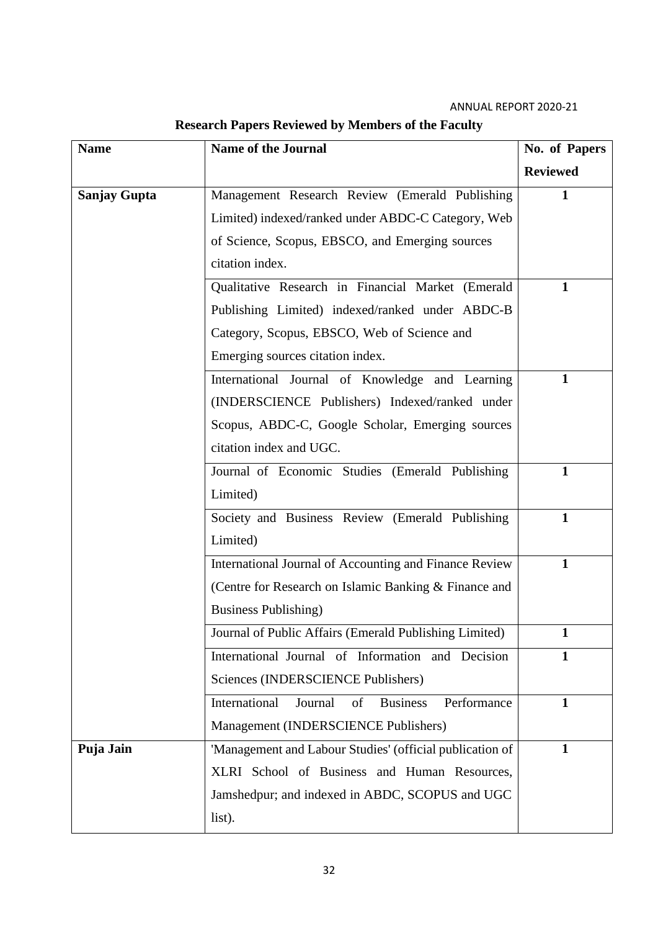| <b>Name</b>         | <b>Name of the Journal</b>                                       | No. of Papers   |
|---------------------|------------------------------------------------------------------|-----------------|
|                     |                                                                  | <b>Reviewed</b> |
| <b>Sanjay Gupta</b> | Management Research Review (Emerald Publishing                   | 1               |
|                     | Limited) indexed/ranked under ABDC-C Category, Web               |                 |
|                     | of Science, Scopus, EBSCO, and Emerging sources                  |                 |
|                     | citation index.                                                  |                 |
|                     | Qualitative Research in Financial Market (Emerald                | 1               |
|                     | Publishing Limited) indexed/ranked under ABDC-B                  |                 |
|                     | Category, Scopus, EBSCO, Web of Science and                      |                 |
|                     | Emerging sources citation index.                                 |                 |
|                     | International Journal of Knowledge and Learning                  | $\mathbf{1}$    |
|                     | (INDERSCIENCE Publishers) Indexed/ranked under                   |                 |
|                     | Scopus, ABDC-C, Google Scholar, Emerging sources                 |                 |
|                     | citation index and UGC.                                          |                 |
|                     | Journal of Economic Studies (Emerald Publishing                  | 1               |
|                     | Limited)                                                         |                 |
|                     | Society and Business Review (Emerald Publishing                  | $\mathbf{1}$    |
|                     | Limited)                                                         |                 |
|                     | International Journal of Accounting and Finance Review           | 1               |
|                     | (Centre for Research on Islamic Banking & Finance and            |                 |
|                     | <b>Business Publishing</b> )                                     |                 |
|                     | Journal of Public Affairs (Emerald Publishing Limited)           |                 |
|                     | International Journal of Information and Decision                | 1               |
|                     | Sciences (INDERSCIENCE Publishers)                               |                 |
|                     | International<br><b>Business</b><br>Journal<br>of<br>Performance | 1               |
|                     | Management (INDERSCIENCE Publishers)                             |                 |
| Puja Jain           | 'Management and Labour Studies' (official publication of         | 1               |
|                     | XLRI School of Business and Human Resources,                     |                 |
|                     | Jamshedpur; and indexed in ABDC, SCOPUS and UGC                  |                 |
|                     | list).                                                           |                 |

## **Research Papers Reviewed by Members of the Faculty**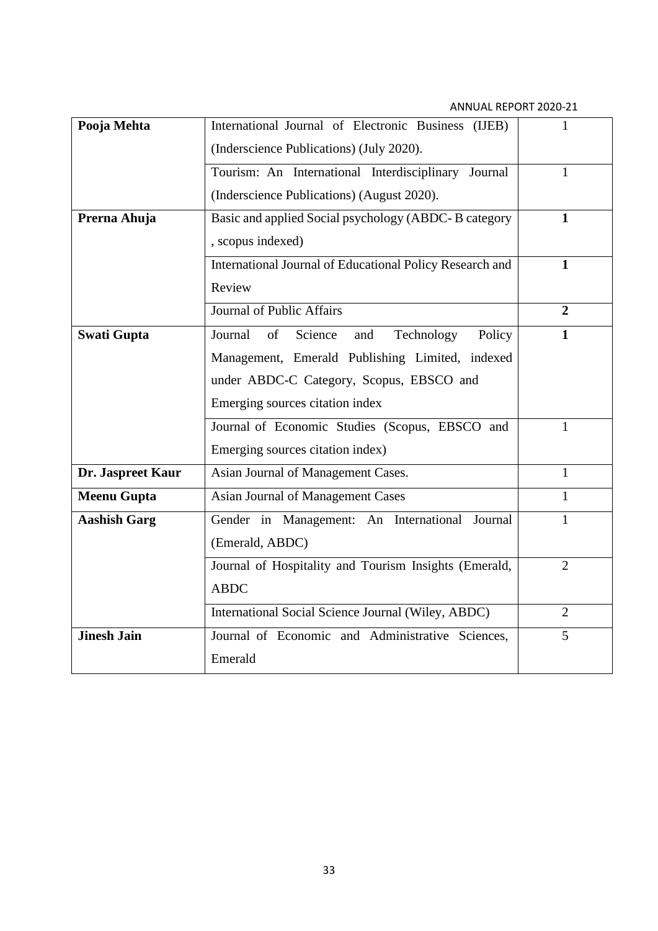| Pooja Mehta         | International Journal of Electronic Business (IJEB)      | 1              |
|---------------------|----------------------------------------------------------|----------------|
|                     | (Inderscience Publications) (July 2020).                 |                |
|                     | Tourism: An International Interdisciplinary Journal      | 1              |
|                     | (Inderscience Publications) (August 2020).               |                |
| Prerna Ahuja        | Basic and applied Social psychology (ABDC-B category     | $\mathbf{1}$   |
|                     | , scopus indexed)                                        |                |
|                     | International Journal of Educational Policy Research and | $\mathbf{1}$   |
|                     | Review                                                   |                |
|                     | <b>Journal of Public Affairs</b>                         | $\overline{2}$ |
| <b>Swati Gupta</b>  | of<br>Journal<br>Science<br>Technology<br>Policy<br>and  | $\mathbf{1}$   |
|                     | Management, Emerald Publishing Limited, indexed          |                |
|                     | under ABDC-C Category, Scopus, EBSCO and                 |                |
|                     | Emerging sources citation index                          |                |
|                     | Journal of Economic Studies (Scopus, EBSCO and           | 1              |
|                     | Emerging sources citation index)                         |                |
| Dr. Jaspreet Kaur   | Asian Journal of Management Cases.                       | 1              |
| <b>Meenu Gupta</b>  | Asian Journal of Management Cases                        | $\mathbf{1}$   |
| <b>Aashish Garg</b> | Gender in Management: An International<br>Journal        | $\mathbf{1}$   |
|                     | (Emerald, ABDC)                                          |                |
|                     | Journal of Hospitality and Tourism Insights (Emerald,    | $\overline{2}$ |
|                     | <b>ABDC</b>                                              |                |
|                     | International Social Science Journal (Wiley, ABDC)       | $\overline{2}$ |
| <b>Jinesh Jain</b>  | Journal of Economic and Administrative Sciences,         | 5              |
|                     | Emerald                                                  |                |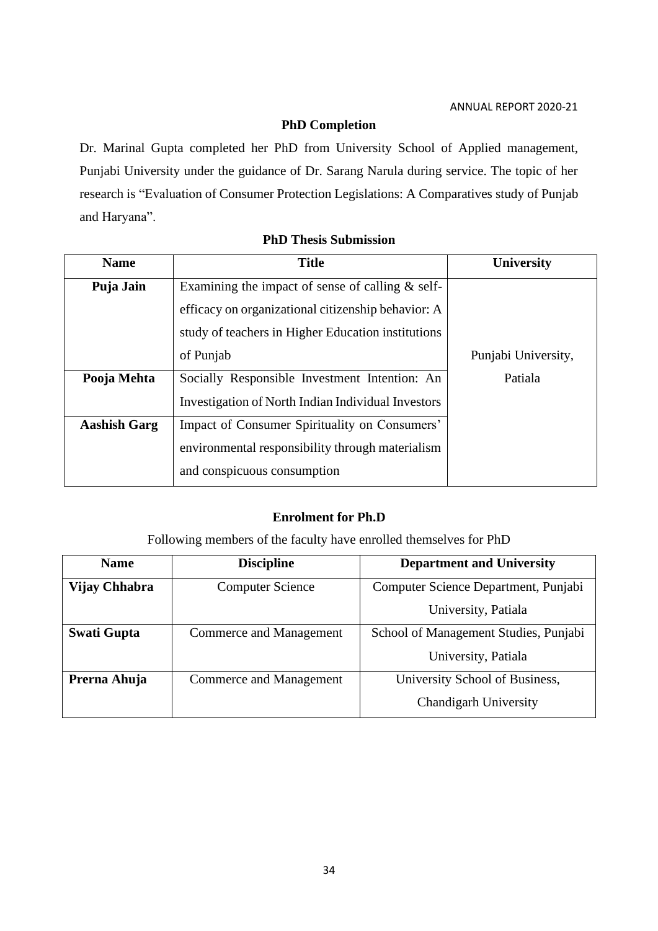### **PhD Completion**

Dr. Marinal Gupta completed her PhD from University School of Applied management, Punjabi University under the guidance of Dr. Sarang Narula during service. The topic of her research is "Evaluation of Consumer Protection Legislations: A Comparatives study of Punjab and Haryana".

| <b>Name</b>         | <b>Title</b>                                       | <b>University</b>   |
|---------------------|----------------------------------------------------|---------------------|
| Puja Jain           | Examining the impact of sense of calling $&$ self- |                     |
|                     | efficacy on organizational citizenship behavior: A |                     |
|                     | study of teachers in Higher Education institutions |                     |
|                     | of Punjab                                          | Punjabi University, |
| Pooja Mehta         | Socially Responsible Investment Intention: An      | Patiala             |
|                     | Investigation of North Indian Individual Investors |                     |
| <b>Aashish Garg</b> | Impact of Consumer Spirituality on Consumers'      |                     |
|                     | environmental responsibility through materialism   |                     |
|                     | and conspicuous consumption                        |                     |

### **PhD Thesis Submission**

### **Enrolment for Ph.D**

Following members of the faculty have enrolled themselves for PhD

| <b>Name</b>        | <b>Discipline</b>       | <b>Department and University</b>      |  |  |
|--------------------|-------------------------|---------------------------------------|--|--|
| Vijay Chhabra      | <b>Computer Science</b> | Computer Science Department, Punjabi  |  |  |
|                    |                         | University, Patiala                   |  |  |
| <b>Swati Gupta</b> | Commerce and Management | School of Management Studies, Punjabi |  |  |
|                    |                         | University, Patiala                   |  |  |
| Prerna Ahuja       | Commerce and Management | University School of Business,        |  |  |
|                    |                         | <b>Chandigarh University</b>          |  |  |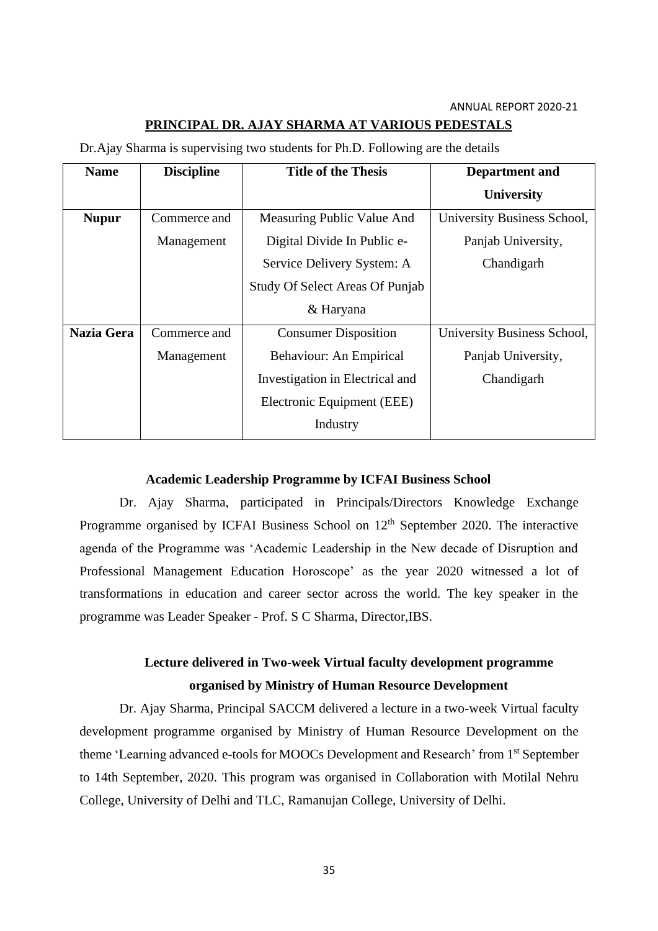### **PRINCIPAL DR. AJAY SHARMA AT VARIOUS PEDESTALS**

| <b>Name</b>       | <b>Discipline</b> | <b>Title of the Thesis</b>             | <b>Department</b> and       |
|-------------------|-------------------|----------------------------------------|-----------------------------|
|                   |                   |                                        | <b>University</b>           |
| <b>Nupur</b>      | Commerce and      | Measuring Public Value And             | University Business School, |
|                   | Management        | Digital Divide In Public e-            | Panjab University,          |
|                   |                   | Service Delivery System: A             | Chandigarh                  |
|                   |                   | <b>Study Of Select Areas Of Punjab</b> |                             |
|                   |                   | & Haryana                              |                             |
| <b>Nazia Gera</b> | Commerce and      | <b>Consumer Disposition</b>            | University Business School, |
|                   | Management        | Behaviour: An Empirical                | Panjab University,          |
|                   |                   | Investigation in Electrical and        | Chandigarh                  |
|                   |                   | Electronic Equipment (EEE)             |                             |
|                   |                   | Industry                               |                             |

Dr.Ajay Sharma is supervising two students for Ph.D. Following are the details

### **Academic Leadership Programme by ICFAI Business School**

Dr. Ajay Sharma, participated in Principals/Directors Knowledge Exchange Programme organised by ICFAI Business School on 12<sup>th</sup> September 2020. The interactive agenda of the Programme was 'Academic Leadership in the New decade of Disruption and Professional Management Education Horoscope' as the year 2020 witnessed a lot of transformations in education and career sector across the world. The key speaker in the programme was Leader Speaker - Prof. S C Sharma, Director,IBS.

## **Lecture delivered in Two-week Virtual faculty development programme organised by Ministry of Human Resource Development**

Dr. Ajay Sharma, Principal SACCM delivered a lecture in a two-week Virtual faculty development programme organised by Ministry of Human Resource Development on the theme 'Learning advanced e-tools for MOOCs Development and Research' from 1<sup>st</sup> September to 14th September, 2020. This program was organised in Collaboration with Motilal Nehru College, University of Delhi and TLC, Ramanujan College, University of Delhi.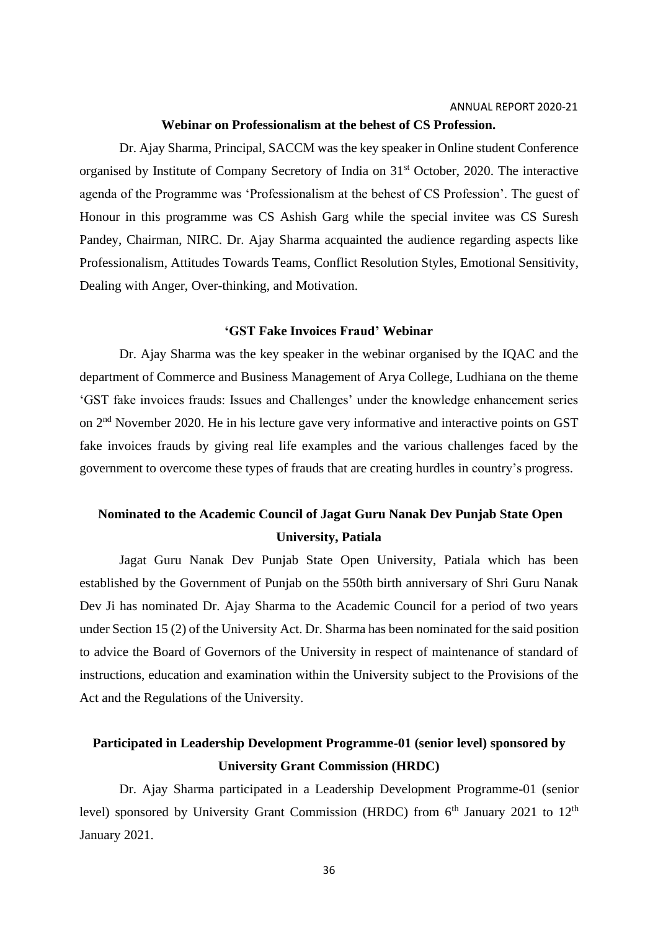#### **Webinar on Professionalism at the behest of CS Profession.**

Dr. Ajay Sharma, Principal, SACCM was the key speaker in Online student Conference organised by Institute of Company Secretory of India on 31st October, 2020. The interactive agenda of the Programme was 'Professionalism at the behest of CS Profession'. The guest of Honour in this programme was CS Ashish Garg while the special invitee was CS Suresh Pandey, Chairman, NIRC. Dr. Ajay Sharma acquainted the audience regarding aspects like Professionalism, Attitudes Towards Teams, Conflict Resolution Styles, Emotional Sensitivity, Dealing with Anger, Over-thinking, and Motivation.

#### **'GST Fake Invoices Fraud' Webinar**

Dr. Ajay Sharma was the key speaker in the webinar organised by the IQAC and the department of Commerce and Business Management of Arya College, Ludhiana on the theme 'GST fake invoices frauds: Issues and Challenges' under the knowledge enhancement series on 2nd November 2020. He in his lecture gave very informative and interactive points on GST fake invoices frauds by giving real life examples and the various challenges faced by the government to overcome these types of frauds that are creating hurdles in country's progress.

## **Nominated to the Academic Council of Jagat Guru Nanak Dev Punjab State Open University, Patiala**

Jagat Guru Nanak Dev Punjab State Open University, Patiala which has been established by the Government of Punjab on the 550th birth anniversary of Shri Guru Nanak Dev Ji has nominated Dr. Ajay Sharma to the Academic Council for a period of two years under Section 15 (2) of the University Act. Dr. Sharma has been nominated for the said position to advice the Board of Governors of the University in respect of maintenance of standard of instructions, education and examination within the University subject to the Provisions of the Act and the Regulations of the University.

## **Participated in Leadership Development Programme-01 (senior level) sponsored by University Grant Commission (HRDC)**

Dr. Ajay Sharma participated in a Leadership Development Programme-01 (senior level) sponsored by University Grant Commission (HRDC) from 6<sup>th</sup> January 2021 to 12<sup>th</sup> January 2021.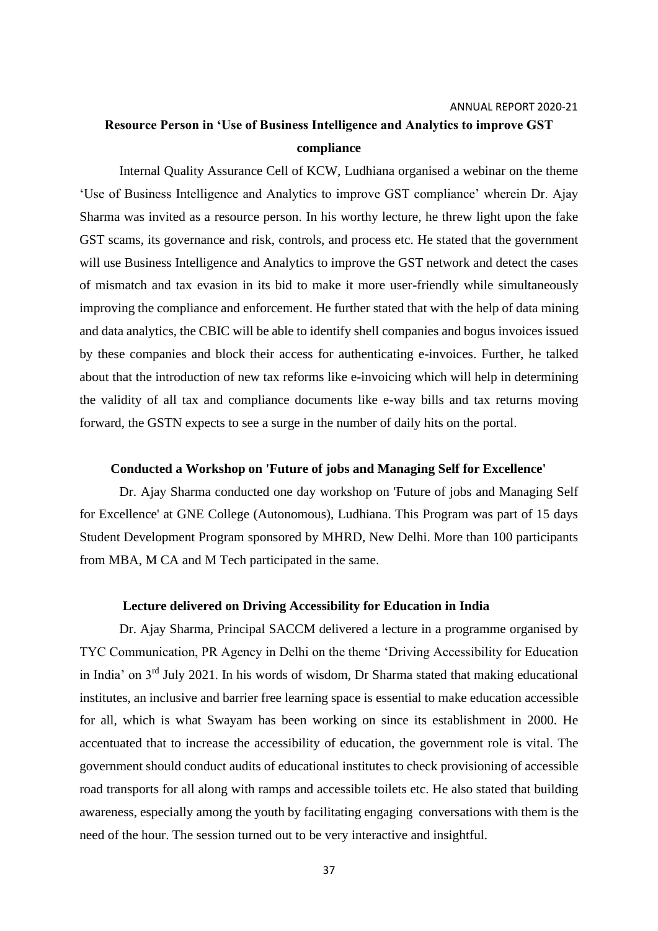## **Resource Person in 'Use of Business Intelligence and Analytics to improve GST compliance**

Internal Quality Assurance Cell of KCW, Ludhiana organised a webinar on the theme 'Use of Business Intelligence and Analytics to improve GST compliance' wherein Dr. Ajay Sharma was invited as a resource person. In his worthy lecture, he threw light upon the fake GST scams, its governance and risk, controls, and process etc. He stated that the government will use Business Intelligence and Analytics to improve the GST network and detect the cases of mismatch and tax evasion in its bid to make it more user-friendly while simultaneously improving the compliance and enforcement. He further stated that with the help of data mining and data analytics, the CBIC will be able to identify shell companies and bogus invoices issued by these companies and block their access for authenticating e-invoices. Further, he talked about that the introduction of new tax reforms like e-invoicing which will help in determining the validity of all tax and compliance documents like e-way bills and tax returns moving forward, the GSTN expects to see a surge in the number of daily hits on the portal.

### **Conducted a Workshop on 'Future of jobs and Managing Self for Excellence'**

Dr. Ajay Sharma conducted one day workshop on 'Future of jobs and Managing Self for Excellence' at GNE College (Autonomous), Ludhiana. This Program was part of 15 days Student Development Program sponsored by MHRD, New Delhi. More than 100 participants from MBA, M CA and M Tech participated in the same.

### **Lecture delivered on Driving Accessibility for Education in India**

Dr. Ajay Sharma, Principal SACCM delivered a lecture in a programme organised by TYC Communication, PR Agency in Delhi on the theme 'Driving Accessibility for Education in India' on 3rd July 2021. In his words of wisdom, Dr Sharma stated that making educational institutes, an inclusive and barrier free learning space is essential to make education accessible for all, which is what Swayam has been working on since its establishment in 2000. He accentuated that to increase the accessibility of education, the government role is vital. The government should conduct audits of educational institutes to check provisioning of accessible road transports for all along with ramps and accessible toilets etc. He also stated that building awareness, especially among the youth by facilitating engaging conversations with them is the need of the hour. The session turned out to be very interactive and insightful.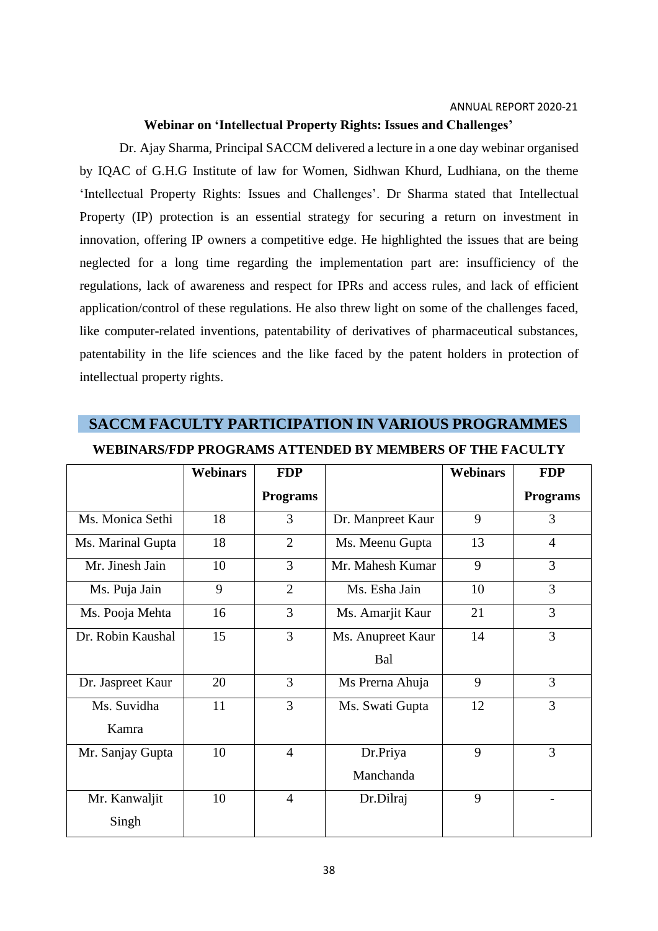### **Webinar on 'Intellectual Property Rights: Issues and Challenges'**

Dr. Ajay Sharma, Principal SACCM delivered a lecture in a one day webinar organised by IQAC of G.H.G Institute of law for Women, Sidhwan Khurd, Ludhiana, on the theme 'Intellectual Property Rights: Issues and Challenges'. Dr Sharma stated that Intellectual Property (IP) protection is an essential strategy for securing a return on investment in innovation, offering IP owners a competitive edge. He highlighted the issues that are being neglected for a long time regarding the implementation part are: insufficiency of the regulations, lack of awareness and respect for IPRs and access rules, and lack of efficient application/control of these regulations. He also threw light on some of the challenges faced, like computer-related inventions, patentability of derivatives of pharmaceutical substances, patentability in the life sciences and the like faced by the patent holders in protection of intellectual property rights.

### **SACCM FACULTY PARTICIPATION IN VARIOUS PROGRAMMES**

|                   | <b>Webinars</b> | <b>FDP</b>      |                   | <b>Webinars</b> | <b>FDP</b>      |
|-------------------|-----------------|-----------------|-------------------|-----------------|-----------------|
|                   |                 | <b>Programs</b> |                   |                 | <b>Programs</b> |
| Ms. Monica Sethi  | 18              | 3               | Dr. Manpreet Kaur | 9               | 3               |
| Ms. Marinal Gupta | 18              | $\overline{2}$  | Ms. Meenu Gupta   | 13              | $\overline{4}$  |
| Mr. Jinesh Jain   | 10              | 3               | Mr. Mahesh Kumar  | 9               | 3               |
| Ms. Puja Jain     | 9               | $\overline{2}$  | Ms. Esha Jain     | 10              | 3               |
| Ms. Pooja Mehta   | 16              | 3               | Ms. Amarjit Kaur  | 21              | 3               |
| Dr. Robin Kaushal | 15              | $\overline{3}$  | Ms. Anupreet Kaur | 14              | 3               |
|                   |                 |                 | Bal               |                 |                 |
| Dr. Jaspreet Kaur | 20              | 3               | Ms Prerna Ahuja   | 9               | 3               |
| Ms. Suvidha       | 11              | 3               | Ms. Swati Gupta   | 12              | 3               |
| Kamra             |                 |                 |                   |                 |                 |
| Mr. Sanjay Gupta  | 10              | $\overline{4}$  | Dr.Priya          | 9               | 3               |
|                   |                 |                 | Manchanda         |                 |                 |
| Mr. Kanwaljit     | 10              | $\overline{4}$  | Dr.Dilraj         | 9               |                 |
| Singh             |                 |                 |                   |                 |                 |

### **WEBINARS/FDP PROGRAMS ATTENDED BY MEMBERS OF THE FACULTY**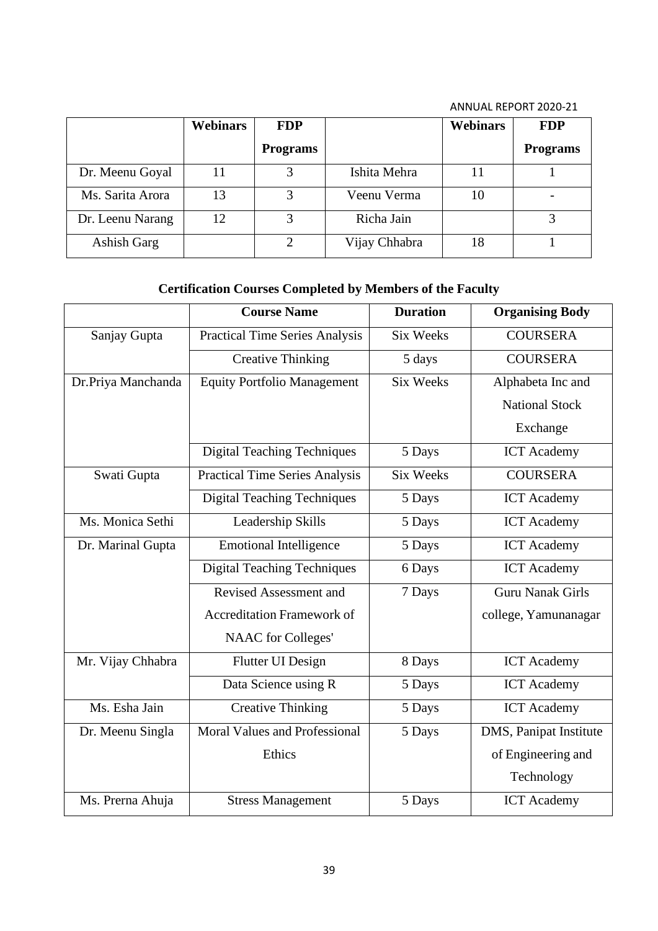|                  | <b>Webinars</b> | <b>FDP</b>      |               | <b>Webinars</b> | <b>FDP</b>      |
|------------------|-----------------|-----------------|---------------|-----------------|-----------------|
|                  |                 | <b>Programs</b> |               |                 | <b>Programs</b> |
| Dr. Meenu Goyal  |                 |                 | Ishita Mehra  | 11              |                 |
| Ms. Sarita Arora | 13              |                 | Veenu Verma   | 10              |                 |
| Dr. Leenu Narang | 12              | 3               | Richa Jain    |                 |                 |
| Ashish Garg      |                 |                 | Vijay Chhabra | 18              |                 |

## **Certification Courses Completed by Members of the Faculty**

|                    | <b>Course Name</b>                             | <b>Duration</b>  | <b>Organising Body</b>  |
|--------------------|------------------------------------------------|------------------|-------------------------|
| Sanjay Gupta       | <b>Practical Time Series Analysis</b>          | <b>Six Weeks</b> | <b>COURSERA</b>         |
|                    | <b>Creative Thinking</b>                       | 5 days           | <b>COURSERA</b>         |
| Dr.Priya Manchanda | <b>Equity Portfolio Management</b>             | <b>Six Weeks</b> | Alphabeta Inc and       |
|                    |                                                |                  | <b>National Stock</b>   |
|                    |                                                |                  | Exchange                |
|                    | <b>Digital Teaching Techniques</b><br>5 Days   |                  | <b>ICT</b> Academy      |
| Swati Gupta        | <b>Practical Time Series Analysis</b>          | <b>Six Weeks</b> | <b>COURSERA</b>         |
|                    | <b>Digital Teaching Techniques</b>             | 5 Days           | <b>ICT</b> Academy      |
| Ms. Monica Sethi   | Leadership Skills                              | 5 Days           | <b>ICT</b> Academy      |
| Dr. Marinal Gupta  | <b>Emotional Intelligence</b>                  | 5 Days           | <b>ICT</b> Academy      |
|                    | <b>Digital Teaching Techniques</b><br>6 Days   |                  | <b>ICT</b> Academy      |
|                    | Revised Assessment and<br>7 Days               |                  | <b>Guru Nanak Girls</b> |
|                    | <b>Accreditation Framework of</b>              |                  | college, Yamunanagar    |
|                    | <b>NAAC</b> for Colleges'                      |                  |                         |
| Mr. Vijay Chhabra  | <b>Flutter UI Design</b><br>8 Days             |                  | <b>ICT</b> Academy      |
|                    | Data Science using R                           | 5 Days           | <b>ICT</b> Academy      |
| Ms. Esha Jain      | <b>Creative Thinking</b>                       | 5 Days           | <b>ICT</b> Academy      |
| Dr. Meenu Singla   | <b>Moral Values and Professional</b><br>5 Days |                  | DMS, Panipat Institute  |
|                    | Ethics                                         |                  | of Engineering and      |
|                    |                                                |                  | Technology              |
| Ms. Prerna Ahuja   | <b>Stress Management</b>                       | 5 Days           | <b>ICT</b> Academy      |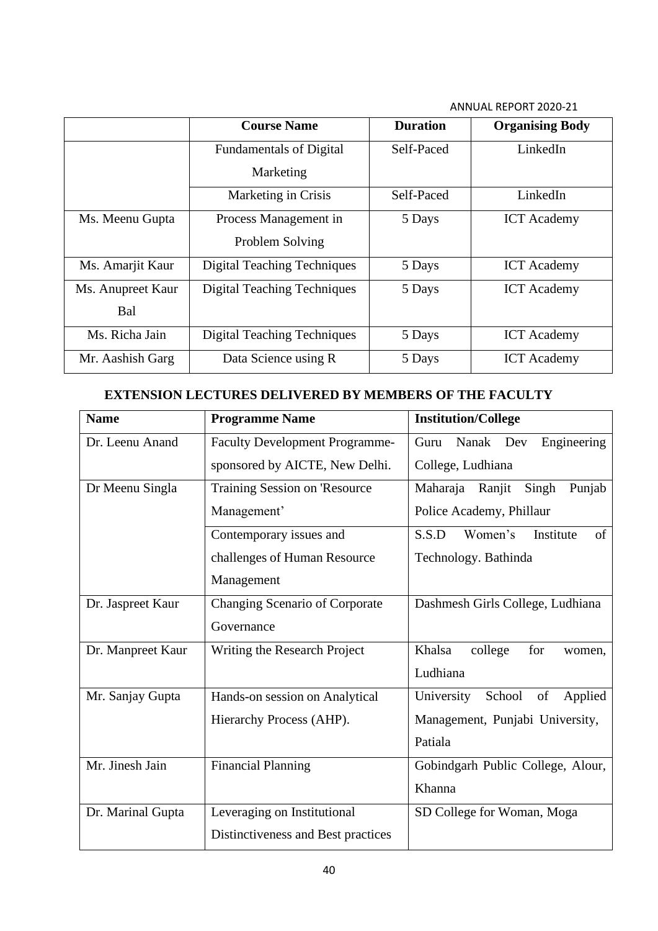|                   | <b>Course Name</b>                 | <b>Duration</b> | <b>Organising Body</b> |
|-------------------|------------------------------------|-----------------|------------------------|
|                   | <b>Fundamentals of Digital</b>     | Self-Paced      | LinkedIn               |
|                   | Marketing                          |                 |                        |
|                   | Marketing in Crisis                | Self-Paced      | LinkedIn               |
| Ms. Meenu Gupta   | Process Management in              | 5 Days          | <b>ICT</b> Academy     |
|                   | Problem Solving                    |                 |                        |
| Ms. Amarjit Kaur  | <b>Digital Teaching Techniques</b> | 5 Days          | <b>ICT</b> Academy     |
| Ms. Anupreet Kaur | <b>Digital Teaching Techniques</b> | 5 Days          | <b>ICT</b> Academy     |
| Bal               |                                    |                 |                        |
| Ms. Richa Jain    | <b>Digital Teaching Techniques</b> | 5 Days          | <b>ICT</b> Academy     |
| Mr. Aashish Garg  | Data Science using R               | 5 Days          | <b>ICT</b> Academy     |

## **EXTENSION LECTURES DELIVERED BY MEMBERS OF THE FACULTY**

| <b>Name</b>       | <b>Programme Name</b>              | <b>Institution/College</b>            |
|-------------------|------------------------------------|---------------------------------------|
| Dr. Leenu Anand   | Faculty Development Programme-     | Engineering<br>Guru<br>Nanak Dev      |
|                   | sponsored by AICTE, New Delhi.     | College, Ludhiana                     |
| Dr Meenu Singla   | Training Session on 'Resource      | Maharaja Ranjit<br>Singh<br>Punjab    |
|                   | Management'                        | Police Academy, Phillaur              |
|                   | Contemporary issues and            | Women's<br>Institute<br>S.S.D<br>of   |
|                   | challenges of Human Resource       | Technology. Bathinda                  |
|                   | Management                         |                                       |
| Dr. Jaspreet Kaur | Changing Scenario of Corporate     | Dashmesh Girls College, Ludhiana      |
|                   | Governance                         |                                       |
| Dr. Manpreet Kaur | Writing the Research Project       | for<br>Khalsa<br>college<br>women,    |
|                   |                                    | Ludhiana                              |
| Mr. Sanjay Gupta  | Hands-on session on Analytical     | of<br>School<br>Applied<br>University |
|                   | Hierarchy Process (AHP).           | Management, Punjabi University,       |
|                   |                                    | Patiala                               |
| Mr. Jinesh Jain   | <b>Financial Planning</b>          | Gobindgarh Public College, Alour,     |
|                   |                                    | Khanna                                |
| Dr. Marinal Gupta | Leveraging on Institutional        | SD College for Woman, Moga            |
|                   | Distinctiveness and Best practices |                                       |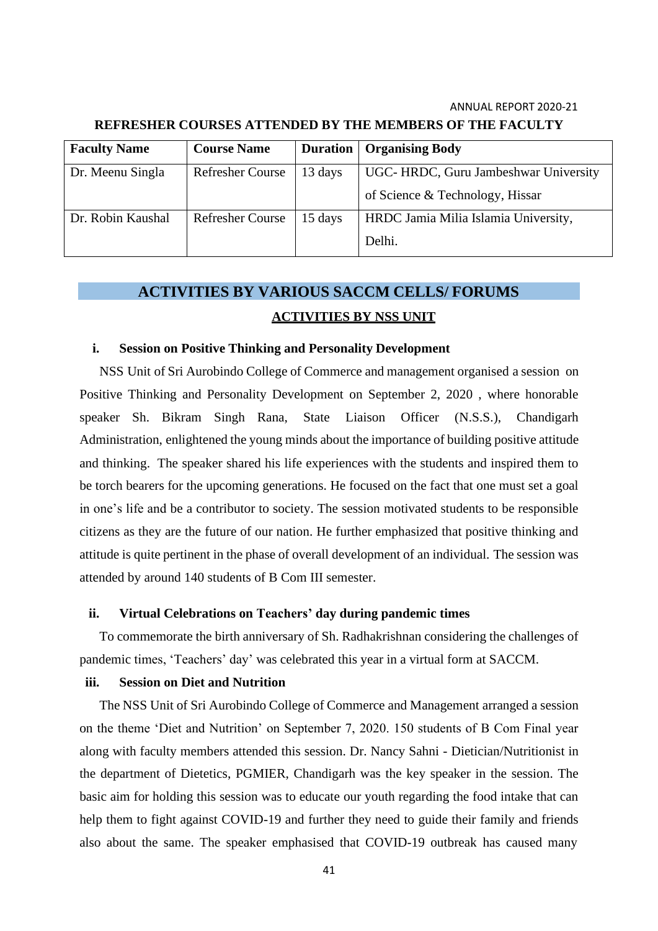| <b>Faculty Name</b> | <b>Course Name</b>      | <b>Duration</b> | <b>Organising Body</b>               |
|---------------------|-------------------------|-----------------|--------------------------------------|
| Dr. Meenu Singla    | Refresher Course        | 13 days         | UGC-HRDC, Guru Jambeshwar University |
|                     |                         |                 | of Science & Technology, Hissar      |
| Dr. Robin Kaushal   | <b>Refresher Course</b> | 15 days         | HRDC Jamia Milia Islamia University, |
|                     |                         |                 | Delhi.                               |

### **REFRESHER COURSES ATTENDED BY THE MEMBERS OF THE FACULTY**

## **ACTIVITIES BY VARIOUS SACCM CELLS/ FORUMS ACTIVITIES BY NSS UNIT**

### **i. Session on Positive Thinking and Personality Development**

NSS Unit of Sri Aurobindo College of Commerce and management organised a session on Positive Thinking and Personality Development on September 2, 2020 , where honorable speaker Sh. Bikram Singh Rana, State Liaison Officer (N.S.S.), Chandigarh Administration, enlightened the young minds about the importance of building positive attitude and thinking. The speaker shared his life experiences with the students and inspired them to be torch bearers for the upcoming generations. He focused on the fact that one must set a goal in one's life and be a contributor to society. The session motivated students to be responsible citizens as they are the future of our nation. He further emphasized that positive thinking and attitude is quite pertinent in the phase of overall development of an individual. The session was attended by around 140 students of B Com III semester.

### **ii. Virtual Celebrations on Teachers' day during pandemic times**

To commemorate the birth anniversary of Sh. Radhakrishnan considering the challenges of pandemic times, 'Teachers' day' was celebrated this year in a virtual form at SACCM.

### **iii. Session on Diet and Nutrition**

The NSS Unit of Sri Aurobindo College of Commerce and Management arranged a session on the theme 'Diet and Nutrition' on September 7, 2020. 150 students of B Com Final year along with faculty members attended this session. Dr. Nancy Sahni - Dietician/Nutritionist in the department of Dietetics, PGMIER, Chandigarh was the key speaker in the session. The basic aim for holding this session was to educate our youth regarding the food intake that can help them to fight against COVID-19 and further they need to guide their family and friends also about the same. The speaker emphasised that COVID-19 outbreak has caused many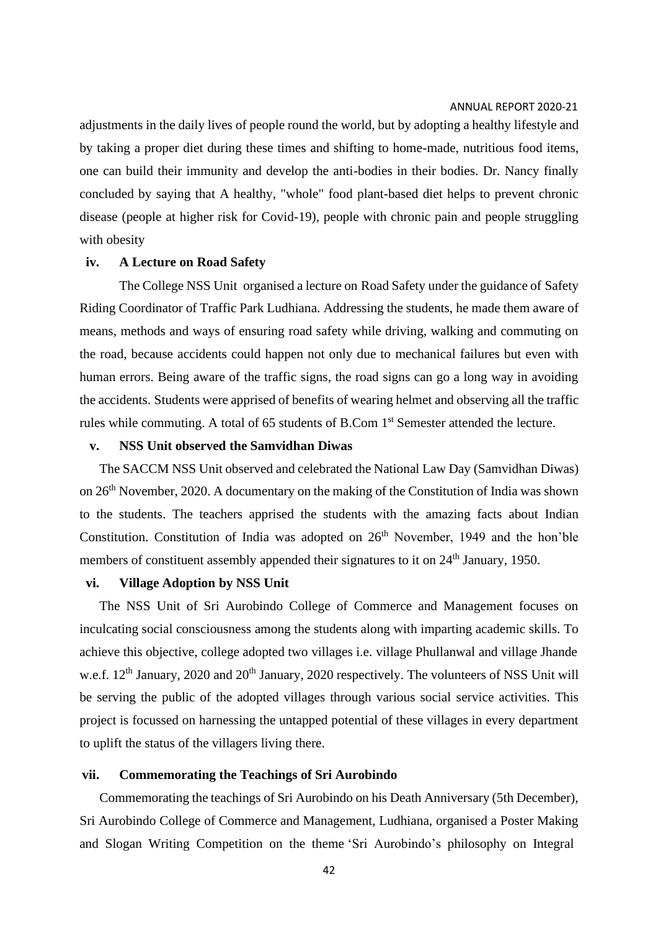adjustments in the daily lives of people round the world, but by adopting a healthy lifestyle and by taking a proper diet during these times and shifting to home-made, nutritious food items, one can build their immunity and develop the anti-bodies in their bodies. Dr. Nancy finally concluded by saying that A healthy, "whole" food plant-based diet helps to prevent chronic disease (people at higher risk for Covid-19), people with chronic pain and people struggling with obesity

### **iv. A Lecture on Road Safety**

The College NSS Unit organised a lecture on Road Safety under the guidance of Safety Riding Coordinator of Traffic Park Ludhiana. Addressing the students, he made them aware of means, methods and ways of ensuring road safety while driving, walking and commuting on the road, because accidents could happen not only due to mechanical failures but even with human errors. Being aware of the traffic signs, the road signs can go a long way in avoiding the accidents. Students were apprised of benefits of wearing helmet and observing all the traffic rules while commuting. A total of 65 students of B.Com 1<sup>st</sup> Semester attended the lecture.

### **v. NSS Unit observed the Samvidhan Diwas**

The SACCM NSS Unit observed and celebrated the National Law Day (Samvidhan Diwas) on 26<sup>th</sup> November, 2020. A documentary on the making of the Constitution of India was shown to the students. The teachers apprised the students with the amazing facts about Indian Constitution. Constitution of India was adopted on  $26<sup>th</sup>$  November, 1949 and the hon'ble members of constituent assembly appended their signatures to it on 24<sup>th</sup> January, 1950.

### **vi. Village Adoption by NSS Unit**

The NSS Unit of Sri Aurobindo College of Commerce and Management focuses on inculcating social consciousness among the students along with imparting academic skills. To achieve this objective, college adopted two villages i.e. village Phullanwal and village Jhande w.e.f. 12<sup>th</sup> January, 2020 and 20<sup>th</sup> January, 2020 respectively. The volunteers of NSS Unit will be serving the public of the adopted villages through various social service activities. This project is focussed on harnessing the untapped potential of these villages in every department to uplift the status of the villagers living there.

### **vii. Commemorating the Teachings of Sri Aurobindo**

Commemorating the teachings of Sri Aurobindo on his Death Anniversary (5th December), Sri Aurobindo College of Commerce and Management, Ludhiana, organised a Poster Making and Slogan Writing Competition on the theme 'Sri Aurobindo's philosophy on Integral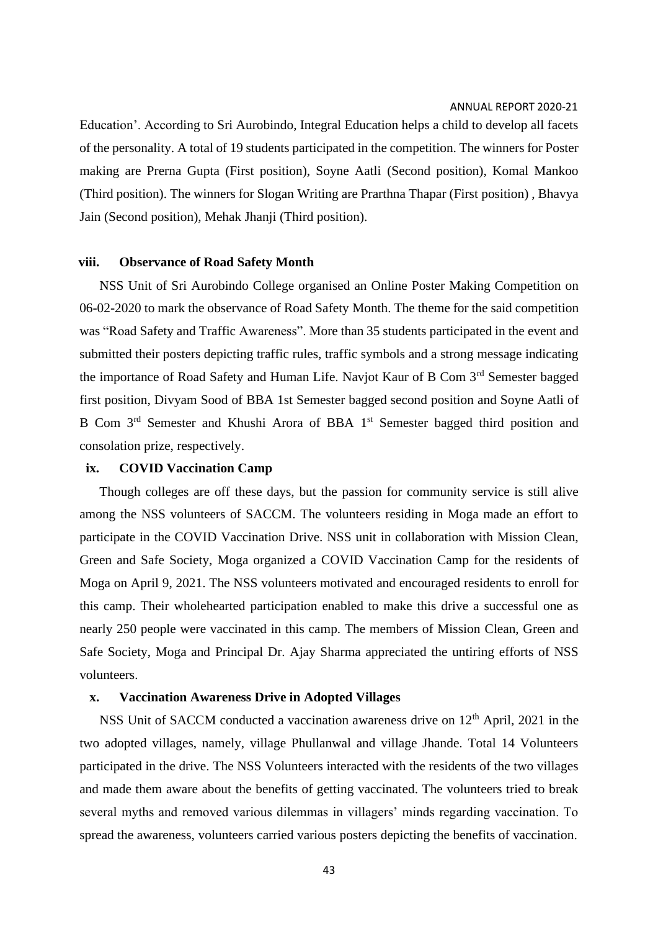Education'. According to Sri Aurobindo, Integral Education helps a child to develop all facets of the personality. A total of 19 students participated in the competition. The winners for Poster making are Prerna Gupta (First position), Soyne Aatli (Second position), Komal Mankoo (Third position). The winners for Slogan Writing are Prarthna Thapar (First position) , Bhavya Jain (Second position), Mehak Jhanji (Third position).

#### **viii. Observance of Road Safety Month**

NSS Unit of Sri Aurobindo College organised an Online Poster Making Competition on 06-02-2020 to mark the observance of Road Safety Month. The theme for the said competition was "Road Safety and Traffic Awareness". More than 35 students participated in the event and submitted their posters depicting traffic rules, traffic symbols and a strong message indicating the importance of Road Safety and Human Life. Navjot Kaur of B Com 3<sup>rd</sup> Semester bagged first position, Divyam Sood of BBA 1st Semester bagged second position and Soyne Aatli of B Com 3<sup>rd</sup> Semester and Khushi Arora of BBA 1<sup>st</sup> Semester bagged third position and consolation prize, respectively.

### **ix. COVID Vaccination Camp**

Though colleges are off these days, but the passion for community service is still alive among the NSS volunteers of SACCM. The volunteers residing in Moga made an effort to participate in the COVID Vaccination Drive. NSS unit in collaboration with Mission Clean, Green and Safe Society, Moga organized a COVID Vaccination Camp for the residents of Moga on April 9, 2021. The NSS volunteers motivated and encouraged residents to enroll for this camp. Their wholehearted participation enabled to make this drive a successful one as nearly 250 people were vaccinated in this camp. The members of Mission Clean, Green and Safe Society, Moga and Principal Dr. Ajay Sharma appreciated the untiring efforts of NSS volunteers.

### **x. Vaccination Awareness Drive in Adopted Villages**

NSS Unit of SACCM conducted a vaccination awareness drive on  $12<sup>th</sup>$  April, 2021 in the two adopted villages, namely, village Phullanwal and village Jhande. Total 14 Volunteers participated in the drive. The NSS Volunteers interacted with the residents of the two villages and made them aware about the benefits of getting vaccinated. The volunteers tried to break several myths and removed various dilemmas in villagers' minds regarding vaccination. To spread the awareness, volunteers carried various posters depicting the benefits of vaccination.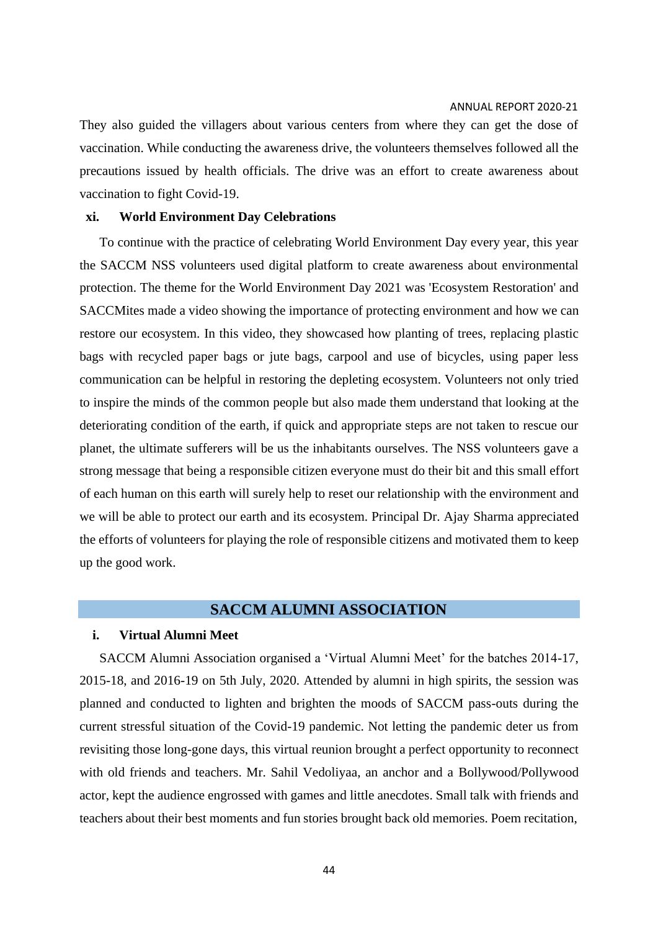They also guided the villagers about various centers from where they can get the dose of vaccination. While conducting the awareness drive, the volunteers themselves followed all the precautions issued by health officials. The drive was an effort to create awareness about vaccination to fight Covid-19.

### **xi. World Environment Day Celebrations**

To continue with the practice of celebrating World Environment Day every year, this year the SACCM NSS volunteers used digital platform to create awareness about environmental protection. The theme for the World Environment Day 2021 was 'Ecosystem Restoration' and SACCMites made a video showing the importance of protecting environment and how we can restore our ecosystem. In this video, they showcased how planting of trees, replacing plastic bags with recycled paper bags or jute bags, carpool and use of bicycles, using paper less communication can be helpful in restoring the depleting ecosystem. Volunteers not only tried to inspire the minds of the common people but also made them understand that looking at the deteriorating condition of the earth, if quick and appropriate steps are not taken to rescue our planet, the ultimate sufferers will be us the inhabitants ourselves. The NSS volunteers gave a strong message that being a responsible citizen everyone must do their bit and this small effort of each human on this earth will surely help to reset our relationship with the environment and we will be able to protect our earth and its ecosystem. Principal Dr. Ajay Sharma appreciated the efforts of volunteers for playing the role of responsible citizens and motivated them to keep up the good work.

### **SACCM ALUMNI ASSOCIATION**

### **i. Virtual Alumni Meet**

SACCM Alumni Association organised a 'Virtual Alumni Meet' for the batches 2014-17, 2015-18, and 2016-19 on 5th July, 2020. Attended by alumni in high spirits, the session was planned and conducted to lighten and brighten the moods of SACCM pass-outs during the current stressful situation of the Covid-19 pandemic. Not letting the pandemic deter us from revisiting those long-gone days, this virtual reunion brought a perfect opportunity to reconnect with old friends and teachers. Mr. Sahil Vedoliyaa, an anchor and a Bollywood/Pollywood actor, kept the audience engrossed with games and little anecdotes. Small talk with friends and teachers about their best moments and fun stories brought back old memories. Poem recitation,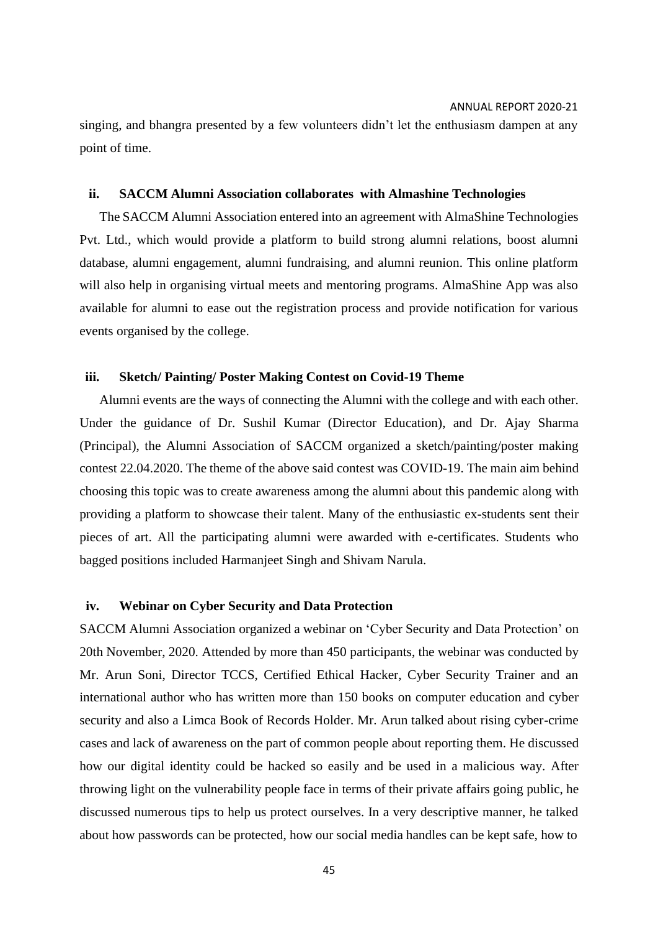singing, and bhangra presented by a few volunteers didn't let the enthusiasm dampen at any point of time.

### **ii. SACCM Alumni Association collaborates with Almashine Technologies**

The SACCM Alumni Association entered into an agreement with AlmaShine Technologies Pvt. Ltd., which would provide a platform to build strong alumni relations, boost alumni database, alumni engagement, alumni fundraising, and alumni reunion. This online platform will also help in organising virtual meets and mentoring programs. AlmaShine App was also available for alumni to ease out the registration process and provide notification for various events organised by the college.

### **iii. Sketch/ Painting/ Poster Making Contest on Covid-19 Theme**

Alumni events are the ways of connecting the Alumni with the college and with each other. Under the guidance of Dr. Sushil Kumar (Director Education), and Dr. Ajay Sharma (Principal), the Alumni Association of SACCM organized a sketch/painting/poster making contest 22.04.2020. The theme of the above said contest was COVID-19. The main aim behind choosing this topic was to create awareness among the alumni about this pandemic along with providing a platform to showcase their talent. Many of the enthusiastic ex-students sent their pieces of art. All the participating alumni were awarded with e-certificates. Students who bagged positions included Harmanjeet Singh and Shivam Narula.

### **iv. Webinar on Cyber Security and Data Protection**

SACCM Alumni Association organized a webinar on 'Cyber Security and Data Protection' on 20th November, 2020. Attended by more than 450 participants, the webinar was conducted by Mr. Arun Soni, Director TCCS, Certified Ethical Hacker, Cyber Security Trainer and an international author who has written more than 150 books on computer education and cyber security and also a Limca Book of Records Holder. Mr. Arun talked about rising cyber-crime cases and lack of awareness on the part of common people about reporting them. He discussed how our digital identity could be hacked so easily and be used in a malicious way. After throwing light on the vulnerability people face in terms of their private affairs going public, he discussed numerous tips to help us protect ourselves. In a very descriptive manner, he talked about how passwords can be protected, how our social media handles can be kept safe, how to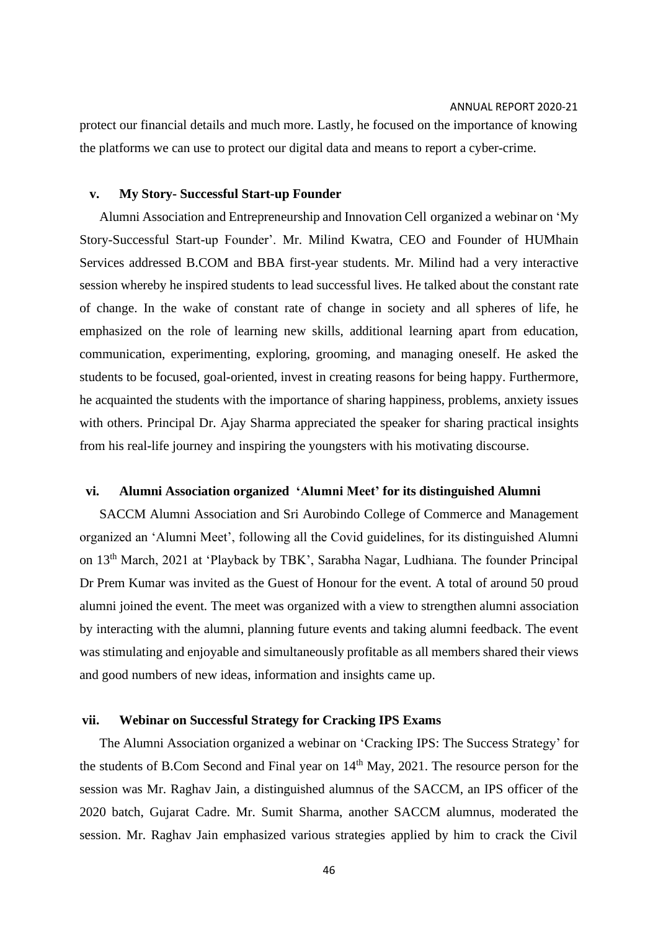protect our financial details and much more. Lastly, he focused on the importance of knowing the platforms we can use to protect our digital data and means to report a cyber-crime.

### **v. My Story- Successful Start-up Founder**

Alumni Association and Entrepreneurship and Innovation Cell organized a webinar on 'My Story-Successful Start-up Founder'. Mr. Milind Kwatra, CEO and Founder of HUMhain Services addressed [B.COM a](http://b.com/)nd BBA first-year students. Mr. Milind had a very interactive session whereby he inspired students to lead successful lives. He talked about the constant rate of change. In the wake of constant rate of change in society and all spheres of life, he emphasized on the role of learning new skills, additional learning apart from education, communication, experimenting, exploring, grooming, and managing oneself. He asked the students to be focused, goal-oriented, invest in creating reasons for being happy. Furthermore, he acquainted the students with the importance of sharing happiness, problems, anxiety issues with others. Principal Dr. Ajay Sharma appreciated the speaker for sharing practical insights from his real-life journey and inspiring the youngsters with his motivating discourse.

### **vi. Alumni Association organized 'Alumni Meet' for its distinguished Alumni**

SACCM Alumni Association and Sri Aurobindo College of Commerce and Management organized an 'Alumni Meet', following all the Covid guidelines, for its distinguished Alumni on 13<sup>th</sup> March, 2021 at 'Playback by TBK', Sarabha Nagar, Ludhiana. The founder Principal Dr Prem Kumar was invited as the Guest of Honour for the event. A total of around 50 proud alumni joined the event. The meet was organized with a view to strengthen alumni association by interacting with the alumni, planning future events and taking alumni feedback. The event was stimulating and enjoyable and simultaneously profitable as all members shared their views and good numbers of new ideas, information and insights came up.

### **vii. Webinar on Successful Strategy for Cracking IPS Exams**

The Alumni Association organized a webinar on 'Cracking IPS: The Success Strategy' for the students of [B.Com S](http://b.com/)econd and Final year on 14<sup>th</sup> May, 2021. The resource person for the session was Mr. Raghav Jain, a distinguished alumnus of the SACCM, an IPS officer of the 2020 batch, Gujarat Cadre. Mr. Sumit Sharma, another SACCM alumnus, moderated the session. Mr. Raghav Jain emphasized various strategies applied by him to crack the Civil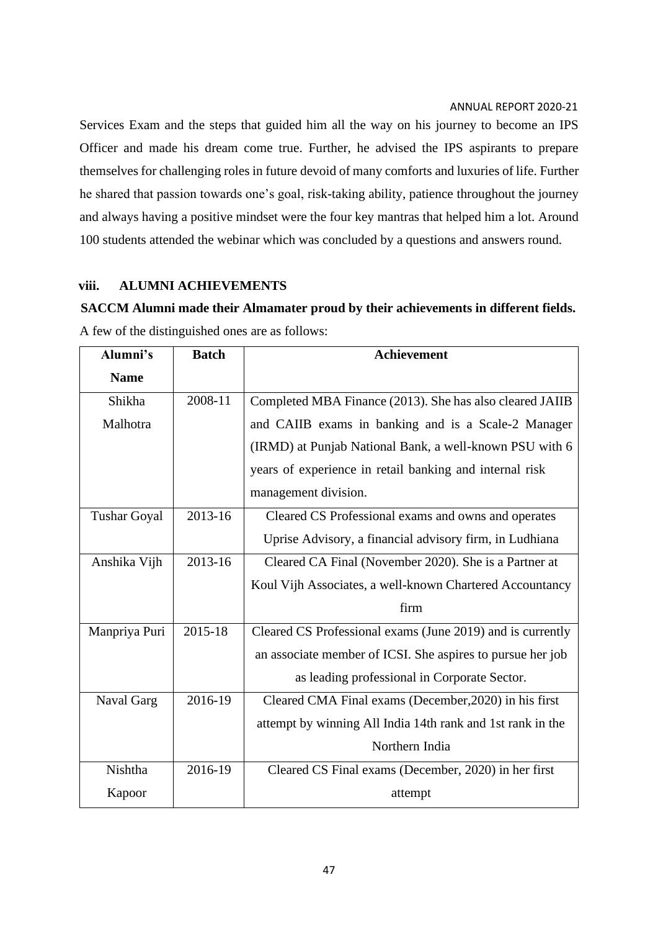Services Exam and the steps that guided him all the way on his journey to become an IPS Officer and made his dream come true. Further, he advised the IPS aspirants to prepare themselves for challenging roles in future devoid of many comforts and luxuries of life. Further he shared that passion towards one's goal, risk-taking ability, patience throughout the journey and always having a positive mindset were the four key mantras that helped him a lot. Around 100 students attended the webinar which was concluded by a questions and answers round.

### **viii. ALUMNI ACHIEVEMENTS**

**SACCM Alumni made their Almamater proud by their achievements in different fields.** A few of the distinguished ones are as follows:

| Alumni's            | <b>Batch</b> | <b>Achievement</b>                                         |
|---------------------|--------------|------------------------------------------------------------|
| <b>Name</b>         |              |                                                            |
| Shikha              | 2008-11      | Completed MBA Finance (2013). She has also cleared JAIIB   |
| Malhotra            |              | and CAIIB exams in banking and is a Scale-2 Manager        |
|                     |              | (IRMD) at Punjab National Bank, a well-known PSU with 6    |
|                     |              | years of experience in retail banking and internal risk    |
|                     |              | management division.                                       |
| <b>Tushar Goyal</b> | 2013-16      | Cleared CS Professional exams and owns and operates        |
|                     |              | Uprise Advisory, a financial advisory firm, in Ludhiana    |
| Anshika Vijh        | 2013-16      | Cleared CA Final (November 2020). She is a Partner at      |
|                     |              | Koul Vijh Associates, a well-known Chartered Accountancy   |
|                     |              | firm                                                       |
| Manpriya Puri       | 2015-18      | Cleared CS Professional exams (June 2019) and is currently |
|                     |              | an associate member of ICSI. She aspires to pursue her job |
|                     |              | as leading professional in Corporate Sector.               |
| Naval Garg          | 2016-19      | Cleared CMA Final exams (December, 2020) in his first      |
|                     |              | attempt by winning All India 14th rank and 1st rank in the |
|                     |              | Northern India                                             |
| Nishtha             | 2016-19      | Cleared CS Final exams (December, 2020) in her first       |
| Kapoor              |              | attempt                                                    |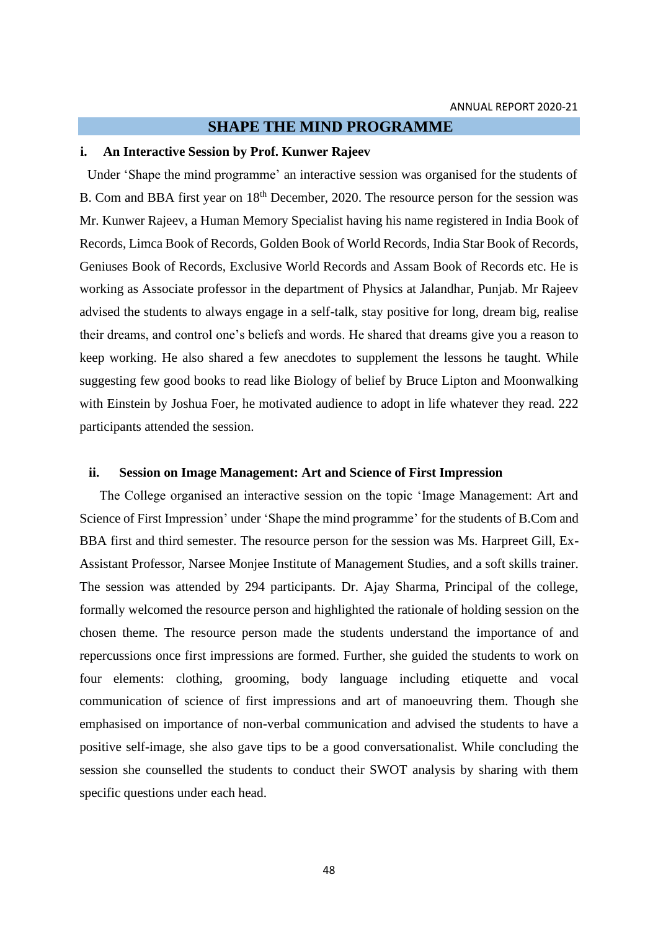### **SHAPE THE MIND PROGRAMME**

#### **i. An Interactive Session by Prof. Kunwer Rajeev**

Under 'Shape the mind programme' an interactive session was organised for the students of B. Com and BBA first year on 18<sup>th</sup> December, 2020. The resource person for the session was Mr. Kunwer Rajeev, a Human Memory Specialist having his name registered in India Book of Records, Limca Book of Records, Golden Book of World Records, India Star Book of Records, Geniuses Book of Records, Exclusive World Records and Assam Book of Records etc. He is working as Associate professor in the department of Physics at Jalandhar, Punjab. Mr Rajeev advised the students to always engage in a self-talk, stay positive for long, dream big, realise their dreams, and control one's beliefs and words. He shared that dreams give you a reason to keep working. He also shared a few anecdotes to supplement the lessons he taught. While suggesting few good books to read like Biology of belief by Bruce Lipton and Moonwalking with Einstein by Joshua Foer, he motivated audience to adopt in life whatever they read. 222 participants attended the session.

### **ii. Session on Image Management: Art and Science of First Impression**

The College organised an interactive session on the topic 'Image Management: Art and Science of First Impression' under 'Shape the mind programme' for the students of B.Com and BBA first and third semester. The resource person for the session was Ms. Harpreet Gill, Ex-Assistant Professor, Narsee Monjee Institute of Management Studies, and a soft skills trainer. The session was attended by 294 participants. Dr. Ajay Sharma, Principal of the college, formally welcomed the resource person and highlighted the rationale of holding session on the chosen theme. The resource person made the students understand the importance of and repercussions once first impressions are formed. Further, she guided the students to work on four elements: clothing, grooming, body language including etiquette and vocal communication of science of first impressions and art of manoeuvring them. Though she emphasised on importance of non-verbal communication and advised the students to have a positive self-image, she also gave tips to be a good conversationalist. While concluding the session she counselled the students to conduct their SWOT analysis by sharing with them specific questions under each head.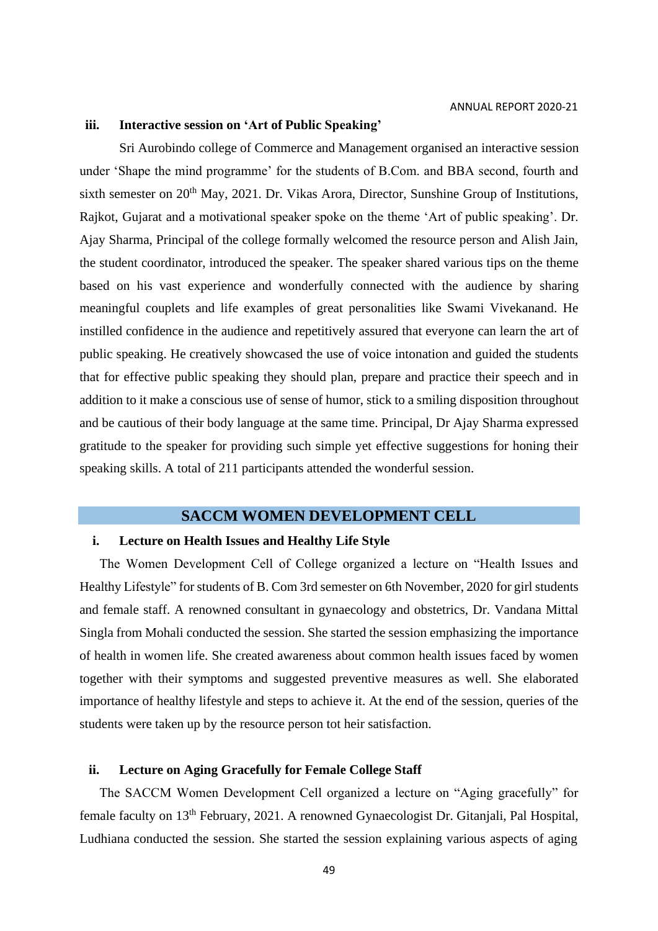### **iii. Interactive session on 'Art of Public Speaking'**

Sri Aurobindo college of Commerce and Management organised an interactive session under 'Shape the mind programme' for the students of B.Com. and BBA second, fourth and sixth semester on  $20<sup>th</sup>$  May, 2021. Dr. Vikas Arora, Director, Sunshine Group of Institutions, Rajkot, Gujarat and a motivational speaker spoke on the theme 'Art of public speaking'. Dr. Ajay Sharma, Principal of the college formally welcomed the resource person and Alish Jain, the student coordinator, introduced the speaker. The speaker shared various tips on the theme based on his vast experience and wonderfully connected with the audience by sharing meaningful couplets and life examples of great personalities like Swami Vivekanand. He instilled confidence in the audience and repetitively assured that everyone can learn the art of public speaking. He creatively showcased the use of voice intonation and guided the students that for effective public speaking they should plan, prepare and practice their speech and in addition to it make a conscious use of sense of humor, stick to a smiling disposition throughout and be cautious of their body language at the same time. Principal, Dr Ajay Sharma expressed gratitude to the speaker for providing such simple yet effective suggestions for honing their speaking skills. A total of 211 participants attended the wonderful session.

### **SACCM WOMEN DEVELOPMENT CELL**

### **i. Lecture on Health Issues and Healthy Life Style**

The Women Development Cell of College organized a lecture on "Health Issues and Healthy Lifestyle" for students of B. Com 3rd semester on 6th November, 2020 for girl students and female staff. A renowned consultant in gynaecology and obstetrics, Dr. Vandana Mittal Singla from Mohali conducted the session. She started the session emphasizing the importance of health in women life. She created awareness about common health issues faced by women together with their symptoms and suggested preventive measures as well. She elaborated importance of healthy lifestyle and steps to achieve it. At the end of the session, queries of the students were taken up by the resource person tot heir satisfaction.

### **ii. Lecture on Aging Gracefully for Female College Staff**

The SACCM Women Development Cell organized a lecture on "Aging gracefully" for female faculty on 13th February, 2021. A renowned Gynaecologist Dr. Gitanjali, Pal Hospital, Ludhiana conducted the session. She started the session explaining various aspects of aging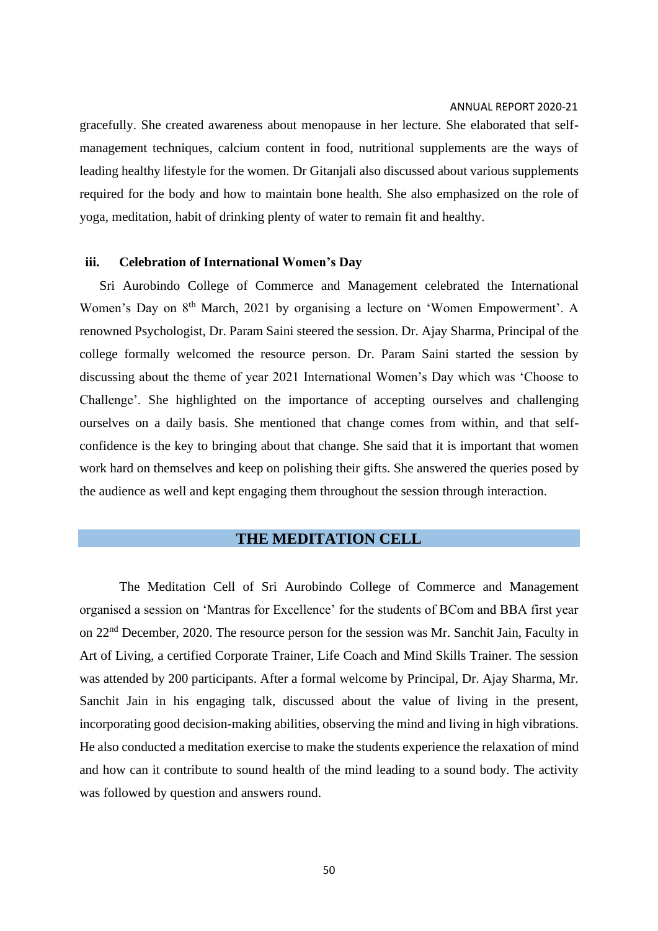gracefully. She created awareness about menopause in her lecture. She elaborated that selfmanagement techniques, calcium content in food, nutritional supplements are the ways of leading healthy lifestyle for the women. Dr Gitanjali also discussed about various supplements required for the body and how to maintain bone health. She also emphasized on the role of yoga, meditation, habit of drinking plenty of water to remain fit and healthy.

#### **iii. Celebration of International Women's Day**

Sri Aurobindo College of Commerce and Management celebrated the International Women's Day on 8<sup>th</sup> March, 2021 by organising a lecture on 'Women Empowerment'. A renowned Psychologist, Dr. Param Saini steered the session. Dr. Ajay Sharma, Principal of the college formally welcomed the resource person. Dr. Param Saini started the session by discussing about the theme of year 2021 International Women's Day which was 'Choose to Challenge'. She highlighted on the importance of accepting ourselves and challenging ourselves on a daily basis. She mentioned that change comes from within, and that selfconfidence is the key to bringing about that change. She said that it is important that women work hard on themselves and keep on polishing their gifts. She answered the queries posed by the audience as well and kept engaging them throughout the session through interaction.

### **THE MEDITATION CELL**

The Meditation Cell of Sri Aurobindo College of Commerce and Management organised a session on 'Mantras for Excellence' for the students of BCom and BBA first year on 22nd December, 2020. The resource person for the session was Mr. Sanchit Jain, Faculty in Art of Living, a certified Corporate Trainer, Life Coach and Mind Skills Trainer. The session was attended by 200 participants. After a formal welcome by Principal, Dr. Ajay Sharma, Mr. Sanchit Jain in his engaging talk, discussed about the value of living in the present, incorporating good decision-making abilities, observing the mind and living in high vibrations. He also conducted a meditation exercise to make the students experience the relaxation of mind and how can it contribute to sound health of the mind leading to a sound body. The activity was followed by question and answers round.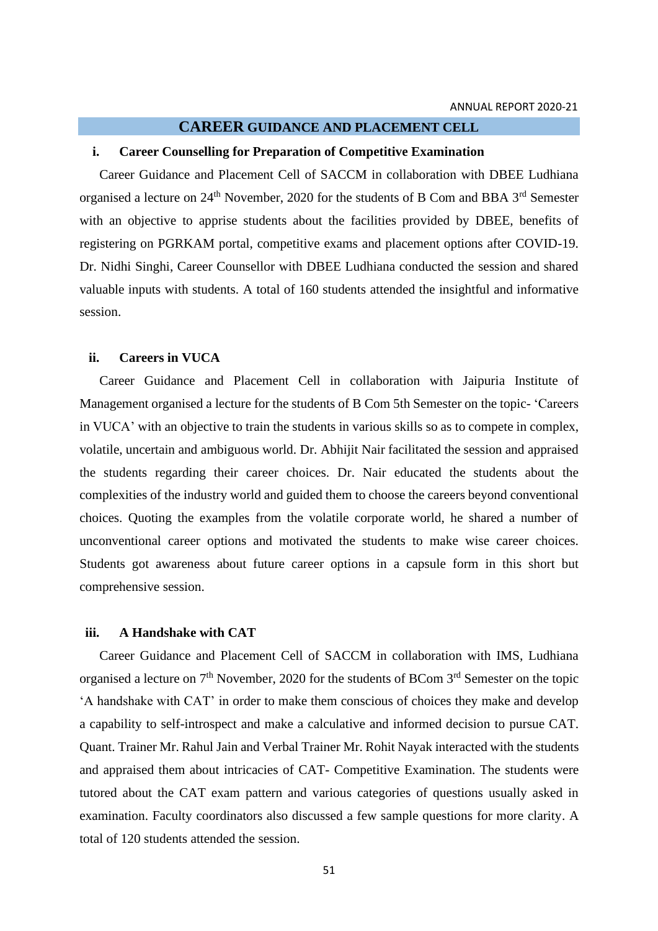### **CAREER GUIDANCE AND PLACEMENT CELL**

#### **i. Career Counselling for Preparation of Competitive Examination**

Career Guidance and Placement Cell of SACCM in collaboration with DBEE Ludhiana organised a lecture on 24<sup>th</sup> November, 2020 for the students of B Com and BBA 3<sup>rd</sup> Semester with an objective to apprise students about the facilities provided by DBEE, benefits of registering on PGRKAM portal, competitive exams and placement options after COVID-19. Dr. Nidhi Singhi, Career Counsellor with DBEE Ludhiana conducted the session and shared valuable inputs with students. A total of 160 students attended the insightful and informative session.

### **ii. Careers in VUCA**

Career Guidance and Placement Cell in collaboration with Jaipuria Institute of Management organised a lecture for the students of B Com 5th Semester on the topic- 'Careers in VUCA' with an objective to train the students in various skills so as to compete in complex, volatile, uncertain and ambiguous world. Dr. Abhijit Nair facilitated the session and appraised the students regarding their career choices. Dr. Nair educated the students about the complexities of the industry world and guided them to choose the careers beyond conventional choices. Quoting the examples from the volatile corporate world, he shared a number of unconventional career options and motivated the students to make wise career choices. Students got awareness about future career options in a capsule form in this short but comprehensive session.

#### **iii. A Handshake with CAT**

Career Guidance and Placement Cell of SACCM in collaboration with IMS, Ludhiana organised a lecture on  $7<sup>th</sup>$  November, 2020 for the students of BCom  $3<sup>rd</sup>$  Semester on the topic 'A handshake with CAT' in order to make them conscious of choices they make and develop a capability to self-introspect and make a calculative and informed decision to pursue CAT. Quant. Trainer Mr. Rahul Jain and Verbal Trainer Mr. Rohit Nayak interacted with the students and appraised them about intricacies of CAT- Competitive Examination. The students were tutored about the CAT exam pattern and various categories of questions usually asked in examination. Faculty coordinators also discussed a few sample questions for more clarity. A total of 120 students attended the session.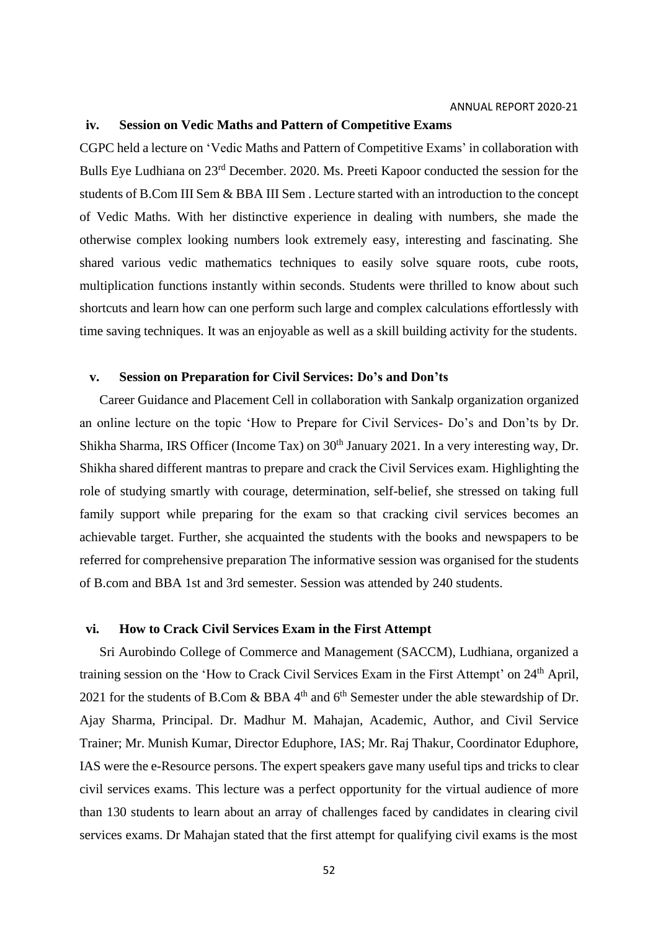#### **iv. Session on Vedic Maths and Pattern of Competitive Exams**

CGPC held a lecture on 'Vedic Maths and Pattern of Competitive Exams' in collaboration with Bulls Eye Ludhiana on 23rd December. 2020. Ms. Preeti Kapoor conducted the session for the students of B.Com III Sem & BBA III Sem . Lecture started with an introduction to the concept of Vedic Maths. With her distinctive experience in dealing with numbers, she made the otherwise complex looking numbers look extremely easy, interesting and fascinating. She shared various vedic mathematics techniques to easily solve square roots, cube roots, multiplication functions instantly within seconds. Students were thrilled to know about such shortcuts and learn how can one perform such large and complex calculations effortlessly with time saving techniques. It was an enjoyable as well as a skill building activity for the students.

### **v. Session on Preparation for Civil Services: Do's and Don'ts**

Career Guidance and Placement Cell in collaboration with Sankalp organization organized an online lecture on the topic 'How to Prepare for Civil Services- Do's and Don'ts by Dr. Shikha Sharma, IRS Officer (Income Tax) on 30<sup>th</sup> January 2021. In a very interesting way, Dr. Shikha shared different mantras to prepare and crack the Civil Services exam. Highlighting the role of studying smartly with courage, determination, self-belief, she stressed on taking full family support while preparing for the exam so that cracking civil services becomes an achievable target. Further, she acquainted the students with the books and newspapers to be referred for comprehensive preparation The informative session was organised for the students of B.com and BBA 1st and 3rd semester. Session was attended by 240 students.

#### **vi. How to Crack Civil Services Exam in the First Attempt**

Sri Aurobindo College of Commerce and Management (SACCM), Ludhiana, organized a training session on the 'How to Crack Civil Services Exam in the First Attempt' on 24<sup>th</sup> April, 2021 for the students of B.Com & BBA  $4<sup>th</sup>$  and  $6<sup>th</sup>$  Semester under the able stewardship of Dr. Ajay Sharma, Principal. Dr. Madhur M. Mahajan, Academic, Author, and Civil Service Trainer; Mr. Munish Kumar, Director Eduphore, IAS; Mr. Raj Thakur, Coordinator Eduphore, IAS were the e-Resource persons. The expert speakers gave many useful tips and tricks to clear civil services exams. This lecture was a perfect opportunity for the virtual audience of more than 130 students to learn about an array of challenges faced by candidates in clearing civil services exams. Dr Mahajan stated that the first attempt for qualifying civil exams is the most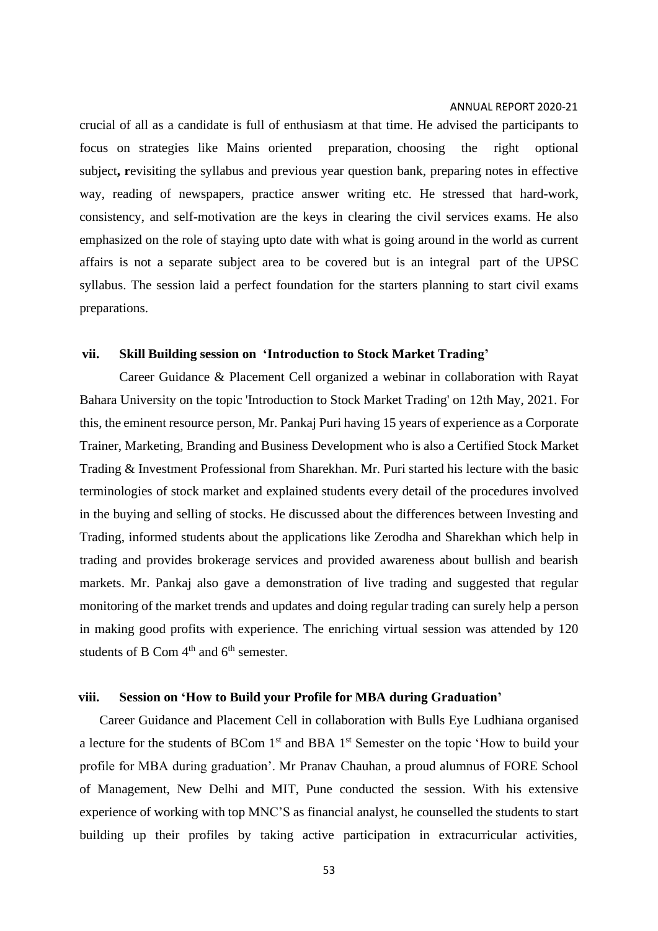crucial of all as a candidate is full of enthusiasm at that time. He advised the participants to focus on strategies like Mains oriented preparation, choosing the right optional subject**, r**evisiting the syllabus and previous year question bank, preparing notes in effective way, reading of newspapers, practice answer writing etc. He stressed that hard-work, consistency, and self-motivation are the keys in clearing the civil services exams. He also emphasized on the role of staying upto date with what is going around in the world as current affairs is not a separate subject area to be covered but is an integral part of the UPSC syllabus. The session laid a perfect foundation for the starters planning to start civil exams preparations.

### **vii. Skill Building session on 'Introduction to Stock Market Trading'**

Career Guidance & Placement Cell organized a webinar in collaboration with Rayat Bahara University on the topic 'Introduction to Stock Market Trading' on 12th May, 2021. For this, the eminent resource person, Mr. Pankaj Puri having 15 years of experience as a Corporate Trainer, Marketing, Branding and Business Development who is also a Certified Stock Market Trading & Investment Professional from Sharekhan. Mr. Puri started his lecture with the basic terminologies of stock market and explained students every detail of the procedures involved in the buying and selling of stocks. He discussed about the differences between Investing and Trading, informed students about the applications like Zerodha and Sharekhan which help in trading and provides brokerage services and provided awareness about bullish and bearish markets. Mr. Pankaj also gave a demonstration of live trading and suggested that regular monitoring of the market trends and updates and doing regular trading can surely help a person in making good profits with experience. The enriching virtual session was attended by 120 students of B Com  $4<sup>th</sup>$  and  $6<sup>th</sup>$  semester.

### **viii. Session on 'How to Build your Profile for MBA during Graduation'**

Career Guidance and Placement Cell in collaboration with Bulls Eye Ludhiana organised a lecture for the students of BCom  $1<sup>st</sup>$  and BBA  $1<sup>st</sup>$  Semester on the topic 'How to build your profile for MBA during graduation'. Mr Pranav Chauhan, a proud alumnus of FORE School of Management, New Delhi and MIT, Pune conducted the session. With his extensive experience of working with top MNC'S as financial analyst, he counselled the students to start building up their profiles by taking active participation in extracurricular activities,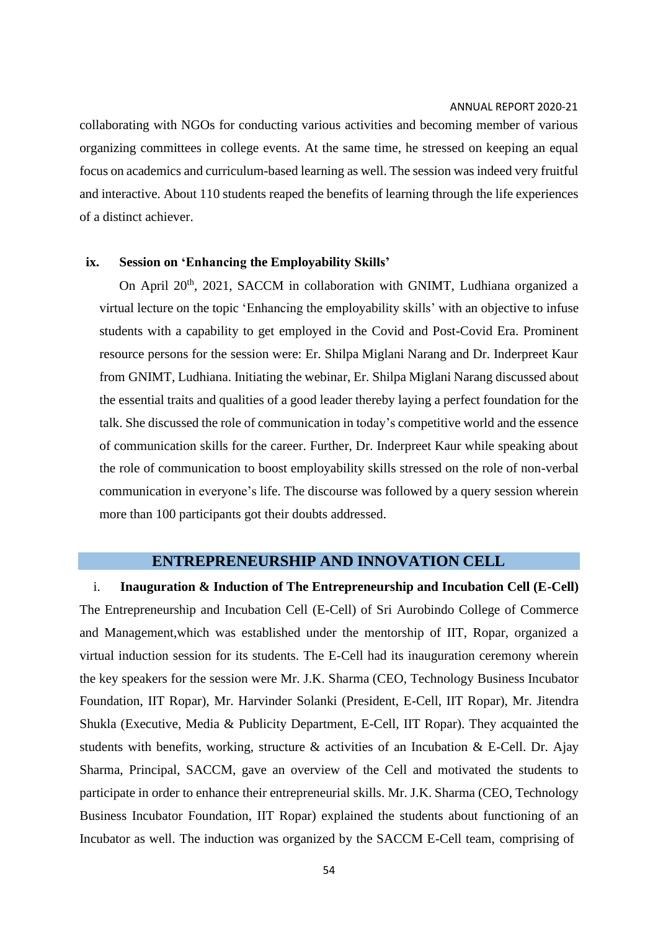collaborating with NGOs for conducting various activities and becoming member of various organizing committees in college events. At the same time, he stressed on keeping an equal focus on academics and curriculum-based learning as well. The session was indeed very fruitful and interactive. About 110 students reaped the benefits of learning through the life experiences of a distinct achiever.

#### **ix. Session on 'Enhancing the Employability Skills'**

On April 20<sup>th</sup>, 2021, SACCM in collaboration with GNIMT, Ludhiana organized a virtual lecture on the topic 'Enhancing the employability skills' with an objective to infuse students with a capability to get employed in the Covid and Post-Covid Era. Prominent resource persons for the session were: Er. Shilpa Miglani Narang and Dr. Inderpreet Kaur from GNIMT, Ludhiana. Initiating the webinar, Er. Shilpa Miglani Narang discussed about the essential traits and qualities of a good leader thereby laying a perfect foundation for the talk. She discussed the role of communication in today's competitive world and the essence of communication skills for the career. Further, Dr. Inderpreet Kaur while speaking about the role of communication to boost employability skills stressed on the role of non-verbal communication in everyone's life. The discourse was followed by a query session wherein more than 100 participants got their doubts addressed.

### **ENTREPRENEURSHIP AND INNOVATION CELL**

i. **Inauguration & Induction of The Entrepreneurship and Incubation Cell (E-Cell)** The Entrepreneurship and Incubation Cell (E-Cell) of Sri Aurobindo College of Commerce and Management,which was established under the mentorship of IIT, Ropar, organized a virtual induction session for its students. The E-Cell had its inauguration ceremony wherein the key speakers for the session were Mr. J.K. Sharma (CEO, Technology Business Incubator Foundation, IIT Ropar), Mr. Harvinder Solanki (President, E-Cell, IIT Ropar), Mr. Jitendra Shukla (Executive, Media & Publicity Department, E-Cell, IIT Ropar). They acquainted the students with benefits, working, structure & activities of an Incubation & E-Cell. Dr. Ajay Sharma, Principal, SACCM, gave an overview of the Cell and motivated the students to participate in order to enhance their entrepreneurial skills. Mr. J.K. Sharma (CEO, Technology Business Incubator Foundation, IIT Ropar) explained the students about functioning of an Incubator as well. The induction was organized by the SACCM E-Cell team, comprising of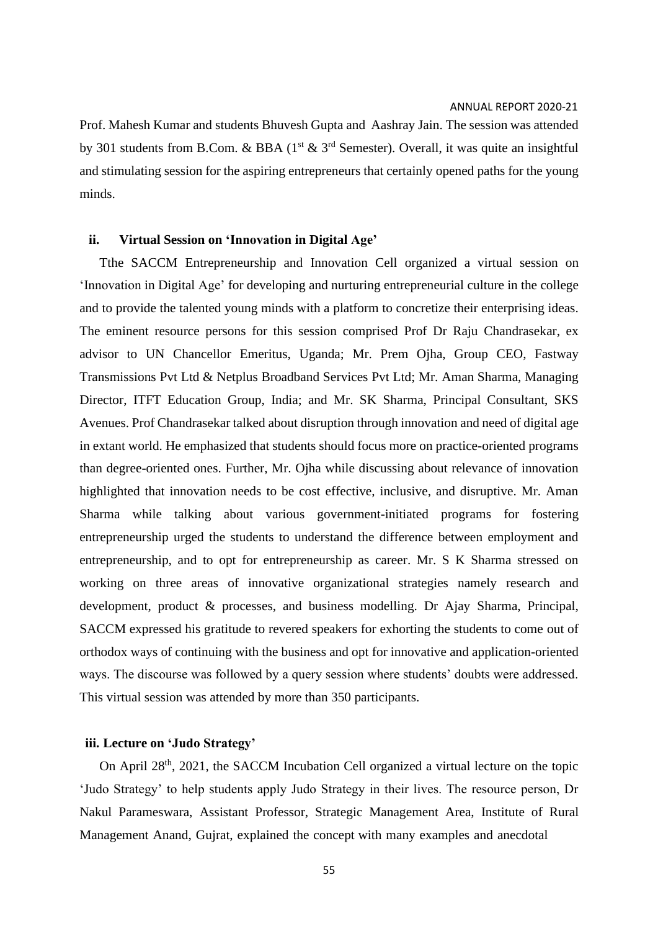Prof. Mahesh Kumar and students Bhuvesh Gupta and Aashray Jain. The session was attended by 301 students from B.Com. & BBA ( $1<sup>st</sup>$  &  $3<sup>rd</sup>$  Semester). Overall, it was quite an insightful and stimulating session for the aspiring entrepreneurs that certainly opened paths for the young minds.

### **ii. Virtual Session on 'Innovation in Digital Age'**

Tthe SACCM Entrepreneurship and Innovation Cell organized a virtual session on 'Innovation in Digital Age' for developing and nurturing entrepreneurial culture in the college and to provide the talented young minds with a platform to concretize their enterprising ideas. The eminent resource persons for this session comprised Prof Dr Raju Chandrasekar, ex advisor to UN Chancellor Emeritus, Uganda; Mr. Prem Ojha, Group CEO, Fastway Transmissions Pvt Ltd & Netplus Broadband Services Pvt Ltd; Mr. Aman Sharma, Managing Director, ITFT Education Group, India; and Mr. SK Sharma, Principal Consultant, SKS Avenues. Prof Chandrasekar talked about disruption through innovation and need of digital age in extant world. He emphasized that students should focus more on practice-oriented programs than degree-oriented ones. Further, Mr. Ojha while discussing about relevance of innovation highlighted that innovation needs to be cost effective, inclusive, and disruptive. Mr. Aman Sharma while talking about various government-initiated programs for fostering entrepreneurship urged the students to understand the difference between employment and entrepreneurship, and to opt for entrepreneurship as career. Mr. S K Sharma stressed on working on three areas of innovative organizational strategies namely research and development, product & processes, and business modelling. Dr Ajay Sharma, Principal, SACCM expressed his gratitude to revered speakers for exhorting the students to come out of orthodox ways of continuing with the business and opt for innovative and application-oriented ways. The discourse was followed by a query session where students' doubts were addressed. This virtual session was attended by more than 350 participants.

### **iii. Lecture on 'Judo Strategy'**

On April 28<sup>th</sup>, 2021, the SACCM Incubation Cell organized a virtual lecture on the topic 'Judo Strategy' to help students apply Judo Strategy in their lives. The resource person, Dr Nakul Parameswara, Assistant Professor, Strategic Management Area, Institute of Rural Management Anand, Gujrat, explained the concept with many examples and anecdotal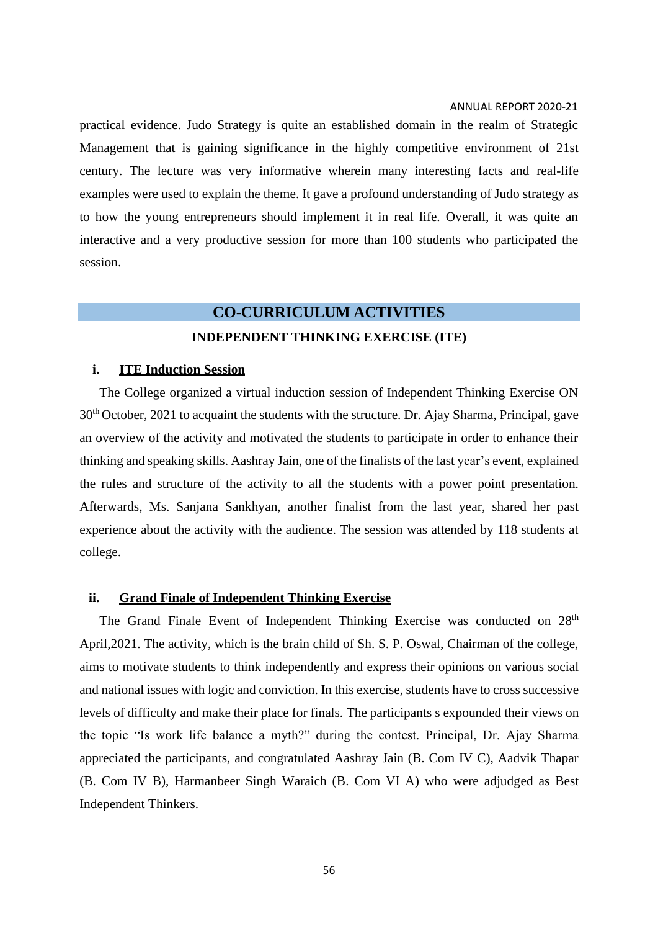practical evidence. Judo Strategy is quite an established domain in the realm of Strategic Management that is gaining significance in the highly competitive environment of 21st century. The lecture was very informative wherein many interesting facts and real-life examples were used to explain the theme. It gave a profound understanding of Judo strategy as to how the young entrepreneurs should implement it in real life. Overall, it was quite an interactive and a very productive session for more than 100 students who participated the session.

### **CO-CURRICULUM ACTIVITIES**

### **INDEPENDENT THINKING EXERCISE (ITE)**

### **i. ITE Induction Session**

The College organized a virtual induction session of Independent Thinking Exercise ON 30<sup>th</sup> October, 2021 to acquaint the students with the structure. Dr. Ajay Sharma, Principal, gave an overview of the activity and motivated the students to participate in order to enhance their thinking and speaking skills. Aashray Jain, one of the finalists of the last year's event, explained the rules and structure of the activity to all the students with a power point presentation. Afterwards, Ms. Sanjana Sankhyan, another finalist from the last year, shared her past experience about the activity with the audience. The session was attended by 118 students at college.

### **ii. Grand Finale of Independent Thinking Exercise**

The Grand Finale Event of Independent Thinking Exercise was conducted on 28<sup>th</sup> April,2021. The activity, which is the brain child of Sh. S. P. Oswal, Chairman of the college, aims to motivate students to think independently and express their opinions on various social and national issues with logic and conviction. In this exercise, students have to cross successive levels of difficulty and make their place for finals. The participants s expounded their views on the topic "Is work life balance a myth?" during the contest. Principal, Dr. Ajay Sharma appreciated the participants, and congratulated Aashray Jain (B. Com IV C), Aadvik Thapar (B. Com IV B), Harmanbeer Singh Waraich (B. Com VI A) who were adjudged as Best Independent Thinkers.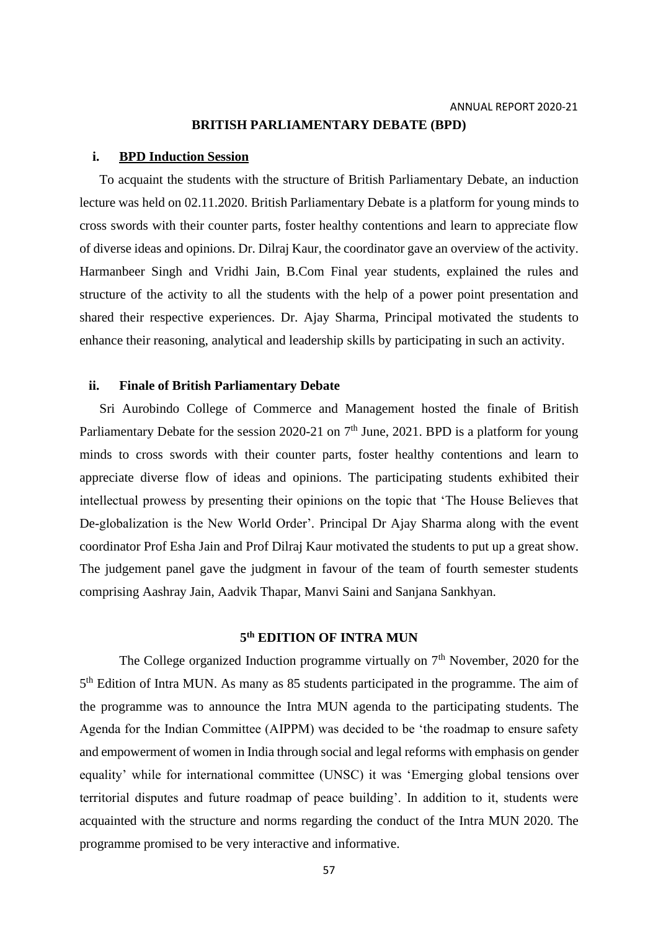### **BRITISH PARLIAMENTARY DEBATE (BPD)**

### **i. BPD Induction Session**

To acquaint the students with the structure of British Parliamentary Debate, an induction lecture was held on 02.11.2020. British Parliamentary Debate is a platform for young minds to cross swords with their counter parts, foster healthy contentions and learn to appreciate flow of diverse ideas and opinions. Dr. Dilraj Kaur, the coordinator gave an overview of the activity. Harmanbeer Singh and Vridhi Jain, B.Com Final year students, explained the rules and structure of the activity to all the students with the help of a power point presentation and shared their respective experiences. Dr. Ajay Sharma, Principal motivated the students to enhance their reasoning, analytical and leadership skills by participating in such an activity.

### **ii. Finale of British Parliamentary Debate**

Sri Aurobindo College of Commerce and Management hosted the finale of British Parliamentary Debate for the session 2020-21 on  $7<sup>th</sup>$  June, 2021. BPD is a platform for young minds to cross swords with their counter parts, foster healthy contentions and learn to appreciate diverse flow of ideas and opinions. The participating students exhibited their intellectual prowess by presenting their opinions on the topic that 'The House Believes that De-globalization is the New World Order'*.* Principal Dr Ajay Sharma along with the event coordinator Prof Esha Jain and Prof Dilraj Kaur motivated the students to put up a great show. The judgement panel gave the judgment in favour of the team of fourth semester students comprising Aashray Jain, Aadvik Thapar, Manvi Saini and Sanjana Sankhyan.

### **5 th EDITION OF INTRA MUN**

The College organized Induction programme virtually on  $7<sup>th</sup>$  November, 2020 for the 5<sup>th</sup> Edition of Intra MUN. As many as 85 students participated in the programme. The aim of the programme was to announce the Intra MUN agenda to the participating students. The Agenda for the Indian Committee (AIPPM) was decided to be 'the roadmap to ensure safety and empowerment of women in India through social and legal reforms with emphasis on gender equality' while for international committee (UNSC) it was 'Emerging global tensions over territorial disputes and future roadmap of peace building'. In addition to it, students were acquainted with the structure and norms regarding the conduct of the Intra MUN 2020. The programme promised to be very interactive and informative.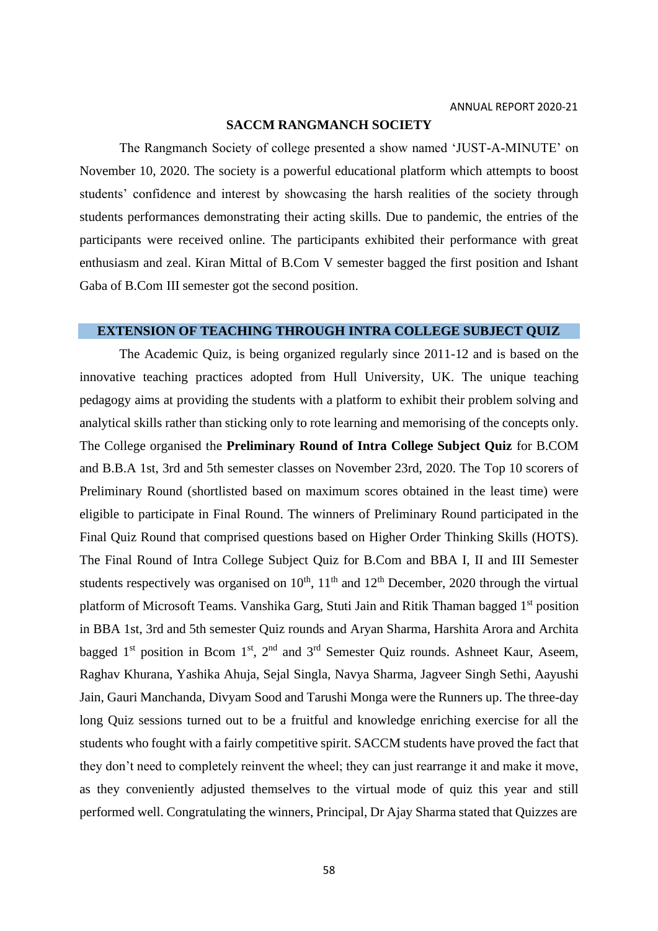### **SACCM RANGMANCH SOCIETY**

The Rangmanch Society of college presented a show named 'JUST-A-MINUTE' on November 10, 2020. The society is a powerful educational platform which attempts to boost students' confidence and interest by showcasing the harsh realities of the society through students performances demonstrating their acting skills. Due to pandemic, the entries of the participants were received online. The participants exhibited their performance with great enthusiasm and zeal. Kiran Mittal of B.Com V semester bagged the first position and Ishant Gaba of B.Com III semester got the second position.

### **EXTENSION OF TEACHING THROUGH INTRA COLLEGE SUBJECT QUIZ**

The Academic Quiz, is being organized regularly since 2011-12 and is based on the innovative teaching practices adopted from Hull University, UK. The unique teaching pedagogy aims at providing the students with a platform to exhibit their problem solving and analytical skills rather than sticking only to rote learning and memorising of the concepts only. The College organised the **Preliminary Round of Intra College Subject Quiz** for B.COM and B.B.A 1st, 3rd and 5th semester classes on November 23rd, 2020. The Top 10 scorers of Preliminary Round (shortlisted based on maximum scores obtained in the least time) were eligible to participate in Final Round. The winners of Preliminary Round participated in the Final Quiz Round that comprised questions based on Higher Order Thinking Skills (HOTS). The Final Round of Intra College Subject Quiz for B.Com and BBA I, II and III Semester students respectively was organised on  $10^{th}$ ,  $11^{th}$  and  $12^{th}$  December, 2020 through the virtual platform of Microsoft Teams. Vanshika Garg, Stuti Jain and Ritik Thaman bagged 1st position in BBA 1st, 3rd and 5th semester Quiz rounds and Aryan Sharma, Harshita Arora and Archita bagged 1<sup>st</sup> position in Bcom 1<sup>st</sup>, 2<sup>nd</sup> and 3<sup>rd</sup> Semester Quiz rounds. Ashneet Kaur, Aseem, Raghav Khurana, Yashika Ahuja, Sejal Singla, Navya Sharma, Jagveer Singh Sethi, Aayushi Jain, Gauri Manchanda, Divyam Sood and Tarushi Monga were the Runners up. The three-day long Quiz sessions turned out to be a fruitful and knowledge enriching exercise for all the students who fought with a fairly competitive spirit. SACCM students have proved the fact that they don't need to completely reinvent the wheel; they can just rearrange it and make it move, as they conveniently adjusted themselves to the virtual mode of quiz this year and still performed well. Congratulating the winners, Principal, Dr Ajay Sharma stated that Quizzes are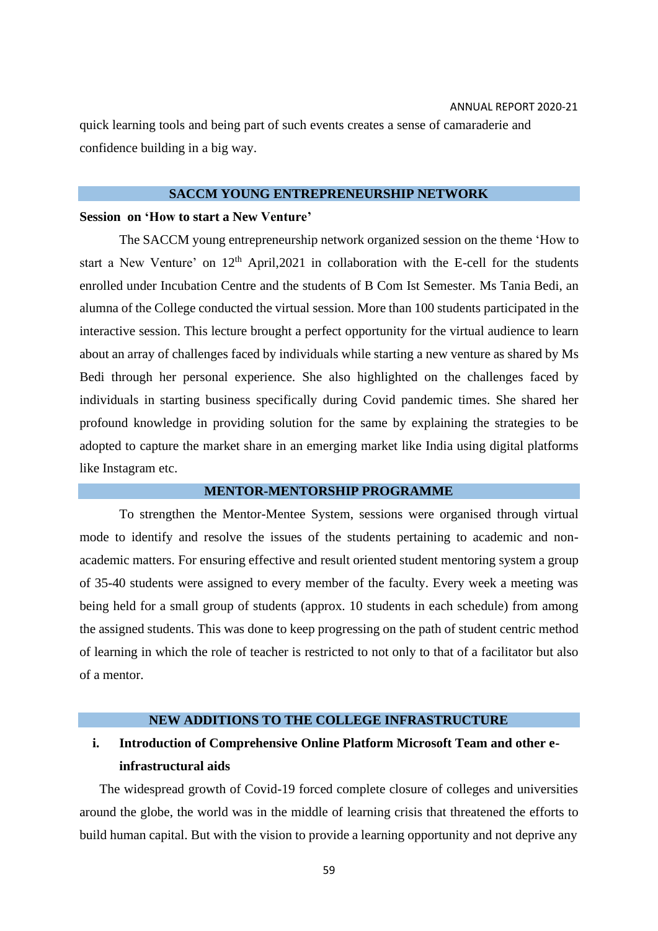quick learning tools and being part of such events creates a sense of camaraderie and confidence building in a big way.

### **SACCM YOUNG ENTREPRENEURSHIP NETWORK**

#### **Session on 'How to start a New Venture'**

The SACCM young entrepreneurship network organized session on the theme 'How to start a New Venture' on  $12<sup>th</sup>$  April, 2021 in collaboration with the E-cell for the students enrolled under Incubation Centre and the students of B Com Ist Semester. Ms Tania Bedi, an alumna of the College conducted the virtual session. More than 100 students participated in the interactive session. This lecture brought a perfect opportunity for the virtual audience to learn about an array of challenges faced by individuals while starting a new venture as shared by Ms Bedi through her personal experience. She also highlighted on the challenges faced by individuals in starting business specifically during Covid pandemic times. She shared her profound knowledge in providing solution for the same by explaining the strategies to be adopted to capture the market share in an emerging market like India using digital platforms like Instagram etc.

### **MENTOR-MENTORSHIP PROGRAMME**

To strengthen the Mentor-Mentee System, sessions were organised through virtual mode to identify and resolve the issues of the students pertaining to academic and nonacademic matters. For ensuring effective and result oriented student mentoring system a group of 35-40 students were assigned to every member of the faculty. Every week a meeting was being held for a small group of students (approx. 10 students in each schedule) from among the assigned students. This was done to keep progressing on the path of student centric method of learning in which the role of teacher is restricted to not only to that of a facilitator but also of a mentor.

### **NEW ADDITIONS TO THE COLLEGE INFRASTRUCTURE**

## **i. Introduction of Comprehensive Online Platform Microsoft Team and other einfrastructural aids**

The widespread growth of Covid-19 forced complete closure of colleges and universities around the globe, the world was in the middle of learning crisis that threatened the efforts to build human capital. But with the vision to provide a learning opportunity and not deprive any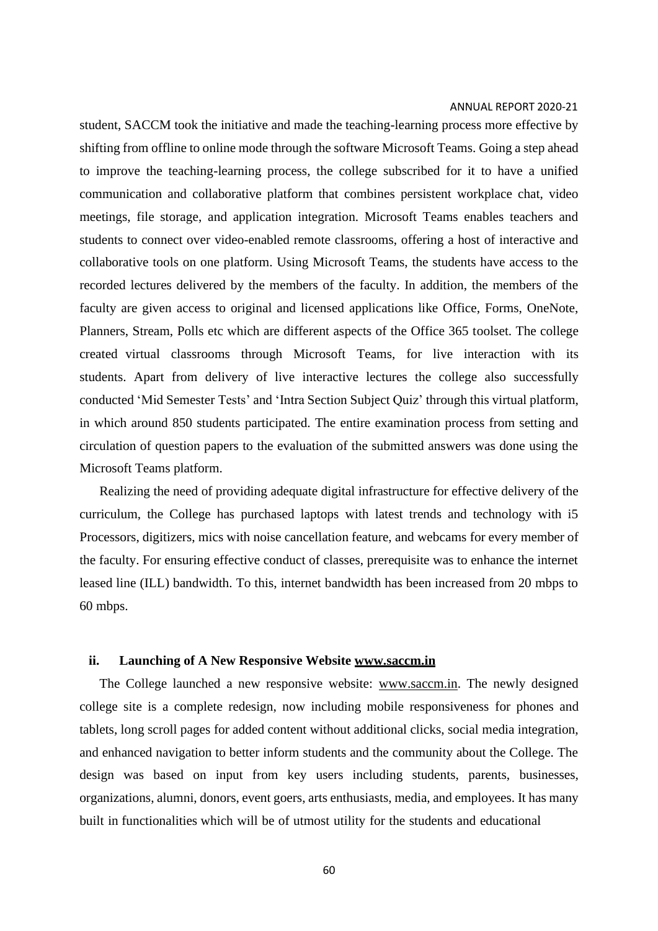student, SACCM took the initiative and made the teaching-learning process more effective by shifting from offline to online mode through the software Microsoft Teams. Going a step ahead to improve the teaching-learning process, the college subscribed for it to have a unified communication and collaborative platform that combines persistent workplace chat, video meetings, file storage, and application integration. Microsoft Teams enables teachers and students to connect over video-enabled remote classrooms, offering a host of interactive and collaborative tools on one platform. Using Microsoft Teams, the students have access to the recorded lectures delivered by the members of the faculty. In addition, the members of the faculty are given access to original and licensed applications like Office, Forms, OneNote, Planners, Stream, Polls etc which are different aspects of the Office 365 toolset. The college created virtual classrooms through Microsoft Teams, for live interaction with its students. Apart from delivery of live interactive lectures the college also successfully conducted 'Mid Semester Tests' and 'Intra Section Subject Quiz' through this virtual platform, in which around 850 students participated. The entire examination process from setting and circulation of question papers to the evaluation of the submitted answers was done using the Microsoft Teams platform.

Realizing the need of providing adequate digital infrastructure for effective delivery of the curriculum, the College has purchased laptops with latest trends and technology with i5 Processors, digitizers, mics with noise cancellation feature, and webcams for every member of the faculty. For ensuring effective conduct of classes, prerequisite was to enhance the internet leased line (ILL) bandwidth. To this, internet bandwidth has been increased from 20 mbps to 60 mbps.

### **ii. Launching of A New Responsive Website [www.saccm.in](http://www.saccm.in/)**

The College launched a new responsive website: [www.saccm.in.](http://www.saccm.in/) The newly designed college site is a complete redesign, now including mobile responsiveness for phones and tablets, long scroll pages for added content without additional clicks, social media integration, and enhanced navigation to better inform students and the community about the College. The design was based on input from key users including students, parents, businesses, organizations, alumni, donors, event goers, arts enthusiasts, media, and employees. It has many built in functionalities which will be of utmost utility for the students and educational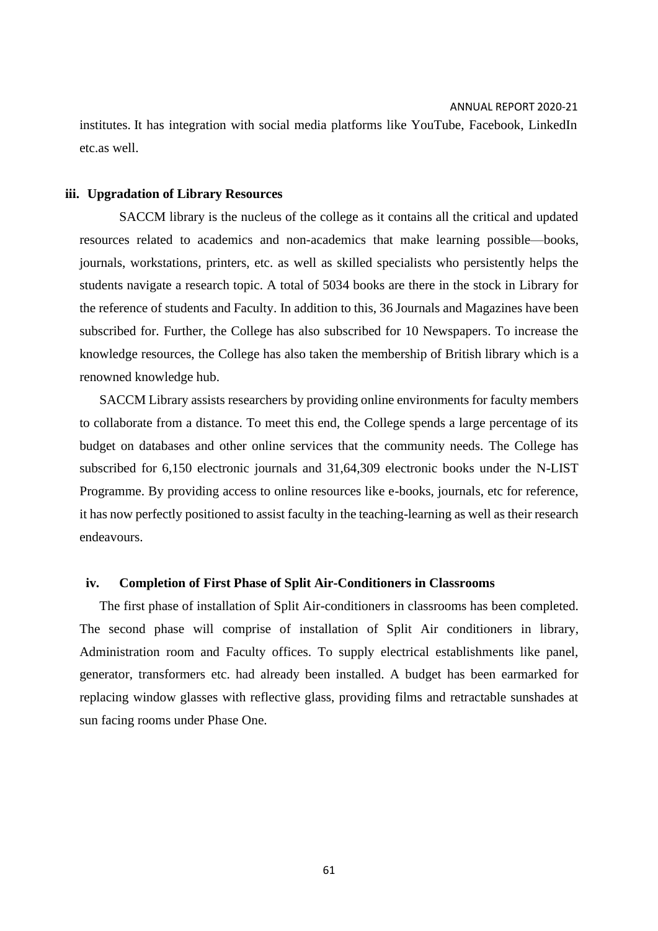institutes. It has integration with social media platforms like YouTube, Facebook, LinkedIn etc.as well.

### **iii. Upgradation of Library Resources**

SACCM library is the nucleus of the college as it contains all the critical and updated resources related to academics and non-academics that make learning possible—books, journals, workstations, printers, etc. as well as skilled specialists who persistently helps the students navigate a research topic. A total of 5034 books are there in the stock in Library for the reference of students and Faculty. In addition to this, 36 Journals and Magazines have been subscribed for. Further, the College has also subscribed for 10 Newspapers. To increase the knowledge resources, the College has also taken the membership of British library which is a renowned knowledge hub.

SACCM Library assists researchers by providing online environments for faculty members to collaborate from a distance. To meet this end, the College spends a large percentage of its budget on databases and other online services that the community needs. The College has subscribed for 6,150 electronic journals and 31,64,309 electronic books under the N-LIST Programme. By providing access to online resources like e-books, journals, etc for reference, it has now perfectly positioned to assist faculty in the teaching-learning as well as their research endeavours.

### **iv. Completion of First Phase of Split Air-Conditioners in Classrooms**

The first phase of installation of Split Air-conditioners in classrooms has been completed. The second phase will comprise of installation of Split Air conditioners in library, Administration room and Faculty offices. To supply electrical establishments like panel, generator, transformers etc. had already been installed. A budget has been earmarked for replacing window glasses with reflective glass, providing films and retractable sunshades at sun facing rooms under Phase One.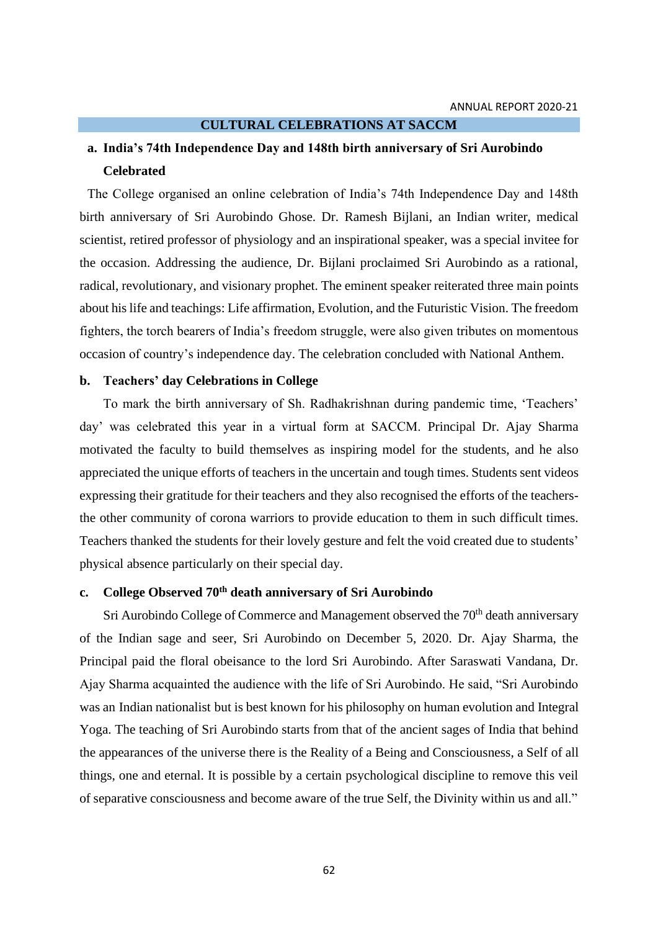#### **CULTURAL CELEBRATIONS AT SACCM**

## **a. India's 74th Independence Day and 148th birth anniversary of Sri Aurobindo Celebrated**

The College organised an online celebration of India's 74th Independence Day and 148th birth anniversary of Sri Aurobindo Ghose. Dr. Ramesh Bijlani, an Indian writer, medical scientist, retired professor of physiology and an inspirational speaker, was a special invitee for the occasion. Addressing the audience, Dr. Bijlani proclaimed Sri Aurobindo as a rational, radical, revolutionary, and visionary prophet. The eminent speaker reiterated three main points about his life and teachings: Life affirmation, Evolution, and the Futuristic Vision. The freedom fighters, the torch bearers of India's freedom struggle, were also given tributes on momentous occasion of country's independence day. The celebration concluded with National Anthem.

### **b. Teachers' day Celebrations in College**

To mark the birth anniversary of Sh. Radhakrishnan during pandemic time, 'Teachers' day' was celebrated this year in a virtual form at SACCM. Principal Dr. Ajay Sharma motivated the faculty to build themselves as inspiring model for the students, and he also appreciated the unique efforts of teachers in the uncertain and tough times. Students sent videos expressing their gratitude for their teachers and they also recognised the efforts of the teachersthe other community of corona warriors to provide education to them in such difficult times. Teachers thanked the students for their lovely gesture and felt the void created due to students' physical absence particularly on their special day.

### **c. College Observed 70th death anniversary of Sri Aurobindo**

Sri Aurobindo College of Commerce and Management observed the 70<sup>th</sup> death anniversary of the Indian sage and seer, Sri Aurobindo on December 5, 2020. Dr. Ajay Sharma, the Principal paid the floral obeisance to the lord Sri Aurobindo. After Saraswati Vandana, Dr. Ajay Sharma acquainted the audience with the life of Sri Aurobindo. He said, "Sri Aurobindo was an Indian [nationalist](https://en.wikipedia.org/wiki/Indian_nationalist_movement) but is best known for his philosophy on human evolution and Integral Yoga. The teaching of Sri Aurobindo starts from that of the ancient sages of India that behind the appearances of the universe there is the Reality of a Being and Consciousness, a Self of all things, one and eternal. It is possible by a certain psychological discipline to remove this veil of separative consciousness and become aware of the true Self, the Divinity within us and all."